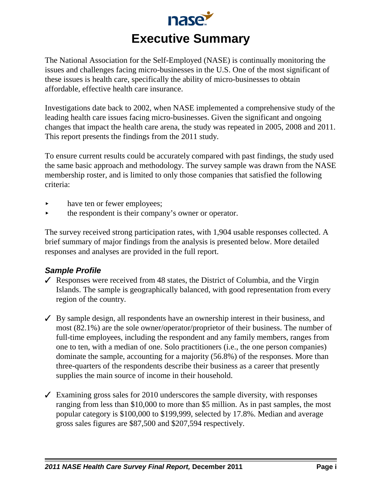

The National Association for the Self-Employed (NASE) is continually monitoring the issues and challenges facing micro-businesses in the U.S. One of the most significant of these issues is health care, specifically the ability of micro-businesses to obtain affordable, effective health care insurance.

Investigations date back to 2002, when NASE implemented a comprehensive study of the leading health care issues facing micro-businesses. Given the significant and ongoing changes that impact the health care arena, the study was repeated in 2005, 2008 and 2011. This report presents the findings from the 2011 study.

To ensure current results could be accurately compared with past findings, the study used the same basic approach and methodology. The survey sample was drawn from the NASE membership roster, and is limited to only those companies that satisfied the following criteria:

- have ten or fewer employees;
- the respondent is their company's owner or operator.

The survey received strong participation rates, with 1,904 usable responses collected. A brief summary of major findings from the analysis is presented below. More detailed responses and analyses are provided in the full report.

#### *Sample Profile*

- $\checkmark$  Responses were received from 48 states, the District of Columbia, and the Virgin Islands. The sample is geographically balanced, with good representation from every region of the country.
- $\checkmark$  By sample design, all respondents have an ownership interest in their business, and most (82.1%) are the sole owner/operator/proprietor of their business. The number of full-time employees, including the respondent and any family members, ranges from one to ten, with a median of one. Solo practitioners (i.e., the one person companies) dominate the sample, accounting for a majority (56.8%) of the responses. More than three-quarters of the respondents describe their business as a career that presently supplies the main source of income in their household.
- $\checkmark$  Examining gross sales for 2010 underscores the sample diversity, with responses ranging from less than \$10,000 to more than \$5 million. As in past samples, the most popular category is \$100,000 to \$199,999, selected by 17.8%. Median and average gross sales figures are \$87,500 and \$207,594 respectively.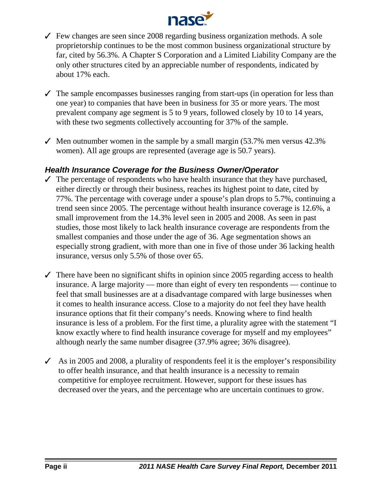

- $\checkmark$  Few changes are seen since 2008 regarding business organization methods. A sole proprietorship continues to be the most common business organizational structure by far, cited by 56.3%. A Chapter S Corporation and a Limited Liability Company are the only other structures cited by an appreciable number of respondents, indicated by about 17% each.
- $\checkmark$  The sample encompasses businesses ranging from start-ups (in operation for less than one year) to companies that have been in business for 35 or more years. The most prevalent company age segment is 5 to 9 years, followed closely by 10 to 14 years, with these two segments collectively accounting for 37% of the sample.
- $\checkmark$  Men outnumber women in the sample by a small margin (53.7% men versus 42.3%) women). All age groups are represented (average age is 50.7 years).

#### *Health Insurance Coverage for the Business Owner/Operator*

- $\checkmark$  The percentage of respondents who have health insurance that they have purchased, either directly or through their business, reaches its highest point to date, cited by 77%. The percentage with coverage under a spouse's plan drops to 5.7%, continuing a trend seen since 2005. The percentage without health insurance coverage is 12.6%, a small improvement from the 14.3% level seen in 2005 and 2008. As seen in past studies, those most likely to lack health insurance coverage are respondents from the smallest companies and those under the age of 36. Age segmentation shows an especially strong gradient, with more than one in five of those under 36 lacking health insurance, versus only 5.5% of those over 65.
- $\checkmark$  There have been no significant shifts in opinion since 2005 regarding access to health insurance. A large majority — more than eight of every ten respondents — continue to feel that small businesses are at a disadvantage compared with large businesses when it comes to health insurance access. Close to a majority do not feel they have health insurance options that fit their company's needs. Knowing where to find health insurance is less of a problem. For the first time, a plurality agree with the statement "I know exactly where to find health insurance coverage for myself and my employees" although nearly the same number disagree (37.9% agree; 36% disagree).
- $\triangle$  As in 2005 and 2008, a plurality of respondents feel it is the employer's responsibility to offer health insurance, and that health insurance is a necessity to remain competitive for employee recruitment. However, support for these issues has decreased over the years, and the percentage who are uncertain continues to grow.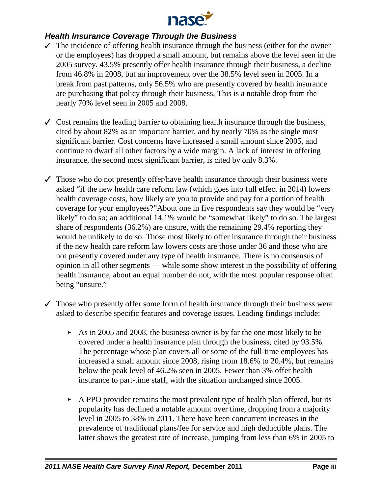

### *Health Insurance Coverage Through the Business*

- $\checkmark$  The incidence of offering health insurance through the business (either for the owner or the employees) has dropped a small amount, but remains above the level seen in the 2005 survey. 43.5% presently offer health insurance through their business, a decline from 46.8% in 2008, but an improvement over the 38.5% level seen in 2005. In a break from past patterns, only 56.5% who are presently covered by health insurance are purchasing that policy through their business. This is a notable drop from the nearly 70% level seen in 2005 and 2008.
- $\checkmark$  Cost remains the leading barrier to obtaining health insurance through the business, cited by about 82% as an important barrier, and by nearly 70% as the single most significant barrier. Cost concerns have increased a small amount since 2005, and continue to dwarf all other factors by a wide margin. A lack of interest in offering insurance, the second most significant barrier, is cited by only 8.3%.
- $\checkmark$  Those who do not presently offer/have health insurance through their business were asked "if the new health care reform law (which goes into full effect in 2014) lowers health coverage costs, how likely are you to provide and pay for a portion of health coverage for your employees?"About one in five respondents say they would be "very likely" to do so; an additional 14.1% would be "somewhat likely" to do so. The largest share of respondents (36.2%) are unsure, with the remaining 29.4% reporting they would be unlikely to do so. Those most likely to offer insurance through their business if the new health care reform law lowers costs are those under 36 and those who are not presently covered under any type of health insurance. There is no consensus of opinion in all other segments — while some show interest in the possibility of offering health insurance, about an equal number do not, with the most popular response often being "unsure."
- $\checkmark$  Those who presently offer some form of health insurance through their business were asked to describe specific features and coverage issues. Leading findings include:
	- $\blacktriangleright$  As in 2005 and 2008, the business owner is by far the one most likely to be covered under a health insurance plan through the business, cited by 93.5%. The percentage whose plan covers all or some of the full-time employees has increased a small amount since 2008, rising from 18.6% to 20.4%, but remains below the peak level of 46.2% seen in 2005. Fewer than 3% offer health insurance to part-time staff, with the situation unchanged since 2005.
	- $\triangleright$  A PPO provider remains the most prevalent type of health plan offered, but its popularity has declined a notable amount over time, dropping from a majority level in 2005 to 38% in 2011. There have been concurrent increases in the prevalence of traditional plans/fee for service and high deductible plans. The latter shows the greatest rate of increase, jumping from less than 6% in 2005 to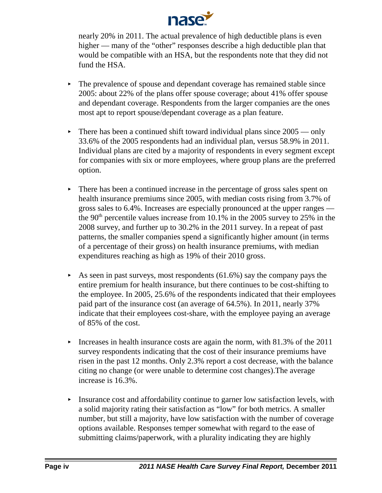

nearly 20% in 2011. The actual prevalence of high deductible plans is even higher — many of the "other" responses describe a high deductible plan that would be compatible with an HSA, but the respondents note that they did not fund the HSA.

- $\blacktriangleright$  The prevalence of spouse and dependant coverage has remained stable since 2005: about 22% of the plans offer spouse coverage; about 41% offer spouse and dependant coverage. Respondents from the larger companies are the ones most apt to report spouse/dependant coverage as a plan feature.
- $\blacktriangleright$  There has been a continued shift toward individual plans since 2005 only 33.6% of the 2005 respondents had an individual plan, versus 58.9% in 2011. Individual plans are cited by a majority of respondents in every segment except for companies with six or more employees, where group plans are the preferred option.
- $\triangleright$  There has been a continued increase in the percentage of gross sales spent on health insurance premiums since 2005, with median costs rising from 3.7% of gross sales to 6.4%. Increases are especially pronounced at the upper ranges the 90<sup>th</sup> percentile values increase from 10.1% in the 2005 survey to 25% in the 2008 survey, and further up to 30.2% in the 2011 survey. In a repeat of past patterns, the smaller companies spend a significantly higher amount (in terms of a percentage of their gross) on health insurance premiums, with median expenditures reaching as high as 19% of their 2010 gross.
- As seen in past surveys, most respondents  $(61.6\%)$  say the company pays the entire premium for health insurance, but there continues to be cost-shifting to the employee. In 2005, 25.6% of the respondents indicated that their employees paid part of the insurance cost (an average of 64.5%). In 2011, nearly 37% indicate that their employees cost-share, with the employee paying an average of 85% of the cost.
- Increases in health insurance costs are again the norm, with  $81.3\%$  of the 2011 survey respondents indicating that the cost of their insurance premiums have risen in the past 12 months. Only 2.3% report a cost decrease, with the balance citing no change (or were unable to determine cost changes).The average increase is 16.3%.
- < Insurance cost and affordability continue to garner low satisfaction levels, with a solid majority rating their satisfaction as "low" for both metrics. A smaller number, but still a majority, have low satisfaction with the number of coverage options available. Responses temper somewhat with regard to the ease of submitting claims/paperwork, with a plurality indicating they are highly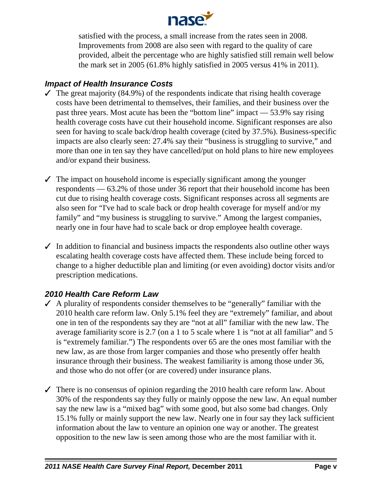

satisfied with the process, a small increase from the rates seen in 2008. Improvements from 2008 are also seen with regard to the quality of care provided, albeit the percentage who are highly satisfied still remain well below the mark set in 2005 (61.8% highly satisfied in 2005 versus 41% in 2011).

### *Impact of Health Insurance Costs*

- $\checkmark$  The great majority (84.9%) of the respondents indicate that rising health coverage costs have been detrimental to themselves, their families, and their business over the past three years. Most acute has been the "bottom line" impact — 53.9% say rising health coverage costs have cut their household income. Significant responses are also seen for having to scale back/drop health coverage (cited by 37.5%). Business-specific impacts are also clearly seen: 27.4% say their "business is struggling to survive," and more than one in ten say they have cancelled/put on hold plans to hire new employees and/or expand their business.
- $\checkmark$  The impact on household income is especially significant among the younger respondents — 63.2% of those under 36 report that their household income has been cut due to rising health coverage costs. Significant responses across all segments are also seen for "I've had to scale back or drop health coverage for myself and/or my family" and "my business is struggling to survive." Among the largest companies, nearly one in four have had to scale back or drop employee health coverage.
- $\checkmark$  In addition to financial and business impacts the respondents also outline other ways escalating health coverage costs have affected them. These include being forced to change to a higher deductible plan and limiting (or even avoiding) doctor visits and/or prescription medications.

# *2010 Health Care Reform Law*

- $\blacktriangledown$  A plurality of respondents consider themselves to be "generally" familiar with the 2010 health care reform law. Only 5.1% feel they are "extremely" familiar, and about one in ten of the respondents say they are "not at all" familiar with the new law. The average familiarity score is 2.7 (on a 1 to 5 scale where 1 is "not at all familiar" and 5 is "extremely familiar.") The respondents over 65 are the ones most familiar with the new law, as are those from larger companies and those who presently offer health insurance through their business. The weakest familiarity is among those under 36, and those who do not offer (or are covered) under insurance plans.
- $\checkmark$  There is no consensus of opinion regarding the 2010 health care reform law. About 30% of the respondents say they fully or mainly oppose the new law. An equal number say the new law is a "mixed bag" with some good, but also some bad changes. Only 15.1% fully or mainly support the new law. Nearly one in four say they lack sufficient information about the law to venture an opinion one way or another. The greatest opposition to the new law is seen among those who are the most familiar with it.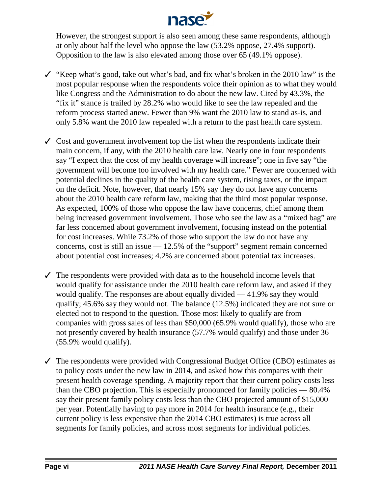

However, the strongest support is also seen among these same respondents, although at only about half the level who oppose the law (53.2% oppose, 27.4% support). Opposition to the law is also elevated among those over 65 (49.1% oppose).

- $\checkmark$  "Keep what's good, take out what's bad, and fix what's broken in the 2010 law" is the most popular response when the respondents voice their opinion as to what they would like Congress and the Administration to do about the new law. Cited by 43.3%, the "fix it" stance is trailed by 28.2% who would like to see the law repealed and the reform process started anew. Fewer than 9% want the 2010 law to stand as-is, and only 5.8% want the 2010 law repealed with a return to the past health care system.
- $\checkmark$  Cost and government involvement top the list when the respondents indicate their main concern, if any, with the 2010 health care law. Nearly one in four respondents say "I expect that the cost of my health coverage will increase"; one in five say "the government will become too involved with my health care." Fewer are concerned with potential declines in the quality of the health care system, rising taxes, or the impact on the deficit. Note, however, that nearly 15% say they do not have any concerns about the 2010 health care reform law, making that the third most popular response. As expected, 100% of those who oppose the law have concerns, chief among them being increased government involvement. Those who see the law as a "mixed bag" are far less concerned about government involvement, focusing instead on the potential for cost increases. While 73.2% of those who support the law do not have any concerns, cost is still an issue  $-12.5\%$  of the "support" segment remain concerned about potential cost increases; 4.2% are concerned about potential tax increases.
- $\checkmark$  The respondents were provided with data as to the household income levels that would qualify for assistance under the 2010 health care reform law, and asked if they would qualify. The responses are about equally divided — 41.9% say they would qualify; 45.6% say they would not. The balance (12.5%) indicated they are not sure or elected not to respond to the question. Those most likely to qualify are from companies with gross sales of less than \$50,000 (65.9% would qualify), those who are not presently covered by health insurance (57.7% would qualify) and those under 36 (55.9% would qualify).
- $\checkmark$  The respondents were provided with Congressional Budget Office (CBO) estimates as to policy costs under the new law in 2014, and asked how this compares with their present health coverage spending. A majority report that their current policy costs less than the CBO projection. This is especially pronounced for family policies — 80.4% say their present family policy costs less than the CBO projected amount of \$15,000 per year. Potentially having to pay more in 2014 for health insurance (e.g., their current policy is less expensive than the 2014 CBO estimates) is true across all segments for family policies, and across most segments for individual policies.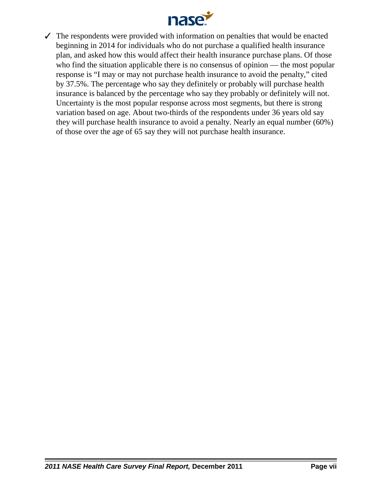

 $\checkmark$  The respondents were provided with information on penalties that would be enacted beginning in 2014 for individuals who do not purchase a qualified health insurance plan, and asked how this would affect their health insurance purchase plans. Of those who find the situation applicable there is no consensus of opinion — the most popular response is "I may or may not purchase health insurance to avoid the penalty," cited by 37.5%. The percentage who say they definitely or probably will purchase health insurance is balanced by the percentage who say they probably or definitely will not. Uncertainty is the most popular response across most segments, but there is strong variation based on age. About two-thirds of the respondents under 36 years old say they will purchase health insurance to avoid a penalty. Nearly an equal number (60%) of those over the age of 65 say they will not purchase health insurance.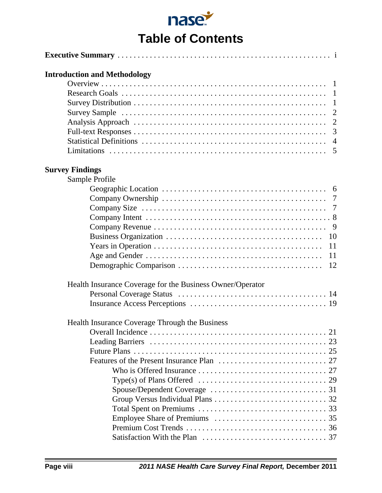| nase.                    |  |
|--------------------------|--|
| <b>Table of Contents</b> |  |

| <b>Introduction and Methodology</b>                       |                   |
|-----------------------------------------------------------|-------------------|
|                                                           |                   |
|                                                           |                   |
|                                                           |                   |
|                                                           |                   |
|                                                           |                   |
|                                                           |                   |
|                                                           |                   |
|                                                           |                   |
| <b>Survey Findings</b>                                    |                   |
| Sample Profile                                            |                   |
|                                                           |                   |
|                                                           |                   |
|                                                           |                   |
|                                                           |                   |
|                                                           |                   |
|                                                           |                   |
|                                                           | 11                |
|                                                           | 11                |
|                                                           |                   |
| Health Insurance Coverage for the Business Owner/Operator |                   |
|                                                           |                   |
|                                                           |                   |
| Health Insurance Coverage Through the Business            |                   |
| $Q_{\text{mean}}$ <sup>11</sup> Insidence                 | $\mathbf{\Omega}$ |

| icanii msurance Coverage Through the Dusiness                                         |  |
|---------------------------------------------------------------------------------------|--|
|                                                                                       |  |
|                                                                                       |  |
|                                                                                       |  |
|                                                                                       |  |
|                                                                                       |  |
| Type(s) of Plans Offered $\dots\dots\dots\dots\dots\dots\dots\dots\dots\dots\dots$ 29 |  |
|                                                                                       |  |
|                                                                                       |  |
|                                                                                       |  |
|                                                                                       |  |
|                                                                                       |  |
|                                                                                       |  |
|                                                                                       |  |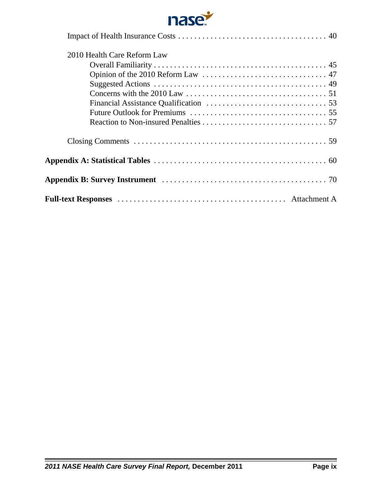

| 2010 Health Care Reform Law |
|-----------------------------|
|                             |
|                             |
|                             |
|                             |
|                             |
|                             |
|                             |
|                             |
|                             |
|                             |
|                             |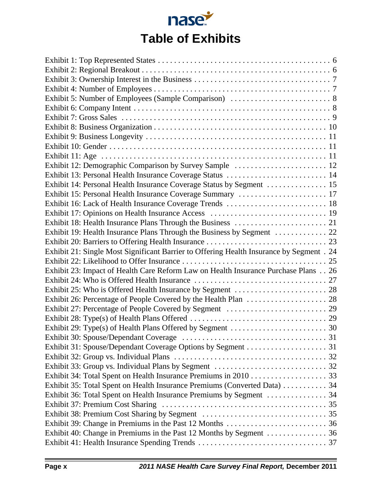

| Exhibit 12: Demographic Comparison by Survey Sample  12                                  |  |
|------------------------------------------------------------------------------------------|--|
| Exhibit 13: Personal Health Insurance Coverage Status  14                                |  |
| Exhibit 14: Personal Health Insurance Coverage Status by Segment  15                     |  |
| Exhibit 15: Personal Health Insurance Coverage Summary  17                               |  |
| Exhibit 16: Lack of Health Insurance Coverage Trends  18                                 |  |
|                                                                                          |  |
|                                                                                          |  |
| Exhibit 19: Health Insurance Plans Through the Business by Segment  22                   |  |
|                                                                                          |  |
| Exhibit 21: Single Most Significant Barrier to Offering Health Insurance by Segment . 24 |  |
|                                                                                          |  |
| Exhibit 23: Impact of Health Care Reform Law on Health Insurance Purchase Plans 26       |  |
|                                                                                          |  |
|                                                                                          |  |
|                                                                                          |  |
|                                                                                          |  |
|                                                                                          |  |
|                                                                                          |  |
|                                                                                          |  |
|                                                                                          |  |
|                                                                                          |  |
|                                                                                          |  |
|                                                                                          |  |
| Exhibit 35: Total Spent on Health Insurance Premiums (Converted Data)  34                |  |
|                                                                                          |  |
|                                                                                          |  |
|                                                                                          |  |
|                                                                                          |  |
|                                                                                          |  |
|                                                                                          |  |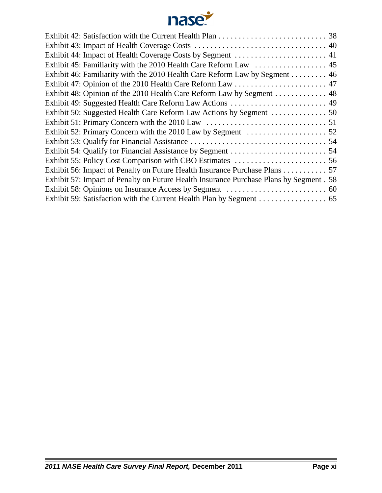

| Exhibit 46: Familiarity with the 2010 Health Care Reform Law by Segment 46              |
|-----------------------------------------------------------------------------------------|
|                                                                                         |
| Exhibit 48: Opinion of the 2010 Health Care Reform Law by Segment 48                    |
| Exhibit 49: Suggested Health Care Reform Law Actions  49                                |
|                                                                                         |
|                                                                                         |
|                                                                                         |
|                                                                                         |
|                                                                                         |
|                                                                                         |
| Exhibit 56: Impact of Penalty on Future Health Insurance Purchase Plans 57              |
| Exhibit 57: Impact of Penalty on Future Health Insurance Purchase Plans by Segment . 58 |
|                                                                                         |
|                                                                                         |
|                                                                                         |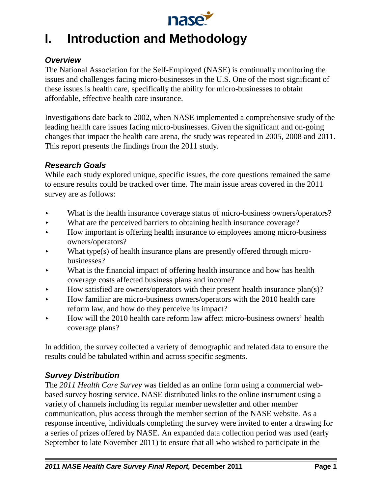

# **I. Introduction and Methodology**

# *Overview*

The National Association for the Self-Employed (NASE) is continually monitoring the issues and challenges facing micro-businesses in the U.S. One of the most significant of these issues is health care, specifically the ability for micro-businesses to obtain affordable, effective health care insurance.

Investigations date back to 2002, when NASE implemented a comprehensive study of the leading health care issues facing micro-businesses. Given the significant and on-going changes that impact the health care arena, the study was repeated in 2005, 2008 and 2011. This report presents the findings from the 2011 study.

### *Research Goals*

While each study explored unique, specific issues, the core questions remained the same to ensure results could be tracked over time. The main issue areas covered in the 2011 survey are as follows:

- What is the health insurance coverage status of micro-business owners/operators?
- What are the perceived barriers to obtaining health insurance coverage?
- < How important is offering health insurance to employees among micro-business owners/operators?
- $\blacktriangleright$  What type(s) of health insurance plans are presently offered through microbusinesses?
- What is the financial impact of offering health insurance and how has health coverage costs affected business plans and income?
- How satisfied are owners/operators with their present health insurance plan(s)?
- < How familiar are micro-business owners/operators with the 2010 health care reform law, and how do they perceive its impact?
- < How will the 2010 health care reform law affect micro-business owners' health coverage plans?

In addition, the survey collected a variety of demographic and related data to ensure the results could be tabulated within and across specific segments.

# *Survey Distribution*

The *2011 Health Care Survey* was fielded as an online form using a commercial webbased survey hosting service. NASE distributed links to the online instrument using a variety of channels including its regular member newsletter and other member communication, plus access through the member section of the NASE website. As a response incentive, individuals completing the survey were invited to enter a drawing for a series of prizes offered by NASE. An expanded data collection period was used (early September to late November 2011) to ensure that all who wished to participate in the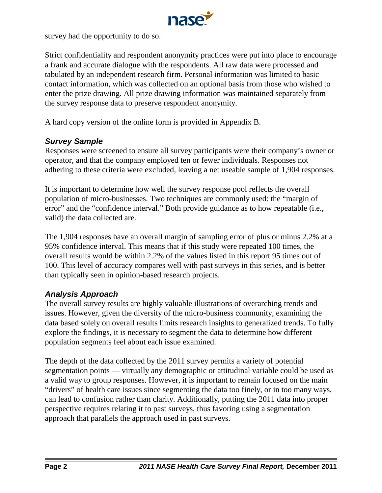

survey had the opportunity to do so.

Strict confidentiality and respondent anonymity practices were put into place to encourage a frank and accurate dialogue with the respondents. All raw data were processed and tabulated by an independent research firm. Personal information was limited to basic contact information, which was collected on an optional basis from those who wished to enter the prize drawing. All prize drawing information was maintained separately from the survey response data to preserve respondent anonymity.

A hard copy version of the online form is provided in Appendix B.

# *Survey Sample*

Responses were screened to ensure all survey participants were their company's owner or operator, and that the company employed ten or fewer individuals. Responses not adhering to these criteria were excluded, leaving a net useable sample of 1,904 responses.

It is important to determine how well the survey response pool reflects the overall population of micro-businesses. Two techniques are commonly used: the "margin of error" and the "confidence interval." Both provide guidance as to how repeatable (i.e., valid) the data collected are.

The 1,904 responses have an overall margin of sampling error of plus or minus 2.2% at a 95% confidence interval. This means that if this study were repeated 100 times, the overall results would be within 2.2% of the values listed in this report 95 times out of 100. This level of accuracy compares well with past surveys in this series, and is better than typically seen in opinion-based research projects.

### *Analysis Approach*

The overall survey results are highly valuable illustrations of overarching trends and issues. However, given the diversity of the micro-business community, examining the data based solely on overall results limits research insights to generalized trends. To fully explore the findings, it is necessary to segment the data to determine how different population segments feel about each issue examined.

The depth of the data collected by the 2011 survey permits a variety of potential segmentation points — virtually any demographic or attitudinal variable could be used as a valid way to group responses. However, it is important to remain focused on the main "drivers" of health care issues since segmenting the data too finely, or in too many ways, can lead to confusion rather than clarity. Additionally, putting the 2011 data into proper perspective requires relating it to past surveys, thus favoring using a segmentation approach that parallels the approach used in past surveys.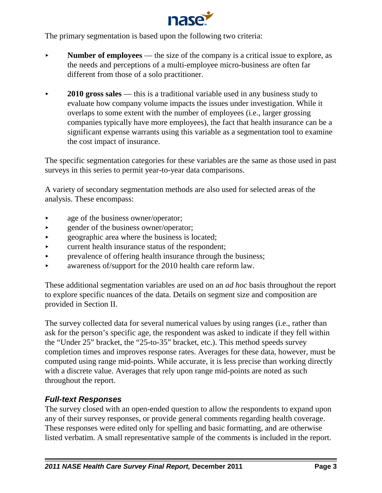

The primary segmentation is based upon the following two criteria:

- **Number of employees** the size of the company is a critical issue to explore, as the needs and perceptions of a multi-employee micro-business are often far different from those of a solo practitioner.
- **2010 gross sales** this is a traditional variable used in any business study to evaluate how company volume impacts the issues under investigation. While it overlaps to some extent with the number of employees (i.e., larger grossing companies typically have more employees), the fact that health insurance can be a significant expense warrants using this variable as a segmentation tool to examine the cost impact of insurance.

The specific segmentation categories for these variables are the same as those used in past surveys in this series to permit year-to-year data comparisons.

A variety of secondary segmentation methods are also used for selected areas of the analysis. These encompass:

- age of the business owner/operator;
- **Example 3** and gender of the business owner/operator;
- $\rightarrow$  geographic area where the business is located;
- $\triangleright$  current health insurance status of the respondent;
- < prevalence of offering health insurance through the business;
- $\blacktriangleright$  awareness of/support for the 2010 health care reform law.

These additional segmentation variables are used on an *ad hoc* basis throughout the report to explore specific nuances of the data. Details on segment size and composition are provided in Section II.

The survey collected data for several numerical values by using ranges (i.e., rather than ask for the person's specific age, the respondent was asked to indicate if they fell within the "Under 25" bracket, the "25-to-35" bracket, etc.). This method speeds survey completion times and improves response rates. Averages for these data, however, must be computed using range mid-points. While accurate, it is less precise than working directly with a discrete value. Averages that rely upon range mid-points are noted as such throughout the report.

# *Full-text Responses*

The survey closed with an open-ended question to allow the respondents to expand upon any of their survey responses, or provide general comments regarding health coverage. These responses were edited only for spelling and basic formatting, and are otherwise listed verbatim. A small representative sample of the comments is included in the report.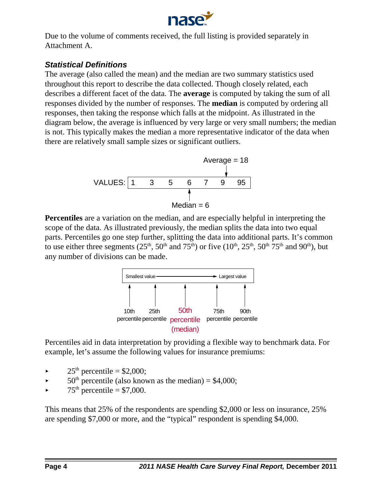

Due to the volume of comments received, the full listing is provided separately in Attachment A.

# *Statistical Definitions*

The average (also called the mean) and the median are two summary statistics used throughout this report to describe the data collected. Though closely related, each describes a different facet of the data. The **average** is computed by taking the sum of all responses divided by the number of responses. The **median** is computed by ordering all responses, then taking the response which falls at the midpoint. As illustrated in the diagram below, the average is influenced by very large or very small numbers; the median is not. This typically makes the median a more representative indicator of the data when there are relatively small sample sizes or significant outliers.



**Percentiles** are a variation on the median, and are especially helpful in interpreting the scope of the data. As illustrated previously, the median splits the data into two equal parts. Percentiles go one step further, splitting the data into additional parts. It's common to use either three segments ( $25<sup>th</sup>$ ,  $50<sup>th</sup>$  and  $75<sup>th</sup>$ ) or five ( $10<sup>th</sup>$ ,  $25<sup>th</sup>$ ,  $50<sup>th</sup>$ ,  $75<sup>th</sup>$  and  $90<sup>th</sup>$ ), but any number of divisions can be made.



Percentiles aid in data interpretation by providing a flexible way to benchmark data. For example, let's assume the following values for insurance premiums:

- $25<sup>th</sup>$  percentile = \$2,000;
- $\blacktriangleright$  50<sup>th</sup> percentile (also known as the median) = \$4,000;
- $75<sup>th</sup>$  percentile = \$7,000.

This means that 25% of the respondents are spending \$2,000 or less on insurance, 25% are spending \$7,000 or more, and the "typical" respondent is spending \$4,000.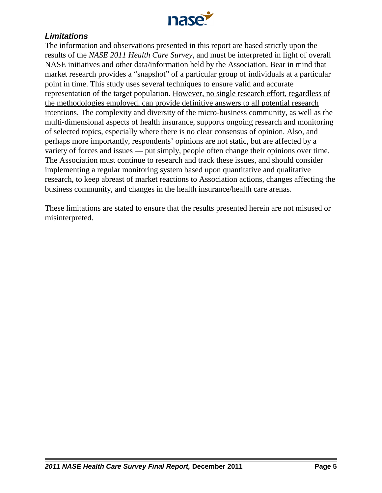

## *Limitations*

The information and observations presented in this report are based strictly upon the results of the *NASE 2011 Health Care Survey*, and must be interpreted in light of overall NASE initiatives and other data/information held by the Association. Bear in mind that market research provides a "snapshot" of a particular group of individuals at a particular point in time. This study uses several techniques to ensure valid and accurate representation of the target population. However, no single research effort, regardless of the methodologies employed, can provide definitive answers to all potential research intentions. The complexity and diversity of the micro-business community, as well as the multi-dimensional aspects of health insurance, supports ongoing research and monitoring of selected topics, especially where there is no clear consensus of opinion. Also, and perhaps more importantly, respondents' opinions are not static, but are affected by a variety of forces and issues — put simply, people often change their opinions over time. The Association must continue to research and track these issues, and should consider implementing a regular monitoring system based upon quantitative and qualitative research, to keep abreast of market reactions to Association actions, changes affecting the business community, and changes in the health insurance/health care arenas.

These limitations are stated to ensure that the results presented herein are not misused or misinterpreted.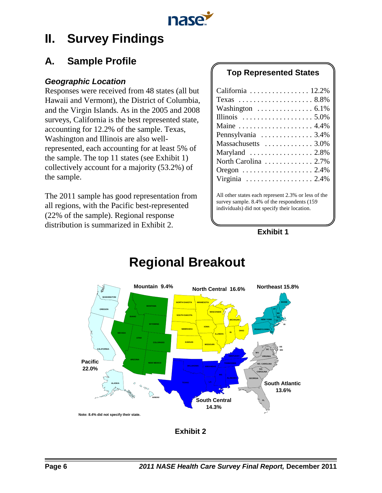

# **II. Survey Findings**

# **A. Sample Profile**

### *Geographic Location*

Responses were received from 48 states (all but Hawaii and Vermont), the District of Columbia, and the Virgin Islands. As in the 2005 and 2008 surveys, California is the best represented state, accounting for 12.2% of the sample. Texas, Washington and Illinois are also wellrepresented, each accounting for at least 5% of the sample. The top 11 states (see Exhibit 1) collectively account for a majority (53.2%) of the sample.

The 2011 sample has good representation from all regions, with the Pacific best-represented (22% of the sample). Regional response distribution is summarized in Exhibit 2.

# **Top Represented States**

| California $\ldots \ldots \ldots \ldots \ldots 12.2\%$   |
|----------------------------------------------------------|
| Texas $\ldots \ldots \ldots \ldots \ldots \ldots 8.8\%$  |
| Washington $\ldots \ldots \ldots \ldots 6.1\%$           |
| Illinois $\ldots \ldots \ldots \ldots \ldots 5.0\%$      |
| Maine $\ldots \ldots \ldots \ldots \ldots \ldots 4.4\%$  |
| Pennsylvania $\ldots \ldots \ldots \ldots 3.4\%$         |
| Massachusetts $\ldots \ldots \ldots \ldots 3.0\%$        |
| Maryland $\ldots \ldots \ldots \ldots \ldots 2.8\%$      |
| North Carolina  2.7%                                     |
| Oregon $\ldots \ldots \ldots \ldots \ldots \ldots 2.4\%$ |
| Virginia $\ldots \ldots \ldots \ldots \ldots 2.4\%$      |
|                                                          |

All other states each represent 2.3% or less of the survey sample. 8.4% of the respondents (159 individuals) did not specify their location.

#### **Exhibit 1**



# **Regional Breakout**

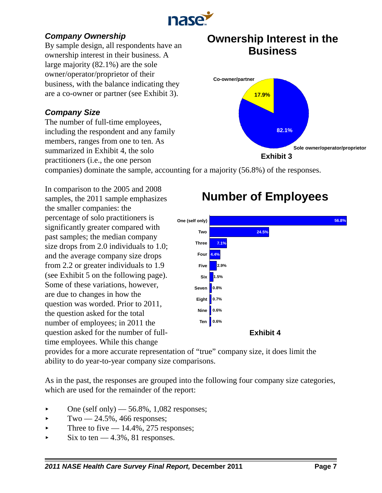

# *Company Ownership*

By sample design, all respondents have an ownership interest in their business. A large majority (82.1%) are the sole owner/operator/proprietor of their business, with the balance indicating they are a co-owner or partner (see Exhibit 3).

# *Company Size*

The number of full-time employees, including the respondent and any family members, ranges from one to ten. As summarized in Exhibit 4, the solo practitioners (i.e., the one person

# **Ownership Interest in the Business**



companies) dominate the sample, accounting for a majority (56.8%) of the responses.

In comparison to the 2005 and 2008 samples, the 2011 sample emphasizes the smaller companies: the percentage of solo practitioners is significantly greater compared with past samples; the median company size drops from 2.0 individuals to 1.0; and the average company size drops from 2.2 or greater individuals to 1.9 (see Exhibit 5 on the following page). Some of these variations, however, are due to changes in how the question was worded. Prior to 2011, the question asked for the total number of employees; in 2011 the question asked for the number of fulltime employees. While this change

# **Number of Employees**



provides for a more accurate representation of "true" company size, it does limit the ability to do year-to-year company size comparisons.

As in the past, the responses are grouped into the following four company size categories, which are used for the remainder of the report:

- One (self only)  $-56.8\%$ , 1,082 responses;
- $\blacktriangleright$  Two  $-24.5\%$ , 466 responses;
- Three to five  $-14.4\%, 275$  responses;
- $\blacktriangleright$  Six to ten  $-4.3\%$ , 81 responses.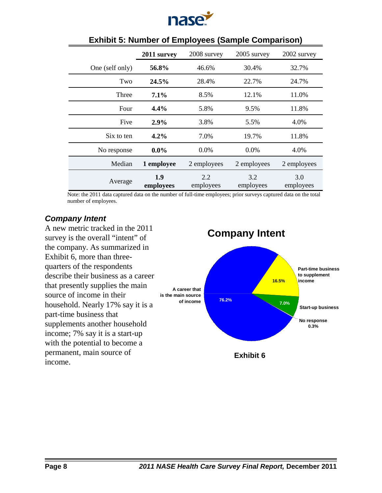

|                 | 2011 survey      | 2008 survey<br>2005 survey |                  | 2002 survey      |  |
|-----------------|------------------|----------------------------|------------------|------------------|--|
| One (self only) | 56.8%            | 46.6%                      | 30.4%            | 32.7%            |  |
| Two             | 24.5%            | 28.4%                      |                  | 24.7%            |  |
| Three           | $7.1\%$<br>8.5%  |                            | 12.1%            | 11.0%            |  |
| Four            | 4.4%<br>5.8%     |                            | 9.5%             | 11.8%            |  |
| Five            | 2.9%             | 3.8%                       | 5.5%             | 4.0%             |  |
| Six to ten      | 4.2%             |                            | 19.7%            | 11.8%            |  |
| No response     | $0.0\%$          | 0.0%                       | 0.0%             | 4.0%             |  |
| Median          | 1 employee       | 2 employees<br>2 employees |                  | 2 employees      |  |
| Average         | 1.9<br>employees | 2.2<br>employees           | 3.2<br>employees | 3.0<br>employees |  |

## **Exhibit 5: Number of Employees (Sample Comparison)**

Note: the 2011 data captured data on the number of full-time employees; prior surveys captured data on the total number of employees.

#### *Company Intent*

A new metric tracked in the 2011 survey is the overall "intent" of the company. As summarized in Exhibit 6, more than threequarters of the respondents describe their business as a career that presently supplies the main source of income in their household. Nearly 17% say it is a part-time business that supplements another household income; 7% say it is a start-up with the potential to become a permanent, main source of income.

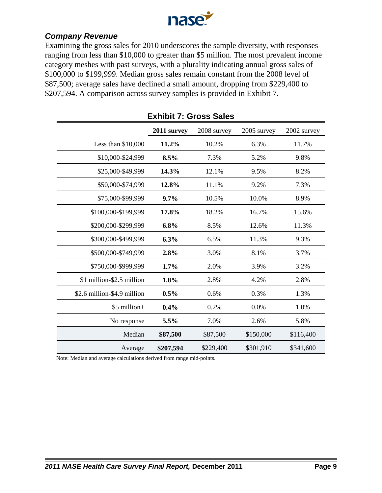

#### *Company Revenue*

Examining the gross sales for 2010 underscores the sample diversity, with responses ranging from less than \$10,000 to greater than \$5 million. The most prevalent income category meshes with past surveys, with a plurality indicating annual gross sales of \$100,000 to \$199,999. Median gross sales remain constant from the 2008 level of \$87,500; average sales have declined a small amount, dropping from \$229,400 to \$207,594. A comparison across survey samples is provided in Exhibit 7.

|                             | 2011 survey | 2008 survey | 2005 survey | 2002 survey |
|-----------------------------|-------------|-------------|-------------|-------------|
| Less than $$10,000$         | 11.2%       | 10.2%       | 6.3%        | 11.7%       |
| \$10,000-\$24,999           | 8.5%        | 7.3%        | 5.2%        | 9.8%        |
| \$25,000-\$49,999           | 14.3%       | 12.1%       | 9.5%        | 8.2%        |
| \$50,000-\$74,999           | 12.8%       | 11.1%       | 9.2%        | 7.3%        |
| \$75,000-\$99,999           | $9.7\%$     | 10.5%       | 10.0%       | 8.9%        |
| \$100,000-\$199,999         | 17.8%       | 18.2%       | 16.7%       | 15.6%       |
| \$200,000-\$299,999         | 6.8%        | 8.5%        | 12.6%       | 11.3%       |
| \$300,000-\$499,999         | 6.3%        | 6.5%        | 11.3%       | 9.3%        |
| \$500,000-\$749,999         | 2.8%        | 3.0%        | 8.1%        | 3.7%        |
| \$750,000-\$999,999         | 1.7%        | 2.0%        | 3.9%        | 3.2%        |
| \$1 million-\$2.5 million   | 1.8%        | 2.8%        | 4.2%        | 2.8%        |
| \$2.6 million-\$4.9 million | 0.5%        | 0.6%        | 0.3%        | 1.3%        |
| \$5 million+                | 0.4%        | 0.2%        | 0.0%        | 1.0%        |
| No response                 | 5.5%        | 7.0%        | 2.6%        | 5.8%        |
| Median                      | \$87,500    | \$87,500    | \$150,000   | \$116,400   |
| Average                     | \$207,594   | \$229,400   | \$301,910   | \$341,600   |

#### **Exhibit 7: Gross Sales**

Note: Median and average calculations derived from range mid-points.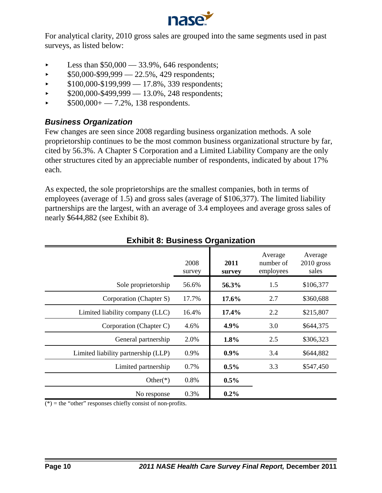

For analytical clarity, 2010 gross sales are grouped into the same segments used in past surveys, as listed below:

- $\blacktriangleright$  Less than \$50,000 33.9%, 646 respondents;
- $\triangleright$  \$50,000-\$99,999 22.5%, 429 respondents;
- $\blacktriangleright$  \$100,000-\$199,999 17.8%, 339 respondents;
- $$200,000-\$499,999-13.0\%$ , 248 respondents;
- $\triangleright$  \$500,000+ 7.2%, 138 respondents.

#### *Business Organization*

Few changes are seen since 2008 regarding business organization methods. A sole proprietorship continues to be the most common business organizational structure by far, cited by 56.3%. A Chapter S Corporation and a Limited Liability Company are the only other structures cited by an appreciable number of respondents, indicated by about 17% each.

As expected, the sole proprietorships are the smallest companies, both in terms of employees (average of 1.5) and gross sales (average of \$106,377). The limited liability partnerships are the largest, with an average of 3.4 employees and average gross sales of nearly \$644,882 (see Exhibit 8).

|                                     | 2008<br>survey | 2011<br>survey | Average<br>number of<br>employees | Average<br>$2010$ gross<br>sales |
|-------------------------------------|----------------|----------------|-----------------------------------|----------------------------------|
| Sole proprietorship                 | 56.6%          | 56.3%          | 1.5                               | \$106,377                        |
| Corporation (Chapter S)             | 17.7%          | $17.6\%$       | 2.7                               | \$360,688                        |
| Limited liability company (LLC)     | 16.4%          | 17.4%          | 2.2                               | \$215,807                        |
| Corporation (Chapter C)             | 4.6%           | $4.9\%$        | 3.0                               | \$644,375                        |
| General partnership                 | 2.0%           | 1.8%           | 2.5                               | \$306,323                        |
| Limited liability partnership (LLP) | 0.9%           | $0.9\%$        | 3.4                               | \$644,882                        |
| Limited partnership                 | 0.7%           | $0.5\%$        | 3.3                               | \$547,450                        |
| Other $(*)$                         | 0.8%           | $0.5\%$        |                                   |                                  |
| No response                         | 0.3%           | $0.2\%$        |                                   |                                  |

#### **Exhibit 8: Business Organization**

 $(*)$  = the "other" responses chiefly consist of non-profits.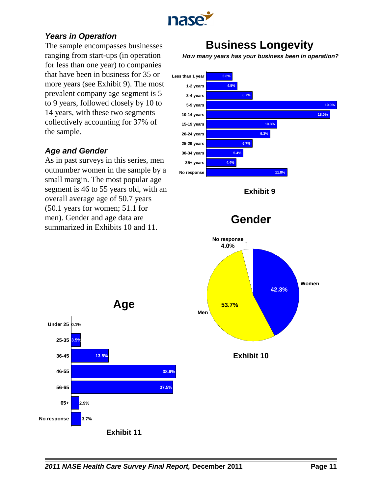

### *Years in Operation*

The sample encompasses businesses ranging from start-ups (in operation for less than one year) to companies that have been in business for 35 or more years (see Exhibit 9). The most prevalent company age segment is 5 to 9 years, followed closely by 10 to 14 years, with these two segments collectively accounting for 37% of the sample.

# *Age and Gender*

As in past surveys in this series, men outnumber women in the sample by a small margin. The most popular age segment is 46 to 55 years old, with an overall average age of 50.7 years (50.1 years for women; 51.1 for men). Gender and age data are summarized in Exhibits 10 and 11.

# **Business Longevity**

*How many years has your business been in operation?*



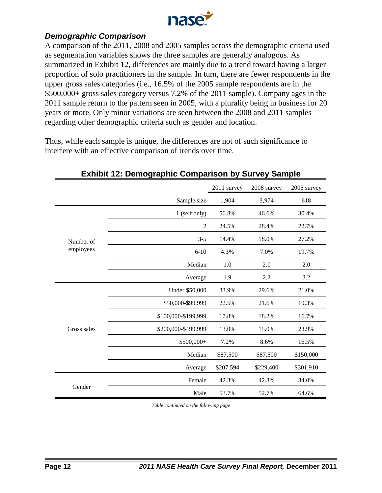

#### *Demographic Comparison*

A comparison of the 2011, 2008 and 2005 samples across the demographic criteria used as segmentation variables shows the three samples are generally analogous. As summarized in Exhibit 12, differences are mainly due to a trend toward having a larger proportion of solo practitioners in the sample. In turn, there are fewer respondents in the upper gross sales categories (i.e., 16.5% of the 2005 sample respondents are in the \$500,000+ gross sales category versus 7.2% of the 2011 sample). Company ages in the 2011 sample return to the pattern seen in 2005, with a plurality being in business for 20 years or more. Only minor variations are seen between the 2008 and 2011 samples regarding other demographic criteria such as gender and location.

Thus, while each sample is unique, the differences are not of such significance to interfere with an effective comparison of trends over time.

|             |                     | 2011 survey | 2008 survey | 2005 survey |
|-------------|---------------------|-------------|-------------|-------------|
|             | Sample size         | 1,904       | 3,974       | 618         |
|             | 1 (self only)       | 56.8%       | 46.6%       | 30.4%       |
|             | $\overline{2}$      | 24.5%       | 28.4%       | 22.7%       |
| Number of   | $3 - 5$             | 14.4%       | 18.0%       | 27.2%       |
| employees   | $6 - 10$            | 4.3%        | 7.0%        | 19.7%       |
|             | Median              | 1.0         | 2.0         | 2.0         |
|             | Average             | 1.9         | 2.2         | 3.2         |
|             | Under \$50,000      | 33.9%       | 29.6%       | 21.0%       |
|             | \$50,000-\$99,999   | 22.5%       | 21.6%       | 19.3%       |
|             | \$100,000-\$199,999 | 17.8%       | 18.2%       | 16.7%       |
| Gross sales | \$200,000-\$499,999 | 13.0%       | 15.0%       | 23.9%       |
|             | \$500,000+          | 7.2%        | 8.6%        | 16.5%       |
|             | Median              | \$87,500    | \$87,500    | \$150,000   |
|             | Average             | \$207,594   | \$229,400   | \$301,910   |
|             | Female              | 42.3%       | 42.3%       | 34.0%       |
| Gender      | Male                | 53.7%       | 52.7%       | 64.6%       |

#### **Exhibit 12: Demographic Comparison by Survey Sample**

*Table continued on the following page*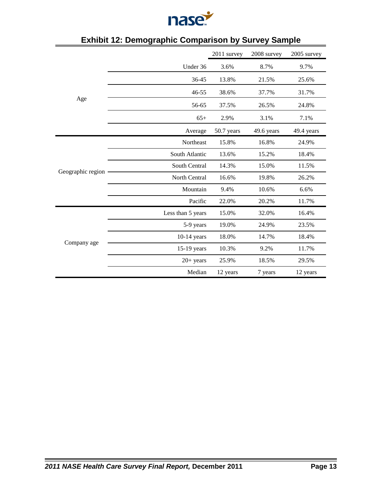

|                   |                   | 2011 survey | 2008 survey | 2005 survey |
|-------------------|-------------------|-------------|-------------|-------------|
|                   | Under 36          | 3.6%        | 8.7%        | 9.7%        |
|                   | 36-45             | 13.8%       | 21.5%       | 25.6%       |
|                   | $46 - 55$         | 38.6%       | 37.7%       | 31.7%       |
| Age               | 56-65             | 37.5%       | 26.5%       | 24.8%       |
|                   | $65+$             | 2.9%        | 3.1%        | 7.1%        |
|                   | Average           | 50.7 years  | 49.6 years  | 49.4 years  |
|                   | Northeast         | 15.8%       | 16.8%       | 24.9%       |
|                   | South Atlantic    | 13.6%       | 15.2%       | 18.4%       |
|                   | South Central     | 14.3%       | 15.0%       | 11.5%       |
| Geographic region | North Central     | 16.6%       | 19.8%       | 26.2%       |
|                   | Mountain          | 9.4%        | 10.6%       | 6.6%        |
|                   | Pacific           | 22.0%       | 20.2%       | 11.7%       |
|                   | Less than 5 years | 15.0%       | 32.0%       | 16.4%       |
|                   | 5-9 years         | 19.0%       | 24.9%       | 23.5%       |
|                   | $10-14$ years     | 18.0%       | 14.7%       | 18.4%       |
| Company age       | 15-19 years       | 10.3%       | 9.2%        | 11.7%       |
|                   | $20+$ years       | 25.9%       | 18.5%       | 29.5%       |
|                   | Median            | 12 years    | 7 years     | 12 years    |

# **Exhibit 12: Demographic Comparison by Survey Sample**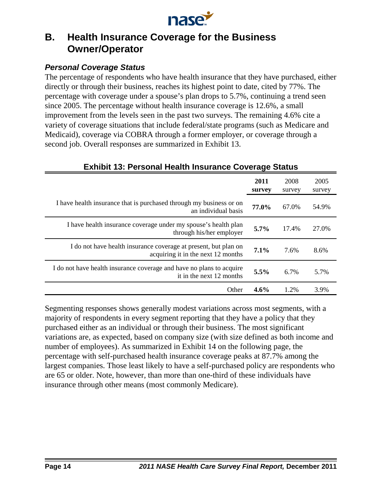

# **B. Health Insurance Coverage for the Business Owner/Operator**

### *Personal Coverage Status*

The percentage of respondents who have health insurance that they have purchased, either directly or through their business, reaches its highest point to date, cited by 77%. The percentage with coverage under a spouse's plan drops to 5.7%, continuing a trend seen since 2005. The percentage without health insurance coverage is 12.6%, a small improvement from the levels seen in the past two surveys. The remaining 4.6% cite a variety of coverage situations that include federal/state programs (such as Medicare and Medicaid), coverage via COBRA through a former employer, or coverage through a second job. Overall responses are summarized in Exhibit 13.

|                                                                                                       | 2011<br>survey | 2008<br>survey | 2005<br>survey |
|-------------------------------------------------------------------------------------------------------|----------------|----------------|----------------|
| I have health insurance that is purchased through my business or on<br>an individual basis            | 77.0%          | 67.0%          | 54.9%          |
| I have health insurance coverage under my spouse's health plan<br>through his/her employer            | $5.7\%$        | 17.4%          | 27.0%          |
| I do not have health insurance coverage at present, but plan on<br>acquiring it in the next 12 months | $7.1\%$        | 7.6%           | 8.6%           |
| I do not have health insurance coverage and have no plans to acquire<br>it in the next 12 months      | 5.5%           | 6.7%           | 5.7%           |
| Other                                                                                                 | $4.6\%$        | 1.2%           | 3.9%           |

### **Exhibit 13: Personal Health Insurance Coverage Status**

Segmenting responses shows generally modest variations across most segments, with a majority of respondents in every segment reporting that they have a policy that they purchased either as an individual or through their business. The most significant variations are, as expected, based on company size (with size defined as both income and number of employees). As summarized in Exhibit 14 on the following page, the percentage with self-purchased health insurance coverage peaks at 87.7% among the largest companies. Those least likely to have a self-purchased policy are respondents who are 65 or older. Note, however, than more than one-third of these individuals have insurance through other means (most commonly Medicare).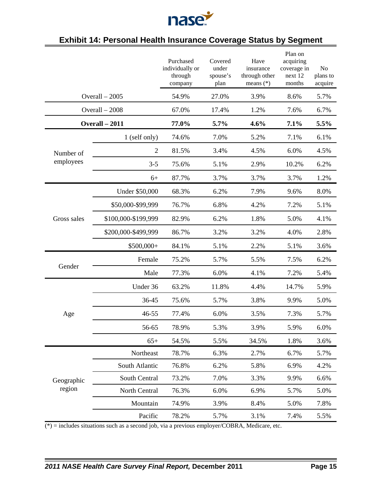

# **Exhibit 14: Personal Health Insurance Coverage Status by Segment**

|             |                     | Purchased<br>individually or<br>through<br>company | Covered<br>under<br>spouse's<br>plan | Have<br>insurance<br>through other<br>means $(*)$ | Plan on<br>acquiring<br>coverage in<br>next 12<br>months | No<br>plans to<br>acquire |
|-------------|---------------------|----------------------------------------------------|--------------------------------------|---------------------------------------------------|----------------------------------------------------------|---------------------------|
|             | Overall $-2005$     | 54.9%                                              | 27.0%                                | 3.9%                                              | 8.6%                                                     | 5.7%                      |
|             | Overall - 2008      | 67.0%                                              | 17.4%                                | 1.2%                                              | 7.6%                                                     | 6.7%                      |
|             | Overall - 2011      | 77.0%                                              | 5.7%                                 | 4.6%                                              | 7.1%                                                     | 5.5%                      |
|             | 1 (self only)       | 74.6%                                              | 7.0%                                 | 5.2%                                              | 7.1%                                                     | 6.1%                      |
| Number of   | $\overline{2}$      | 81.5%                                              | 3.4%                                 | 4.5%                                              | 6.0%                                                     | 4.5%                      |
| employees   | $3 - 5$             | 75.6%                                              | 5.1%                                 | 2.9%                                              | 10.2%                                                    | 6.2%                      |
|             | $6+$                | 87.7%                                              | 3.7%                                 | 3.7%                                              | 3.7%                                                     | 1.2%                      |
|             | Under \$50,000      | 68.3%                                              | 6.2%                                 | 7.9%                                              | 9.6%                                                     | 8.0%                      |
|             | \$50,000-\$99,999   | 76.7%                                              | 6.8%                                 | 4.2%                                              | 7.2%                                                     | 5.1%                      |
| Gross sales | \$100,000-\$199,999 | 82.9%                                              | 6.2%                                 | 1.8%                                              | 5.0%                                                     | 4.1%                      |
|             | \$200,000-\$499,999 | 86.7%                                              | 3.2%                                 | 3.2%                                              | 4.0%                                                     | 2.8%                      |
|             | $$500,000+$         | 84.1%                                              | 5.1%                                 | 2.2%                                              | 5.1%                                                     | 3.6%                      |
|             | Female              | 75.2%                                              | 5.7%                                 | 5.5%                                              | 7.5%                                                     | 6.2%                      |
| Gender      | Male                | 77.3%                                              | 6.0%                                 | 4.1%                                              | 7.2%                                                     | 5.4%                      |
|             | Under 36            | 63.2%                                              | 11.8%                                | 4.4%                                              | 14.7%                                                    | 5.9%                      |
|             | 36-45               | 75.6%                                              | 5.7%                                 | 3.8%                                              | 9.9%                                                     | 5.0%                      |
| Age         | 46-55               | 77.4%                                              | 6.0%                                 | 3.5%                                              | 7.3%                                                     | 5.7%                      |
|             | 56-65               | 78.9%                                              | 5.3%                                 | 3.9%                                              | 5.9%                                                     | 6.0%                      |
|             | $65+$               | 54.5%                                              | 5.5%                                 | 34.5%                                             | 1.8%                                                     | 3.6%                      |
|             | Northeast           | 78.7%                                              | 6.3%                                 | 2.7%                                              | 6.7%                                                     | 5.7%                      |
|             | South Atlantic      | 76.8%                                              | 6.2%                                 | 5.8%                                              | 6.9%                                                     | 4.2%                      |
| Geographic  | South Central       | 73.2%                                              | 7.0%                                 | 3.3%                                              | 9.9%                                                     | 6.6%                      |
| region      | North Central       | 76.3%                                              | 6.0%                                 | 6.9%                                              | 5.7%                                                     | 5.0%                      |
|             | Mountain            | 74.9%                                              | 3.9%                                 | 8.4%                                              | 5.0%                                                     | 7.8%                      |
|             | Pacific             | 78.2%                                              | 5.7%                                 | 3.1%                                              | 7.4%                                                     | 5.5%                      |

 $(*)$  = includes situations such as a second job, via a previous employer/COBRA, Medicare, etc.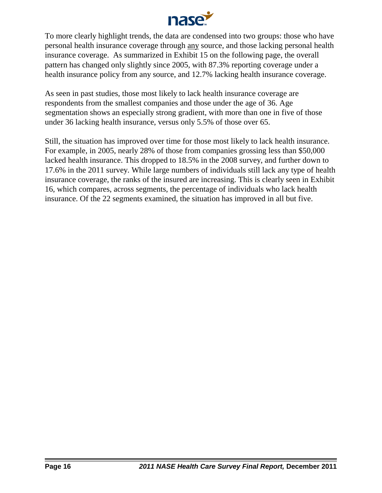

To more clearly highlight trends, the data are condensed into two groups: those who have personal health insurance coverage through any source, and those lacking personal health insurance coverage. As summarized in Exhibit 15 on the following page, the overall pattern has changed only slightly since 2005, with 87.3% reporting coverage under a health insurance policy from any source, and 12.7% lacking health insurance coverage.

As seen in past studies, those most likely to lack health insurance coverage are respondents from the smallest companies and those under the age of 36. Age segmentation shows an especially strong gradient, with more than one in five of those under 36 lacking health insurance, versus only 5.5% of those over 65.

Still, the situation has improved over time for those most likely to lack health insurance. For example, in 2005, nearly 28% of those from companies grossing less than \$50,000 lacked health insurance. This dropped to 18.5% in the 2008 survey, and further down to 17.6% in the 2011 survey. While large numbers of individuals still lack any type of health insurance coverage, the ranks of the insured are increasing. This is clearly seen in Exhibit 16, which compares, across segments, the percentage of individuals who lack health insurance. Of the 22 segments examined, the situation has improved in all but five.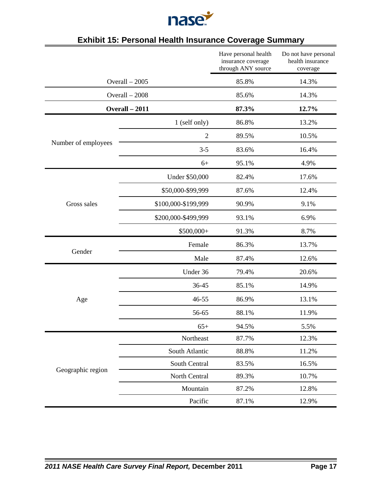

|                     |                     | Have personal health<br>insurance coverage<br>through ANY source | Do not have personal<br>health insurance<br>coverage |
|---------------------|---------------------|------------------------------------------------------------------|------------------------------------------------------|
|                     | Overall $-2005$     | 85.8%                                                            | 14.3%                                                |
|                     | Overall - 2008      | 85.6%                                                            | 14.3%                                                |
|                     | Overall - 2011      | 87.3%                                                            | 12.7%                                                |
|                     | 1 (self only)       | 86.8%                                                            | 13.2%                                                |
|                     | $\overline{2}$      | 89.5%                                                            | 10.5%                                                |
| Number of employees | $3 - 5$             | 83.6%                                                            | 16.4%                                                |
|                     | $6+$                | 95.1%                                                            | 4.9%                                                 |
|                     | Under \$50,000      | 82.4%                                                            | 17.6%                                                |
|                     | \$50,000-\$99,999   | 87.6%                                                            | 12.4%                                                |
| Gross sales         | \$100,000-\$199,999 | 90.9%                                                            | 9.1%                                                 |
|                     | \$200,000-\$499,999 | 93.1%                                                            | 6.9%                                                 |
|                     | \$500,000+          | 91.3%                                                            | 8.7%                                                 |
|                     | Female              | 86.3%                                                            | 13.7%                                                |
| Gender              | Male                | 87.4%                                                            | 12.6%                                                |
|                     | Under 36            | 79.4%                                                            | 20.6%                                                |
|                     | 36-45               | 85.1%                                                            | 14.9%                                                |
| Age                 | $46 - 55$           | 86.9%                                                            | 13.1%                                                |
|                     | 56-65               | 88.1%                                                            | 11.9%                                                |
|                     | $65+$               | 94.5%                                                            | 5.5%                                                 |
|                     | Northeast           | 87.7%                                                            | 12.3%                                                |
|                     | South Atlantic      | 88.8%                                                            | 11.2%                                                |
| Geographic region   | South Central       | 83.5%                                                            | 16.5%                                                |
|                     | North Central       | 89.3%                                                            | 10.7%                                                |
|                     | Mountain            | 87.2%                                                            | 12.8%                                                |
|                     | Pacific             | 87.1%                                                            | 12.9%                                                |

# **Exhibit 15: Personal Health Insurance Coverage Summary**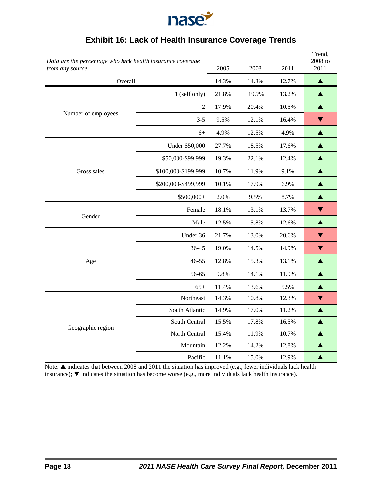

| Data are the percentage who lack health insurance coverage<br>from any source. |                     | 2005  | 2008  | 2011  | Trend,<br>2008 to<br>2011 |
|--------------------------------------------------------------------------------|---------------------|-------|-------|-------|---------------------------|
| Overall                                                                        |                     | 14.3% | 14.3% | 12.7% | ▲                         |
|                                                                                | 1 (self only)       | 21.8% | 19.7% | 13.2% | ▲                         |
|                                                                                | $\overline{2}$      | 17.9% | 20.4% | 10.5% | ▲                         |
| Number of employees                                                            | $3 - 5$             | 9.5%  | 12.1% | 16.4% | ▼                         |
|                                                                                | $6+$                | 4.9%  | 12.5% | 4.9%  | ▲                         |
|                                                                                | Under \$50,000      | 27.7% | 18.5% | 17.6% | ▲                         |
|                                                                                | \$50,000-\$99,999   | 19.3% | 22.1% | 12.4% | ▲                         |
| Gross sales                                                                    | \$100,000-\$199,999 | 10.7% | 11.9% | 9.1%  | ▲                         |
|                                                                                | \$200,000-\$499,999 | 10.1% | 17.9% | 6.9%  | ▲                         |
|                                                                                | $$500,000+$         | 2.0%  | 9.5%  | 8.7%  | ▲                         |
|                                                                                | Female              | 18.1% | 13.1% | 13.7% | $\blacktriangledown$      |
| Gender                                                                         | Male                | 12.5% | 15.8% | 12.6% | ▲                         |
|                                                                                | Under 36            | 21.7% | 13.0% | 20.6% | $\blacktriangledown$      |
|                                                                                | 36-45               | 19.0% | 14.5% | 14.9% | ▼                         |
| Age                                                                            | $46 - 55$           | 12.8% | 15.3% | 13.1% | ▲                         |
|                                                                                | 56-65               | 9.8%  | 14.1% | 11.9% | $\blacktriangle$          |
|                                                                                | $65+$               | 11.4% | 13.6% | 5.5%  | ▲                         |
|                                                                                | Northeast           | 14.3% | 10.8% | 12.3% | ▼                         |
|                                                                                | South Atlantic      | 14.9% | 17.0% | 11.2% | ▲                         |
| Geographic region                                                              | South Central       | 15.5% | 17.8% | 16.5% | ▲                         |
|                                                                                | North Central       | 15.4% | 11.9% | 10.7% | ▲                         |
|                                                                                | Mountain            | 12.2% | 14.2% | 12.8% | ▲                         |
|                                                                                | Pacific             | 11.1% | 15.0% | 12.9% | ▲                         |

# **Exhibit 16: Lack of Health Insurance Coverage Trends**

Note:  $\blacktriangle$  indicates that between 2008 and 2011 the situation has improved (e.g., fewer individuals lack health insurance);  $\nabla$  indicates the situation has become worse (e.g., more individuals lack health insurance).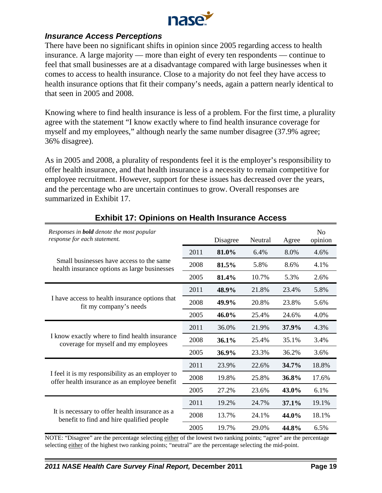

#### *Insurance Access Perceptions*

There have been no significant shifts in opinion since 2005 regarding access to health insurance. A large majority — more than eight of every ten respondents — continue to feel that small businesses are at a disadvantage compared with large businesses when it comes to access to health insurance. Close to a majority do not feel they have access to health insurance options that fit their company's needs, again a pattern nearly identical to that seen in 2005 and 2008.

Knowing where to find health insurance is less of a problem. For the first time, a plurality agree with the statement "I know exactly where to find health insurance coverage for myself and my employees," although nearly the same number disagree (37.9% agree; 36% disagree).

As in 2005 and 2008, a plurality of respondents feel it is the employer's responsibility to offer health insurance, and that health insurance is a necessity to remain competitive for employee recruitment. However, support for these issues has decreased over the years, and the percentage who are uncertain continues to grow. Overall responses are summarized in Exhibit 17.

| Responses in <b>bold</b> denote the most popular<br>response for each statement.                  |      | Disagree | Neutral | Agree | N <sub>0</sub><br>opinion |
|---------------------------------------------------------------------------------------------------|------|----------|---------|-------|---------------------------|
|                                                                                                   |      | 81.0%    | 6.4%    | 8.0%  | 4.6%                      |
| Small businesses have access to the same<br>health insurance options as large businesses          | 2008 | 81.5%    | 5.8%    | 8.6%  | 4.1%                      |
|                                                                                                   | 2005 | 81.4%    | 10.7%   | 5.3%  | 2.6%                      |
|                                                                                                   | 2011 | 48.9%    | 21.8%   | 23.4% | 5.8%                      |
| I have access to health insurance options that<br>fit my company's needs                          | 2008 | 49.9%    | 20.8%   | 23.8% | 5.6%                      |
|                                                                                                   | 2005 | 46.0%    | 25.4%   | 24.6% | 4.0%                      |
|                                                                                                   |      | 36.0%    | 21.9%   | 37.9% | 4.3%                      |
| I know exactly where to find health insurance<br>coverage for myself and my employees             | 2008 | 36.1%    | 25.4%   | 35.1% | 3.4%                      |
|                                                                                                   | 2005 | 36.9%    | 23.3%   | 36.2% | 3.6%                      |
|                                                                                                   | 2011 | 23.9%    | 22.6%   | 34.7% | 18.8%                     |
| I feel it is my responsibility as an employer to<br>offer health insurance as an employee benefit |      | 19.8%    | 25.8%   | 36.8% | 17.6%                     |
|                                                                                                   | 2005 | 27.2%    | 23.6%   | 43.0% | 6.1%                      |
|                                                                                                   | 2011 | 19.2%    | 24.7%   | 37.1% | 19.1%                     |
| It is necessary to offer health insurance as a<br>benefit to find and hire qualified people       | 2008 | 13.7%    | 24.1%   | 44.0% | 18.1%                     |
|                                                                                                   | 2005 | 19.7%    | 29.0%   | 44.8% | 6.5%                      |

# **Exhibit 17: Opinions on Health Insurance Access**

NOTE: "Disagree" are the percentage selecting either of the lowest two ranking points; "agree" are the percentage selecting either of the highest two ranking points; "neutral" are the percentage selecting the mid-point.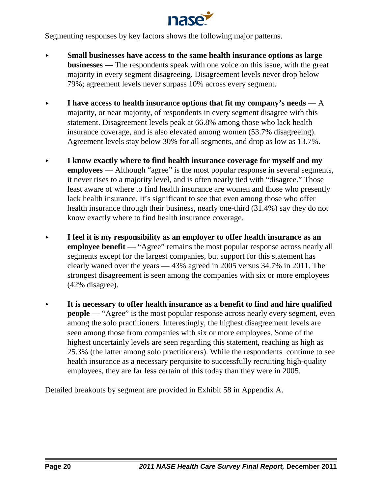

Segmenting responses by key factors shows the following major patterns.

- < **Small businesses have access to the same health insurance options as large businesses** — The respondents speak with one voice on this issue, with the great majority in every segment disagreeing. Disagreement levels never drop below 79%; agreement levels never surpass 10% across every segment.
- **Figure 1 have access to health insurance options that fit my company's needs**  $-A$ majority, or near majority, of respondents in every segment disagree with this statement. Disagreement levels peak at 66.8% among those who lack health insurance coverage, and is also elevated among women (53.7% disagreeing). Agreement levels stay below 30% for all segments, and drop as low as 13.7%.
- < **I know exactly where to find health insurance coverage for myself and my employees** — Although "agree" is the most popular response in several segments, it never rises to a majority level, and is often nearly tied with "disagree." Those least aware of where to find health insurance are women and those who presently lack health insurance. It's significant to see that even among those who offer health insurance through their business, nearly one-third (31.4%) say they do not know exactly where to find health insurance coverage.
- < **I feel it is my responsibility as an employer to offer health insurance as an employee benefit** — "Agree" remains the most popular response across nearly all segments except for the largest companies, but support for this statement has clearly waned over the years — 43% agreed in 2005 versus 34.7% in 2011. The strongest disagreement is seen among the companies with six or more employees (42% disagree).
- < **It is necessary to offer health insurance as a benefit to find and hire qualified people** — "Agree" is the most popular response across nearly every segment, even among the solo practitioners. Interestingly, the highest disagreement levels are seen among those from companies with six or more employees. Some of the highest uncertainly levels are seen regarding this statement, reaching as high as 25.3% (the latter among solo practitioners). While the respondents continue to see health insurance as a necessary perquisite to successfully recruiting high-quality employees, they are far less certain of this today than they were in 2005.

Detailed breakouts by segment are provided in Exhibit 58 in Appendix A.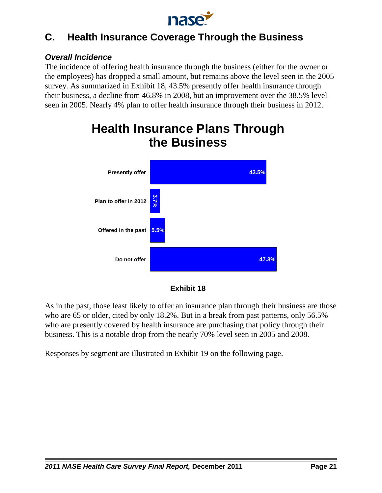

# **C. Health Insurance Coverage Through the Business**

### *Overall Incidence*

The incidence of offering health insurance through the business (either for the owner or the employees) has dropped a small amount, but remains above the level seen in the 2005 survey. As summarized in Exhibit 18, 43.5% presently offer health insurance through their business, a decline from 46.8% in 2008, but an improvement over the 38.5% level seen in 2005. Nearly 4% plan to offer health insurance through their business in 2012.



# **Health Insurance Plans Through the Business**



As in the past, those least likely to offer an insurance plan through their business are those who are 65 or older, cited by only 18.2%. But in a break from past patterns, only 56.5% who are presently covered by health insurance are purchasing that policy through their business. This is a notable drop from the nearly 70% level seen in 2005 and 2008.

Responses by segment are illustrated in Exhibit 19 on the following page.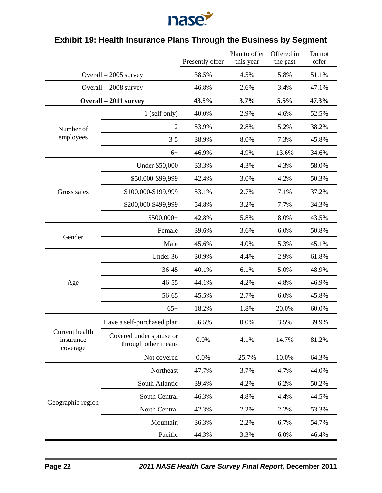

|                                         |                                                | Presently offer | Plan to offer<br>this year | Offered in<br>the past | Do not<br>offer |
|-----------------------------------------|------------------------------------------------|-----------------|----------------------------|------------------------|-----------------|
|                                         | Overall $-2005$ survey                         | 38.5%           | 4.5%                       | 5.8%                   | 51.1%           |
|                                         | Overall $-2008$ survey                         | 46.8%           | 2.6%                       | 3.4%                   | 47.1%           |
|                                         | Overall - 2011 survey                          | 43.5%           | 3.7%                       | 5.5%                   | 47.3%           |
|                                         | 1 (self only)                                  | 40.0%           | 2.9%                       | 4.6%                   | 52.5%           |
| Number of                               | $\overline{2}$                                 | 53.9%           | 2.8%                       | 5.2%                   | 38.2%           |
| employees                               | $3 - 5$                                        | 38.9%           | 8.0%                       | 7.3%                   | 45.8%           |
|                                         | $6+$                                           | 46.9%           | 4.9%                       | 13.6%                  | 34.6%           |
|                                         | Under \$50,000                                 | 33.3%           | 4.3%                       | 4.3%                   | 58.0%           |
|                                         | \$50,000-\$99,999                              | 42.4%           | 3.0%                       | 4.2%                   | 50.3%           |
| Gross sales                             | \$100,000-\$199,999                            | 53.1%           | 2.7%                       | 7.1%                   | 37.2%           |
|                                         | \$200,000-\$499,999                            | 54.8%           | 3.2%                       | 7.7%                   | 34.3%           |
|                                         | \$500,000+                                     | 42.8%           | 5.8%                       | 8.0%                   | 43.5%           |
|                                         | Female                                         | 39.6%           | 3.6%                       | 6.0%                   | 50.8%           |
| Gender                                  | Male                                           | 45.6%           | 4.0%                       | 5.3%                   | 45.1%           |
|                                         | Under 36                                       | 30.9%           | 4.4%                       | 2.9%                   | 61.8%           |
|                                         | 36-45                                          | 40.1%           | 6.1%                       | 5.0%                   | 48.9%           |
| Age                                     | 46-55                                          | 44.1%           | 4.2%                       | 4.8%                   | 46.9%           |
|                                         | 56-65                                          | 45.5%           | 2.7%                       | 6.0%                   | 45.8%           |
|                                         | $65+$                                          | 18.2%           | 1.8%                       | 20.0%                  | 60.0%           |
|                                         | Have a self-purchased plan                     | 56.5%           | 0.0%                       | 3.5%                   | 39.9%           |
| Current health<br>insurance<br>coverage | Covered under spouse or<br>through other means | 0.0%            | 4.1%                       | 14.7%                  | 81.2%           |
|                                         | Not covered                                    | 0.0%            | 25.7%                      | 10.0%                  | 64.3%           |
|                                         | Northeast                                      | 47.7%           | 3.7%                       | 4.7%                   | 44.0%           |
|                                         | South Atlantic                                 | 39.4%           | 4.2%                       | 6.2%                   | 50.2%           |
|                                         | South Central                                  | 46.3%           | 4.8%                       | 4.4%                   | 44.5%           |
| Geographic region                       | North Central                                  | 42.3%           | 2.2%                       | 2.2%                   | 53.3%           |
|                                         | Mountain                                       | 36.3%           | 2.2%                       | 6.7%                   | 54.7%           |
|                                         | Pacific                                        | 44.3%           | 3.3%                       | 6.0%                   | 46.4%           |

# **Exhibit 19: Health Insurance Plans Through the Business by Segment**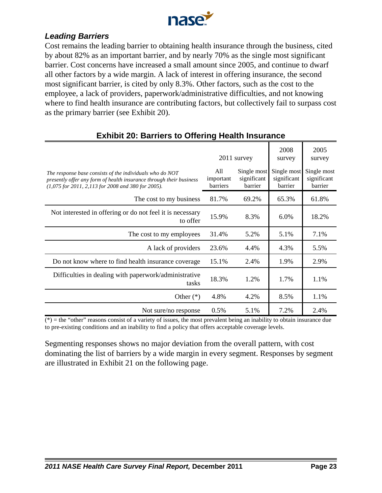

### *Leading Barriers*

Cost remains the leading barrier to obtaining health insurance through the business, cited by about 82% as an important barrier, and by nearly 70% as the single most significant barrier. Cost concerns have increased a small amount since 2005, and continue to dwarf all other factors by a wide margin. A lack of interest in offering insurance, the second most significant barrier, is cited by only 8.3%. Other factors, such as the cost to the employee, a lack of providers, paperwork/administrative difficulties, and not knowing where to find health insurance are contributing factors, but collectively fail to surpass cost as the primary barrier (see Exhibit 20).

| $m_{\rm H}$ = $\sim$ . Darnord to Undring nouter mourance                                                                                                                             |                              |                                       |                                       |                                       |
|---------------------------------------------------------------------------------------------------------------------------------------------------------------------------------------|------------------------------|---------------------------------------|---------------------------------------|---------------------------------------|
|                                                                                                                                                                                       |                              | 2011 survey                           | 2008<br>survey                        | 2005<br>survey                        |
| The response base consists of the individuals who do NOT<br>presently offer any form of health insurance through their business<br>(1,075 for 2011, 2,113 for 2008 and 380 for 2005). | All<br>important<br>barriers | Single most<br>significant<br>barrier | Single most<br>significant<br>barrier | Single most<br>significant<br>barrier |
| The cost to my business                                                                                                                                                               | 81.7%                        | 69.2%                                 | 65.3%                                 | 61.8%                                 |
| Not interested in offering or do not feel it is necessary<br>to offer                                                                                                                 | 15.9%                        | 8.3%                                  | 6.0%                                  | 18.2%                                 |
| The cost to my employees                                                                                                                                                              | 31.4%                        | 5.2%                                  | 5.1%                                  | 7.1%                                  |
| A lack of providers                                                                                                                                                                   | 23.6%                        | 4.4%                                  | 4.3%                                  | 5.5%                                  |
| Do not know where to find health insurance coverage                                                                                                                                   | 15.1%                        | 2.4%                                  | 1.9%                                  | 2.9%                                  |
| Difficulties in dealing with paperwork/administrative<br>tasks                                                                                                                        | 18.3%                        | 1.2%                                  | 1.7%                                  | 1.1%                                  |
| Other $(*)$                                                                                                                                                                           | 4.8%                         | 4.2%                                  | 8.5%                                  | 1.1%                                  |
| Not sure/no response                                                                                                                                                                  | 0.5%                         | 5.1%                                  | 7.2%                                  | 2.4%                                  |

## **Exhibit 20: Barriers to Offering Health Insurance**

 $(*)$  = the "other" reasons consist of a variety of issues, the most prevalent being an inability to obtain insurance due to pre-existing conditions and an inability to find a policy that offers acceptable coverage levels.

Segmenting responses shows no major deviation from the overall pattern, with cost dominating the list of barriers by a wide margin in every segment. Responses by segment are illustrated in Exhibit 21 on the following page.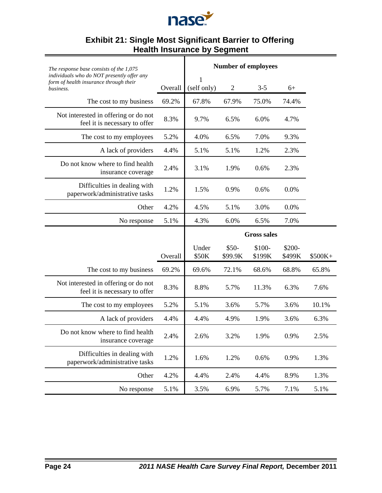

#### **Exhibit 21: Single Most Significant Barrier to Offering Health Insurance by Segment**

| The response base consists of the 1,075                                                           |         |                    |                   | <b>Number of employees</b> |                  |          |
|---------------------------------------------------------------------------------------------------|---------|--------------------|-------------------|----------------------------|------------------|----------|
| individuals who do NOT presently offer any<br>form of health insurance through their<br>business. | Overall | 1<br>(self only)   | $\sqrt{2}$        | $3 - 5$                    | $6+$             |          |
| The cost to my business                                                                           | 69.2%   | 67.8%              | 67.9%             | 75.0%                      | 74.4%            |          |
| Not interested in offering or do not<br>feel it is necessary to offer                             | 8.3%    | 9.7%               | 6.5%              | 6.0%                       | 4.7%             |          |
| The cost to my employees                                                                          | 5.2%    | 4.0%               | 6.5%              | 7.0%                       | 9.3%             |          |
| A lack of providers                                                                               | 4.4%    | 5.1%               | 5.1%              | 1.2%                       | 2.3%             |          |
| Do not know where to find health<br>insurance coverage                                            | 2.4%    | 3.1%               | 1.9%              | 0.6%                       | 2.3%             |          |
| Difficulties in dealing with<br>paperwork/administrative tasks                                    | 1.2%    | 1.5%               | 0.9%              | 0.6%                       | 0.0%             |          |
| Other                                                                                             | 4.2%    | 4.5%               | 5.1%              | 3.0%                       | 0.0%             |          |
| No response                                                                                       | 5.1%    | 4.3%               | 6.0%              | 6.5%                       | 7.0%             |          |
|                                                                                                   |         | <b>Gross sales</b> |                   |                            |                  |          |
|                                                                                                   |         |                    |                   |                            |                  |          |
|                                                                                                   | Overall | Under<br>\$50K     | $$50-$<br>\$99.9K | \$100-<br>\$199K           | \$200-<br>\$499K | $$500K+$ |
| The cost to my business                                                                           | 69.2%   | 69.6%              | 72.1%             | 68.6%                      | 68.8%            | 65.8%    |
| Not interested in offering or do not<br>feel it is necessary to offer                             | 8.3%    | 8.8%               | 5.7%              | 11.3%                      | 6.3%             | 7.6%     |
| The cost to my employees                                                                          | 5.2%    | 5.1%               | 3.6%              | 5.7%                       | 3.6%             | 10.1%    |
| A lack of providers                                                                               | 4.4%    | 4.4%               | 4.9%              | 1.9%                       | 3.6%             | 6.3%     |
| Do not know where to find health<br>insurance coverage                                            | 2.4%    | 2.6%               | 3.2%              | 1.9%                       | 0.9%             | 2.5%     |
| Difficulties in dealing with<br>paperwork/administrative tasks                                    | 1.2%    | 1.6%               | 1.2%              | 0.6%                       | 0.9%             | 1.3%     |
| Other                                                                                             | 4.2%    | 4.4%               | 2.4%              | 4.4%                       | 8.9%             | 1.3%     |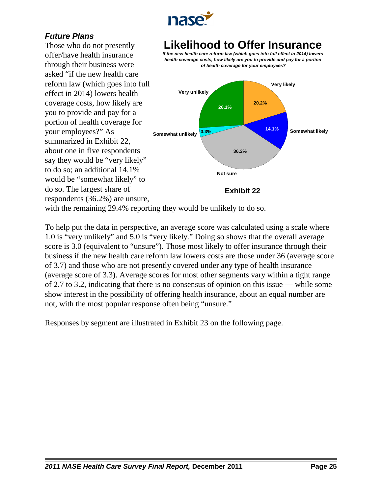

# *Future Plans*

Those who do not presently offer/have health insurance through their business were asked "if the new health care reform law (which goes into full effect in 2014) lowers health coverage costs, how likely are you to provide and pay for a portion of health coverage for your employees?" As summarized in Exhibit 22, about one in five respondents say they would be "very likely" to do so; an additional 14.1% would be "somewhat likely" to do so. The largest share of respondents (36.2%) are unsure,

# **Likelihood to Offer Insurance**

*If the new health care reform law (which goes into full effect in 2014) lowers health coverage costs, how likely are you to provide and pay for a portion of health coverage for your employees?*



with the remaining 29.4% reporting they would be unlikely to do so.

To help put the data in perspective, an average score was calculated using a scale where 1.0 is "very unlikely" and 5.0 is "very likely." Doing so shows that the overall average score is 3.0 (equivalent to "unsure"). Those most likely to offer insurance through their business if the new health care reform law lowers costs are those under 36 (average score of 3.7) and those who are not presently covered under any type of health insurance (average score of 3.3). Average scores for most other segments vary within a tight range of 2.7 to 3.2, indicating that there is no consensus of opinion on this issue — while some show interest in the possibility of offering health insurance, about an equal number are not, with the most popular response often being "unsure."

Responses by segment are illustrated in Exhibit 23 on the following page.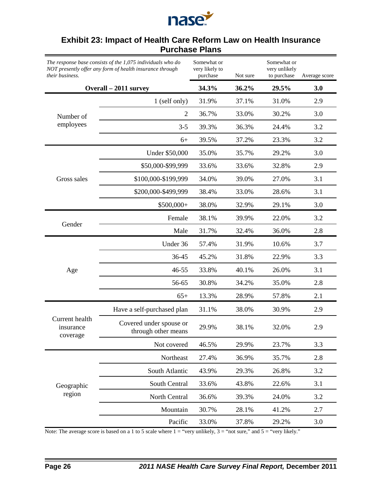

### **Exhibit 23: Impact of Health Care Reform Law on Health Insurance Purchase Plans**

*The response base consists of the 1,075 individuals who do NOT presently offer any form of health insurance through their business.* Somewhat or very likely to purchase Not sure Somewhat or very unlikely to purchase Average score **Overall – 2011 survey 34.3% 36.2% 29.5% 3.0** Number of employees 1 (self only) 31.9% 37.1% 31.0% 2.9 2 36.7% 33.0% 30.2% 3.0 3-5 39.3% 36.3% 24.4% 3.2 6+ 39.5% 37.2% 23.3% 3.2 Gross sales Under \$50,000 35.0% 35.7% 29.2% 3.0 \$50,000-\$99,999 33.6% 33.6% 32.8% 2.9 \$100,000-\$199,999 34.0% 39.0% 27.0% 3.1 \$200,000-\$499,999 38.4% 33.0% 28.6% 3.1 \$500,000+ 38.0% 32.9% 29.1% 3.0 Gender Female 38.1% 39.9% 22.0% 3.2 Male 31.7% 32.4% 36.0% 2.8 Age Under 36 57.4% 31.9% 10.6% 3.7 36-45 45.2% 31.8% 22.9% 3.3 46-55 33.8% 40.1% 26.0% 3.1 56-65 30.8% 34.2% 35.0% 2.8 65+ 13.3% 28.9% 57.8% 2.1 Current health insurance coverage Have a self-purchased plan 31.1% 38.0% 30.9% 2.9 Covered under spouse or through other means 29.9% 38.1% 32.0% 2.9 Not covered 46.5% 29.9% 23.7% 3.3 Geographic region Northeast 27.4% 36.9% 35.7% 2.8 South Atlantic 43.9% 29.3% 26.8% 3.2 South Central 33.6% 43.8% 22.6% 3.1 North Central 36.6% 39.3% 24.0% 3.2 Mountain 30.7% 28.1% 41.2% 2.7 Pacific 33.0% 37.8% 29.2% 3.0

Note: The average score is based on a 1 to 5 scale where  $1 =$  "very unlikely,  $3 =$  "not sure," and  $5 =$  "very likely."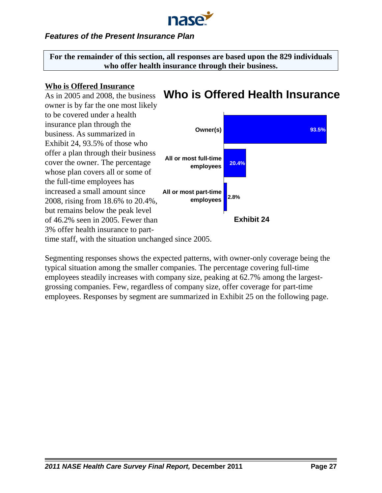

## *Features of the Present Insurance Plan*

**For the remainder of this section, all responses are based upon the 829 individuals who offer health insurance through their business.**

### **Who is Offered Insurance**

# **Who is Offered Health Insurance**

As in 2005 and 2008, the business owner is by far the one most likely to be covered under a health insurance plan through the business. As summarized in Exhibit 24, 93.5% of those who offer a plan through their business cover the owner. The percentage whose plan covers all or some of the full-time employees has increased a small amount since 2008, rising from 18.6% to 20.4%, but remains below the peak level of 46.2% seen in 2005. Fewer than 3% offer health insurance to parttime staff, with the situation unchanged since 2005.



Segmenting responses shows the expected patterns, with owner-only coverage being the typical situation among the smaller companies. The percentage covering full-time employees steadily increases with company size, peaking at 62.7% among the largestgrossing companies. Few, regardless of company size, offer coverage for part-time employees. Responses by segment are summarized in Exhibit 25 on the following page.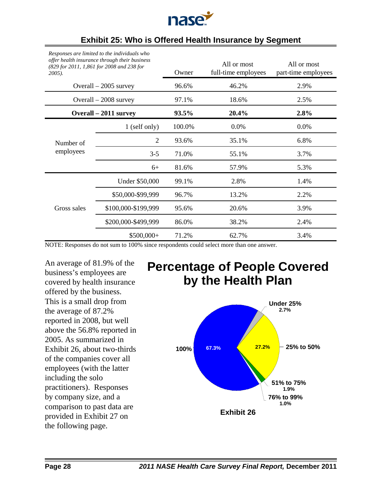

| $2005$ ).              | Responses are umued to the individuals who<br>offer health insurance through their business<br>(829 for 2011, 1,861 for 2008 and 238 for | Owner  | All or most<br>full-time employees | All or most<br>part-time employees |
|------------------------|------------------------------------------------------------------------------------------------------------------------------------------|--------|------------------------------------|------------------------------------|
|                        | Overall $-2005$ survey                                                                                                                   | 96.6%  | 46.2%                              | 2.9%                               |
| Overall $-2008$ survey |                                                                                                                                          | 97.1%  | 18.6%                              | 2.5%                               |
|                        | Overall – 2011 survey                                                                                                                    | 93.5%  | 20.4%                              | 2.8%                               |
|                        | 1 (self only)                                                                                                                            | 100.0% | 0.0%                               | 0.0%                               |
| Number of              | $\overline{2}$                                                                                                                           | 93.6%  | 35.1%                              | 6.8%                               |
| employees              | $3 - 5$                                                                                                                                  | 71.0%  | 55.1%                              | 3.7%                               |
|                        | $6+$                                                                                                                                     | 81.6%  | 57.9%                              | 5.3%                               |
|                        | Under \$50,000                                                                                                                           | 99.1%  | 2.8%                               | 1.4%                               |
|                        | \$50,000-\$99,999                                                                                                                        | 96.7%  | 13.2%                              | 2.2%                               |
| Gross sales            | \$100,000-\$199,999                                                                                                                      | 95.6%  | 20.6%                              | 3.9%                               |
|                        | \$200,000-\$499,999                                                                                                                      | 86.0%  | 38.2%                              | 2.4%                               |
|                        | $$500,000+$                                                                                                                              | 71.2%  | 62.7%                              | 3.4%                               |
|                        |                                                                                                                                          |        |                                    |                                    |

## **Exhibit 25: Who is Offered Health Insurance by Segment**

*Responses are limited to the individuals who*

NOTE: Responses do not sum to 100% since respondents could select more than one answer.

An average of 81.9% of the business's employees are covered by health insurance offered by the business. This is a small drop from the average of 87.2% reported in 2008, but well above the 56.8% reported in 2005. As summarized in Exhibit 26, about two-thirds of the companies cover all employees (with the latter including the solo practitioners). Responses by company size, and a comparison to past data are provided in Exhibit 27 on the following page.

# **Percentage of People Covered by the Health Plan**

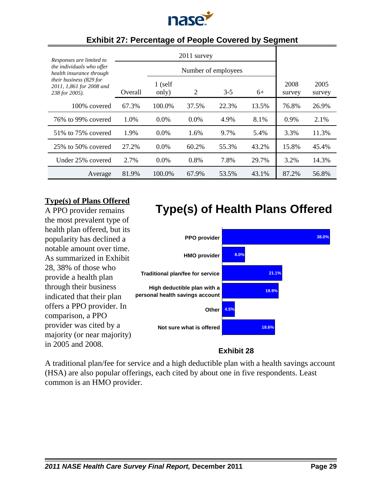

| Responses are limited to                                              | 2011 survey         |                    |         |       |       |                |                |
|-----------------------------------------------------------------------|---------------------|--------------------|---------|-------|-------|----------------|----------------|
| the individuals who offer<br>health insurance through                 | Number of employees |                    |         |       |       |                |                |
| their business (829 for<br>2011, 1,861 for 2008 and<br>238 for 2005). | Overall             | $1$ (self<br>only) | 2       | $3-5$ | $6+$  | 2008<br>survey | 2005<br>survey |
| 100% covered                                                          | 67.3%               | 100.0%             | 37.5%   | 22.3% | 13.5% | 76.8%          | 26.9%          |
| 76% to 99% covered                                                    | 1.0%                | $0.0\%$            | $0.0\%$ | 4.9%  | 8.1%  | $0.9\%$        | 2.1%           |
| 51\% to 75\% covered                                                  | 1.9%                | $0.0\%$            | 1.6%    | 9.7%  | 5.4%  | 3.3%           | 11.3%          |
| $25\%$ to 50% covered                                                 | 27.2%               | $0.0\%$            | 60.2%   | 55.3% | 43.2% | 15.8%          | 45.4%          |
| Under 25% covered                                                     | 2.7%                | $0.0\%$            | 0.8%    | 7.8%  | 29.7% | 3.2%           | 14.3%          |
| Average                                                               | 81.9%               | 100.0%             | 67.9%   | 53.5% | 43.1% | 87.2%          | 56.8%          |

## **Exhibit 27: Percentage of People Covered by Segment**

## **Type(s) of Plans Offered**

A PPO provider remains the most prevalent type of health plan offered, but its popularity has declined a notable amount over time. As summarized in Exhibit 28, 38% of those who provide a health plan through their business indicated that their plan offers a PPO provider. In comparison, a PPO provider was cited by a majority (or near majority) in 2005 and 2008.



**Type(s) of Health Plans Offered**

## **Exhibit 28**

A traditional plan/fee for service and a high deductible plan with a health savings account (HSA) are also popular offerings, each cited by about one in five respondents. Least common is an HMO provider.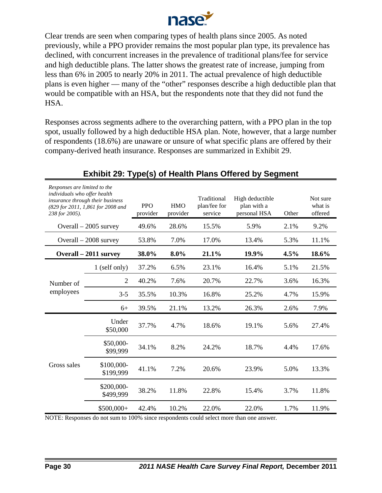

Clear trends are seen when comparing types of health plans since 2005. As noted previously, while a PPO provider remains the most popular plan type, its prevalence has declined, with concurrent increases in the prevalence of traditional plans/fee for service and high deductible plans. The latter shows the greatest rate of increase, jumping from less than 6% in 2005 to nearly 20% in 2011. The actual prevalence of high deductible plans is even higher — many of the "other" responses describe a high deductible plan that would be compatible with an HSA, but the respondents note that they did not fund the HSA.

Responses across segments adhere to the overarching pattern, with a PPO plan in the top spot, usually followed by a high deductible HSA plan. Note, however, that a large number of respondents (18.6%) are unaware or unsure of what specific plans are offered by their company-derived heath insurance. Responses are summarized in Exhibit 29.

| Responses are limited to the<br>individuals who offer health<br>238 for 2005). | insurance through their business<br>(829 for 2011, 1,861 for 2008 and | <b>PPO</b><br>provider | <b>HMO</b><br>provider | Traditional<br>plan/fee for<br>service | High deductible<br>plan with a<br>personal HSA | Other | Not sure<br>what is<br>offered |
|--------------------------------------------------------------------------------|-----------------------------------------------------------------------|------------------------|------------------------|----------------------------------------|------------------------------------------------|-------|--------------------------------|
|                                                                                | Overall $-2005$ survey                                                | 49.6%                  | 28.6%                  | 15.5%                                  | 5.9%                                           | 2.1%  | 9.2%                           |
|                                                                                | Overall - 2008 survey                                                 | 53.8%                  | 7.0%                   | 17.0%                                  | 13.4%                                          | 5.3%  | 11.1%                          |
|                                                                                | Overall – 2011 survey                                                 | 38.0%                  | 8.0%                   | 21.1%                                  | 19.9%                                          | 4.5%  | 18.6%                          |
|                                                                                | 1 (self only)                                                         | 37.2%                  | 6.5%                   | 23.1%                                  | 16.4%                                          | 5.1%  | 21.5%                          |
| Number of                                                                      | $\overline{2}$                                                        | 40.2%                  | 7.6%                   | 20.7%                                  | 22.7%                                          | 3.6%  | 16.3%                          |
| employees                                                                      | $3 - 5$                                                               | 35.5%                  | 10.3%                  | 16.8%                                  | 25.2%                                          | 4.7%  | 15.9%                          |
|                                                                                | $6+$                                                                  | 39.5%                  | 21.1%                  | 13.2%                                  | 26.3%                                          | 2.6%  | 7.9%                           |
|                                                                                | Under<br>\$50,000                                                     | 37.7%                  | 4.7%                   | 18.6%                                  | 19.1%                                          | 5.6%  | 27.4%                          |
|                                                                                | \$50,000-<br>\$99,999                                                 | 34.1%                  | 8.2%                   | 24.2%                                  | 18.7%                                          | 4.4%  | 17.6%                          |
| Gross sales                                                                    | \$100,000-<br>\$199,999                                               | 41.1%                  | 7.2%                   | 20.6%                                  | 23.9%                                          | 5.0%  | 13.3%                          |
|                                                                                | \$200,000-<br>\$499,999                                               | 38.2%                  | 11.8%                  | 22.8%                                  | 15.4%                                          | 3.7%  | 11.8%                          |
|                                                                                | \$500,000+                                                            | 42.4%                  | 10.2%                  | 22.0%                                  | 22.0%                                          | 1.7%  | 11.9%                          |
|                                                                                |                                                                       |                        |                        |                                        |                                                |       |                                |

# **Exhibit 29: Type(s) of Health Plans Offered by Segment**

NOTE: Responses do not sum to 100% since respondents could select more than one answer.

*Responses are limited to the*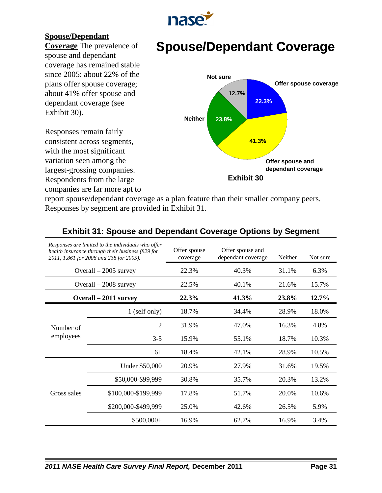

## **Spouse/Dependant**

**Coverage** The prevalence of spouse and dependant coverage has remained stable since 2005: about 22% of the plans offer spouse coverage; about 41% offer spouse and dependant coverage (see Exhibit 30).

Responses remain fairly consistent across segments, with the most significant variation seen among the largest-grossing companies. Respondents from the large companies are far more apt to

# **Spouse/Dependant Coverage**



report spouse/dependant coverage as a plan feature than their smaller company peers. Responses by segment are provided in Exhibit 31.

|             | Responses are limited to the individuals who offer<br>health insurance through their business (829 for<br>2011, 1,861 for 2008 and 238 for 2005). | Offer spouse<br>coverage | Offer spouse and<br>dependant coverage | Neither | Not sure |
|-------------|---------------------------------------------------------------------------------------------------------------------------------------------------|--------------------------|----------------------------------------|---------|----------|
|             | Overall $-2005$ survey                                                                                                                            | 22.3%                    | 40.3%                                  | 31.1%   | 6.3%     |
|             | Overall $-2008$ survey                                                                                                                            | 22.5%                    | 40.1%                                  | 21.6%   | 15.7%    |
|             | Overall – 2011 survey                                                                                                                             | 22.3%                    | 41.3%                                  | 23.8%   | 12.7%    |
|             | 1 (self only)                                                                                                                                     | 18.7%                    | 34.4%                                  | 28.9%   | 18.0%    |
| Number of   | $\overline{2}$                                                                                                                                    | 31.9%                    | 47.0%                                  | 16.3%   | 4.8%     |
| employees   | $3-5$                                                                                                                                             | 15.9%                    | 55.1%                                  | 18.7%   | 10.3%    |
|             | $6+$                                                                                                                                              | 18.4%                    | 42.1%                                  | 28.9%   | 10.5%    |
|             | Under \$50,000                                                                                                                                    | 20.9%                    | 27.9%                                  | 31.6%   | 19.5%    |
|             | \$50,000-\$99,999                                                                                                                                 | 30.8%                    | 35.7%                                  | 20.3%   | 13.2%    |
| Gross sales | \$100,000-\$199,999                                                                                                                               | 17.8%                    | 51.7%                                  | 20.0%   | 10.6%    |
|             | \$200,000-\$499,999                                                                                                                               | 25.0%                    | 42.6%                                  | 26.5%   | 5.9%     |
|             | $$500,000+$                                                                                                                                       | 16.9%                    | 62.7%                                  | 16.9%   | 3.4%     |

# **Exhibit 31: Spouse and Dependant Coverage Options by Segment**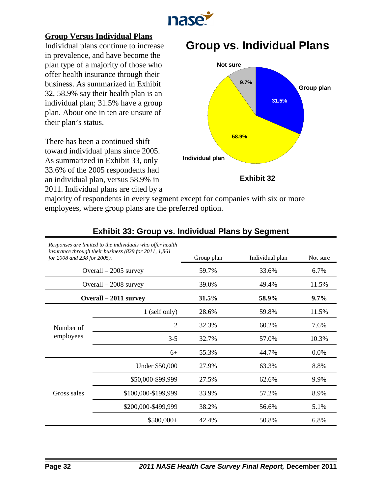

### **Group Versus Individual Plans**

Individual plans continue to increase in prevalence, and have become the plan type of a majority of those who offer health insurance through their business. As summarized in Exhibit 32, 58.9% say their health plan is an individual plan; 31.5% have a group plan. About one in ten are unsure of their plan's status.

There has been a continued shift toward individual plans since 2005. As summarized in Exhibit 33, only 33.6% of the 2005 respondents had an individual plan, versus 58.9% in 2011. Individual plans are cited by a

# **Group vs. Individual Plans**



majority of respondents in every segment except for companies with six or more employees, where group plans are the preferred option.

| for 2008 and 238 for 2005). | Responses are limited to the individuals who offer health<br>insurance through their business (829 for 2011, 1,861) | Group plan | Individual plan | Not sure |
|-----------------------------|---------------------------------------------------------------------------------------------------------------------|------------|-----------------|----------|
|                             | Overall $-2005$ survey                                                                                              | 59.7%      | 33.6%           | 6.7%     |
|                             | Overall $-2008$ survey                                                                                              | 39.0%      | 49.4%           | 11.5%    |
|                             | Overall – 2011 survey                                                                                               | 31.5%      | 58.9%           | $9.7\%$  |
|                             | 1 (self only)                                                                                                       | 28.6%      | 59.8%           | 11.5%    |
| Number of                   | $\overline{2}$                                                                                                      | 32.3%      | 60.2%           | 7.6%     |
| employees                   | $3-5$                                                                                                               | 32.7%      | 57.0%           | 10.3%    |
|                             | $6+$                                                                                                                | 55.3%      | 44.7%           | 0.0%     |
|                             | Under \$50,000                                                                                                      | 27.9%      | 63.3%           | 8.8%     |
|                             | \$50,000-\$99,999                                                                                                   | 27.5%      | 62.6%           | 9.9%     |
| Gross sales                 | \$100,000-\$199,999                                                                                                 | 33.9%      | 57.2%           | 8.9%     |
|                             | \$200,000-\$499,999                                                                                                 | 38.2%      | 56.6%           | 5.1%     |
|                             | $$500,000+$                                                                                                         | 42.4%      | 50.8%           | 6.8%     |

### **Exhibit 33: Group vs. Individual Plans by Segment**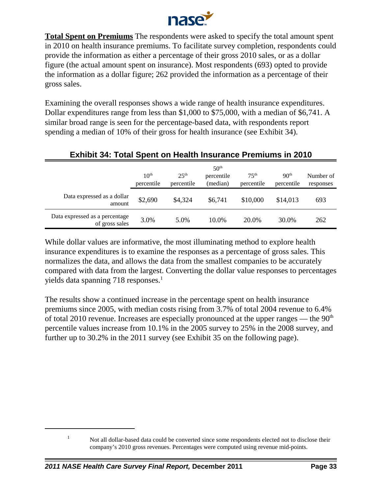

**Total Spent on Premiums** The respondents were asked to specify the total amount spent in 2010 on health insurance premiums. To facilitate survey completion, respondents could provide the information as either a percentage of their gross 2010 sales, or as a dollar figure (the actual amount spent on insurance). Most respondents (693) opted to provide the information as a dollar figure; 262 provided the information as a percentage of their gross sales.

Examining the overall responses shows a wide range of health insurance expenditures. Dollar expenditures range from less than \$1,000 to \$75,000, with a median of \$6,741. A similar broad range is seen for the percentage-based data, with respondents report spending a median of 10% of their gross for health insurance (see Exhibit 34).

|                                                  | 10 <sup>th</sup><br>percentile | $25^{\text{th}}$<br>percentile | 50 <sup>th</sup><br>percentile<br>(median) | 75 <sup>th</sup><br>percentile | 90 <sup>th</sup><br>percentile | Number of<br>responses |
|--------------------------------------------------|--------------------------------|--------------------------------|--------------------------------------------|--------------------------------|--------------------------------|------------------------|
| Data expressed as a dollar<br>amount             | \$2,690                        | \$4,324                        | \$6,741                                    | \$10,000                       | \$14,013                       | 693                    |
| Data expressed as a percentage<br>of gross sales | 3.0%                           | 5.0%                           | 10.0%                                      | 20.0%                          | 30.0%                          | 262                    |

# **Exhibit 34: Total Spent on Health Insurance Premiums in 2010**

While dollar values are informative, the most illuminating method to explore health insurance expenditures is to examine the responses as a percentage of gross sales. This normalizes the data, and allows the data from the smallest companies to be accurately compared with data from the largest. Converting the dollar value responses to percentages yields data spanning 718 responses.<sup>1</sup>

The results show a continued increase in the percentage spent on health insurance premiums since 2005, with median costs rising from 3.7% of total 2004 revenue to 6.4% of total 2010 revenue. Increases are especially pronounced at the upper ranges — the  $90<sup>th</sup>$ percentile values increase from 10.1% in the 2005 survey to 25% in the 2008 survey, and further up to 30.2% in the 2011 survey (see Exhibit 35 on the following page).

<sup>&</sup>lt;sup>1</sup> Not all dollar-based data could be converted since some respondents elected not to disclose their company's 2010 gross revenues. Percentages were computed using revenue mid-points.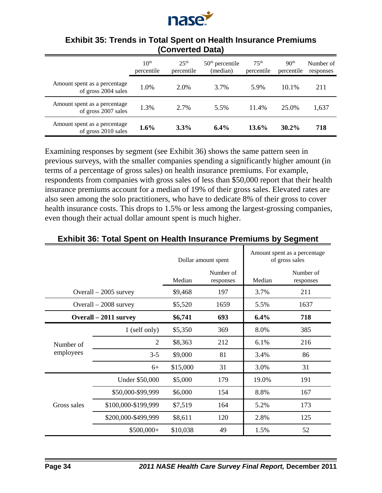

|                                                      | 10 <sup>th</sup><br>percentile | 25 <sup>th</sup><br>percentile | $50th$ percentile<br>(median) | 75 <sup>th</sup><br>percentile | 90 <sup>th</sup><br>percentile | Number of<br>responses |
|------------------------------------------------------|--------------------------------|--------------------------------|-------------------------------|--------------------------------|--------------------------------|------------------------|
| Amount spent as a percentage<br>of gross 2004 sales  | 1.0%                           | 2.0%                           | 3.7%                          | 5.9%                           | 10.1%                          | 211                    |
| Amount spent as a percentage.<br>of gross 2007 sales | 1.3%                           | 2.7%                           | 5.5%                          | 11.4%                          | 25.0%                          | 1,637                  |
| Amount spent as a percentage.<br>of gross 2010 sales | $1.6\%$                        | 3.3%                           | $6.4\%$                       | $13.6\%$                       | $30.2\%$                       | 718                    |

## **Exhibit 35: Trends in Total Spent on Health Insurance Premiums (Converted Data)**

Examining responses by segment (see Exhibit 36) shows the same pattern seen in previous surveys, with the smaller companies spending a significantly higher amount (in terms of a percentage of gross sales) on health insurance premiums. For example, respondents from companies with gross sales of less than \$50,000 report that their health insurance premiums account for a median of 19% of their gross sales. Elevated rates are also seen among the solo practitioners, who have to dedicate 8% of their gross to cover health insurance costs. This drops to 1.5% or less among the largest-grossing companies, even though their actual dollar amount spent is much higher.

|                       |                        |          | Dollar amount spent    | Amount spent as a percentage<br>of gross sales |                        |  |
|-----------------------|------------------------|----------|------------------------|------------------------------------------------|------------------------|--|
|                       |                        | Median   | Number of<br>responses | Median                                         | Number of<br>responses |  |
|                       | Overall $-2005$ survey | \$9,468  | 197                    | 3.7%                                           | 211                    |  |
|                       | Overall - 2008 survey  | \$5,520  | 1659                   | 5.5%                                           | 1637                   |  |
| Overall – 2011 survey |                        | \$6,741  | 693                    | 6.4%                                           | 718                    |  |
|                       | 1 (self only)          | \$5,350  | 369                    | 8.0%                                           | 385                    |  |
| Number of             | $\overline{2}$         | \$8,363  | 212                    | 6.1%                                           | 216                    |  |
| employees             | $3 - 5$                | \$9,000  | 81                     | 3.4%                                           | 86                     |  |
|                       | $6+$                   | \$15,000 | 31                     | 3.0%                                           | 31                     |  |
|                       | Under \$50,000         | \$5,000  | 179                    | 19.0%                                          | 191                    |  |
|                       | \$50,000-\$99,999      | \$6,000  | 154                    | 8.8%                                           | 167                    |  |
| Gross sales           | \$100,000-\$199,999    | \$7,519  | 164                    | 5.2%                                           | 173                    |  |
|                       | \$200,000-\$499,999    | \$8,611  | 120                    | 2.8%                                           | 125                    |  |
|                       | $$500,000+$            | \$10,038 | 49                     | 1.5%                                           | 52                     |  |

## **Exhibit 36: Total Spent on Health Insurance Premiums by Segment**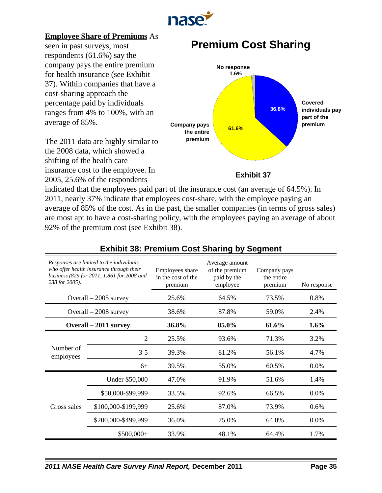

### **Employee Share of Premiums** As

seen in past surveys, most respondents (61.6%) say the company pays the entire premium for health insurance (see Exhibit 37). Within companies that have a cost-sharing approach the percentage paid by individuals ranges from 4% to 100%, with an average of 85%.

The 2011 data are highly similar to the 2008 data, which showed a shifting of the health care insurance cost to the employee. In 2005, 25.6% of the respondents

# **Premium Cost Sharing**



### **Exhibit 37**

indicated that the employees paid part of the insurance cost (an average of 64.5%). In 2011, nearly 37% indicate that employees cost-share, with the employee paying an average of 85% of the cost. As in the past, the smaller companies (in terms of gross sales) are most apt to have a cost-sharing policy, with the employees paying an average of about 92% of the premium cost (see Exhibit 38).

| Responses are limited to the individuals<br>who offer health insurance through their<br>business (829 for 2011, 1,861 for 2008 and<br>238 for 2005). |                        | Employees share<br>in the cost of the<br>premium | Average amount<br>of the premium<br>paid by the<br>employee | Company pays<br>the entire<br>premium | No response |
|------------------------------------------------------------------------------------------------------------------------------------------------------|------------------------|--------------------------------------------------|-------------------------------------------------------------|---------------------------------------|-------------|
|                                                                                                                                                      | Overall $-2005$ survey | 25.6%                                            | 64.5%                                                       | 73.5%                                 | 0.8%        |
|                                                                                                                                                      | Overall $-2008$ survey | 38.6%                                            | 87.8%                                                       | 59.0%                                 | 2.4%        |
|                                                                                                                                                      | Overall – 2011 survey  | 36.8%                                            | 85.0%                                                       | 61.6%                                 | $1.6\%$     |
|                                                                                                                                                      | 2                      | 25.5%                                            | 93.6%                                                       | 71.3%                                 | 3.2%        |
| Number of<br>employees                                                                                                                               | $3 - 5$                | 39.3%                                            | 81.2%                                                       | 56.1%                                 | 4.7%        |
|                                                                                                                                                      | $6+$                   | 39.5%                                            | 55.0%                                                       | 60.5%                                 | $0.0\%$     |
|                                                                                                                                                      | Under \$50,000         | 47.0%                                            | 91.9%                                                       | 51.6%                                 | 1.4%        |
|                                                                                                                                                      | \$50,000-\$99,999      | 33.5%                                            | 92.6%                                                       | 66.5%                                 | $0.0\%$     |
| Gross sales                                                                                                                                          | \$100,000-\$199,999    | 25.6%                                            | 87.0%                                                       | 73.9%                                 | 0.6%        |
|                                                                                                                                                      | \$200,000-\$499,999    | 36.0%                                            | 75.0%                                                       | 64.0%                                 | $0.0\%$     |
|                                                                                                                                                      | $$500,000+$            | 33.9%                                            | 48.1%                                                       | 64.4%                                 | 1.7%        |

### **Exhibit 38: Premium Cost Sharing by Segment**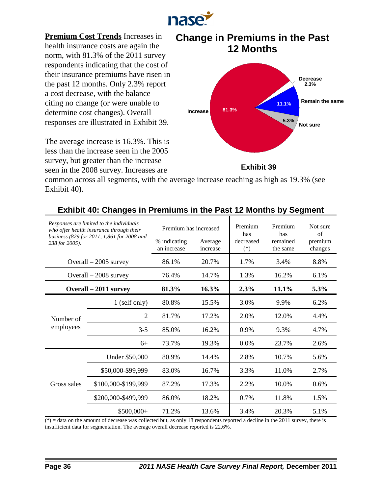

**Premium Cost Trends** Increases in health insurance costs are again the norm, with 81.3% of the 2011 survey respondents indicating that the cost of their insurance premiums have risen in the past 12 months. Only 2.3% report a cost decrease, with the balance citing no change (or were unable to determine cost changes). Overall responses are illustrated in Exhibit 39.

The average increase is 16.3%. This is less than the increase seen in the 2005 survey, but greater than the increase seen in the 2008 survey. Increases are





**Exhibit 39**

common across all segments, with the average increase reaching as high as 19.3% (see Exhibit 40).

| Responses are limited to the individuals<br>who offer health insurance through their<br>business (829 for 2011, 1,861 for 2008 and<br>238 for 2005). |                        | Premium has increased       |                     | Premium<br>has     | Premium<br>has       | Not sure<br>$\alpha$ f |
|------------------------------------------------------------------------------------------------------------------------------------------------------|------------------------|-----------------------------|---------------------|--------------------|----------------------|------------------------|
|                                                                                                                                                      |                        | % indicating<br>an increase | Average<br>increase | decreased<br>$(*)$ | remained<br>the same | premium<br>changes     |
|                                                                                                                                                      | Overall $-2005$ survey | 86.1%                       | 20.7%               | 1.7%               | 3.4%                 | 8.8%                   |
|                                                                                                                                                      | Overall $-2008$ survey | 76.4%                       | 14.7%               | 1.3%               | 16.2%                | 6.1%                   |
|                                                                                                                                                      | Overall – 2011 survey  | 81.3%                       | 16.3%               | 2.3%               | 11.1%                | 5.3%                   |
|                                                                                                                                                      | 1 (self only)          | 80.8%                       | 15.5%               | 3.0%               | 9.9%                 | 6.2%                   |
| Number of                                                                                                                                            | 2                      | 81.7%                       | 17.2%               | 2.0%               | 12.0%                | 4.4%                   |
| employees                                                                                                                                            | $3 - 5$                | 85.0%                       | 16.2%               | $0.9\%$            | 9.3%                 | 4.7%                   |
|                                                                                                                                                      | $6+$                   | 73.7%                       | 19.3%               | 0.0%               | 23.7%                | 2.6%                   |
|                                                                                                                                                      | Under \$50,000         | 80.9%                       | 14.4%               | 2.8%               | 10.7%                | 5.6%                   |
|                                                                                                                                                      | \$50,000-\$99,999      | 83.0%                       | 16.7%               | 3.3%               | 11.0%                | 2.7%                   |
| Gross sales                                                                                                                                          | \$100,000-\$199,999    | 87.2%                       | 17.3%               | 2.2%               | 10.0%                | 0.6%                   |
|                                                                                                                                                      | \$200,000-\$499,999    | 86.0%                       | 18.2%               | 0.7%               | 11.8%                | 1.5%                   |
|                                                                                                                                                      | $$500,000+$            | 71.2%                       | 13.6%               | 3.4%               | 20.3%                | 5.1%                   |

# **Exhibit 40: Changes in Premiums in the Past 12 Months by Segment**

 $(*)$  = data on the amount of decrease was collected but, as only 18 respondents reported a decline in the 2011 survey, there is insufficient data for segmentation. The average overall decrease reported is 22.6%.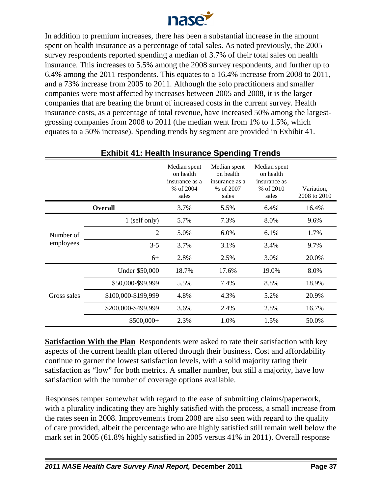

In addition to premium increases, there has been a substantial increase in the amount spent on health insurance as a percentage of total sales. As noted previously, the 2005 survey respondents reported spending a median of 3.7% of their total sales on health insurance. This increases to 5.5% among the 2008 survey respondents, and further up to 6.4% among the 2011 respondents. This equates to a 16.4% increase from 2008 to 2011, and a 73% increase from 2005 to 2011. Although the solo practitioners and smaller companies were most affected by increases between 2005 and 2008, it is the larger companies that are bearing the brunt of increased costs in the current survey. Health insurance costs, as a percentage of total revenue, have increased 50% among the largestgrossing companies from 2008 to 2011 (the median went from 1% to 1.5%, which equates to a 50% increase). Spending trends by segment are provided in Exhibit 41.

|             |                     | Median spent<br>on health<br>insurance as a<br>% of 2004<br>sales | Median spent<br>on health<br>insurance as a<br>% of 2007<br>sales | Median spent<br>on health<br>insurance as<br>% of 2010<br>sales | Variation,<br>2008 to 2010 |
|-------------|---------------------|-------------------------------------------------------------------|-------------------------------------------------------------------|-----------------------------------------------------------------|----------------------------|
|             | <b>Overall</b>      | 3.7%                                                              | 5.5%                                                              | 6.4%                                                            | 16.4%                      |
|             | 1 (self only)       | 5.7%                                                              | 7.3%                                                              | 8.0%                                                            | 9.6%                       |
| Number of   | $\overline{2}$      | 5.0%                                                              | 6.0%                                                              | 6.1%                                                            | 1.7%                       |
| employees   | $3 - 5$             | 3.7%                                                              | 3.1%                                                              | 3.4%                                                            | 9.7%                       |
|             | $6+$                | 2.8%                                                              | 2.5%                                                              | 3.0%                                                            | 20.0%                      |
|             | Under \$50,000      | 18.7%                                                             | 17.6%                                                             | 19.0%                                                           | 8.0%                       |
|             | \$50,000-\$99,999   | 5.5%                                                              | 7.4%                                                              | 8.8%                                                            | 18.9%                      |
| Gross sales | \$100,000-\$199,999 | 4.8%                                                              | 4.3%                                                              | 5.2%                                                            | 20.9%                      |
|             | \$200,000-\$499,999 | 3.6%                                                              | 2.4%                                                              | 2.8%                                                            | 16.7%                      |
|             | $$500,000+$         | 2.3%                                                              | 1.0%                                                              | 1.5%                                                            | 50.0%                      |

# **Exhibit 41: Health Insurance Spending Trends**

**Satisfaction With the Plan** Respondents were asked to rate their satisfaction with key aspects of the current health plan offered through their business. Cost and affordability continue to garner the lowest satisfaction levels, with a solid majority rating their satisfaction as "low" for both metrics. A smaller number, but still a majority, have low satisfaction with the number of coverage options available.

Responses temper somewhat with regard to the ease of submitting claims/paperwork, with a plurality indicating they are highly satisfied with the process, a small increase from the rates seen in 2008. Improvements from 2008 are also seen with regard to the quality of care provided, albeit the percentage who are highly satisfied still remain well below the mark set in 2005 (61.8% highly satisfied in 2005 versus 41% in 2011). Overall response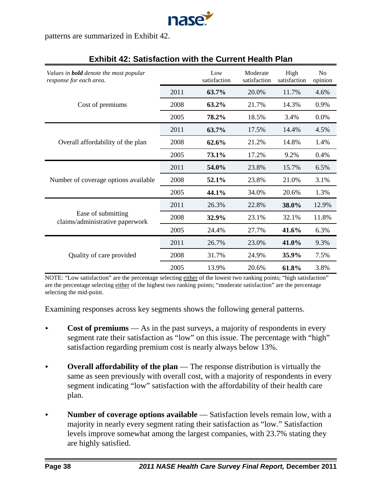

patterns are summarized in Exhibit 42.

| Values in <b>bold</b> denote the most popular<br>response for each area. |      | Low<br>satisfaction | Moderate<br>satisfaction | High<br>satisfaction | N <sub>o</sub><br>opinion |
|--------------------------------------------------------------------------|------|---------------------|--------------------------|----------------------|---------------------------|
|                                                                          | 2011 | 63.7%               | 20.0%                    | 11.7%                | 4.6%                      |
| Cost of premiums                                                         | 2008 | 63.2%               | 21.7%                    | 14.3%                | 0.9%                      |
|                                                                          | 2005 | 78.2%               | 18.5%                    | 3.4%                 | 0.0%                      |
|                                                                          | 2011 | 63.7%               | 17.5%                    | 14.4%                | 4.5%                      |
| Overall affordability of the plan                                        | 2008 | 62.6%               | 21.2%                    | 14.8%                | 1.4%                      |
|                                                                          | 2005 | 73.1%               | 17.2%                    | 9.2%                 | 0.4%                      |
|                                                                          | 2011 | 54.0%               | 23.8%                    | 15.7%                | 6.5%                      |
| Number of coverage options available                                     | 2008 | 52.1%               | 23.8%                    | 21.0%                | 3.1%                      |
|                                                                          | 2005 | 44.1%               | 34.0%                    | 20.6%                | 1.3%                      |
|                                                                          | 2011 | 26.3%               | 22.8%                    | 38.0%                | 12.9%                     |
| Ease of submitting<br>claims/administrative paperwork                    | 2008 | 32.9%               | 23.1%                    | 32.1%                | 11.8%                     |
|                                                                          | 2005 | 24.4%               | 27.7%                    | 41.6%                | 6.3%                      |
|                                                                          | 2011 | 26.7%               | 23.0%                    | 41.0%                | 9.3%                      |
| Quality of care provided                                                 | 2008 | 31.7%               | 24.9%                    | 35.9%                | 7.5%                      |
|                                                                          | 2005 | 13.9%               | 20.6%                    | 61.8%                | 3.8%                      |

## **Exhibit 42: Satisfaction with the Current Health Plan**

NOTE: "Low satisfaction" are the percentage selecting either of the lowest two ranking points; "high satisfaction" are the percentage selecting either of the highest two ranking points; "moderate satisfaction" are the percentage selecting the mid-point.

Examining responses across key segments shows the following general patterns.

- **Cost of premiums** As in the past surveys, a majority of respondents in every segment rate their satisfaction as "low" on this issue. The percentage with "high" satisfaction regarding premium cost is nearly always below 13%.
- **Overall affordability of the plan** The response distribution is virtually the same as seen previously with overall cost, with a majority of respondents in every segment indicating "low" satisfaction with the affordability of their health care plan.
- Number of coverage options available Satisfaction levels remain low, with a majority in nearly every segment rating their satisfaction as "low." Satisfaction levels improve somewhat among the largest companies, with 23.7% stating they are highly satisfied.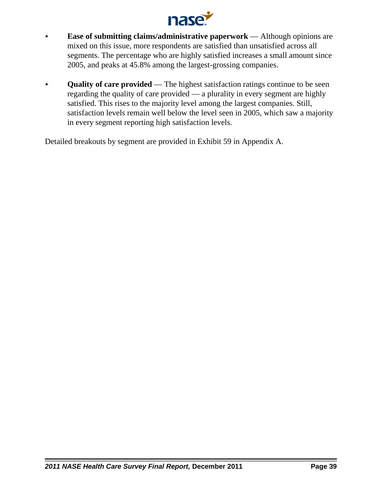

- **Ease of submitting claims/administrative paperwork** Although opinions are mixed on this issue, more respondents are satisfied than unsatisfied across all segments. The percentage who are highly satisfied increases a small amount since 2005, and peaks at 45.8% among the largest-grossing companies.
- **Quality of care provided** The highest satisfaction ratings continue to be seen regarding the quality of care provided — a plurality in every segment are highly satisfied. This rises to the majority level among the largest companies. Still, satisfaction levels remain well below the level seen in 2005, which saw a majority in every segment reporting high satisfaction levels.

Detailed breakouts by segment are provided in Exhibit 59 in Appendix A.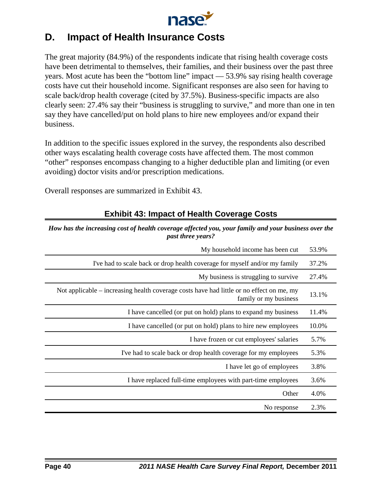

# **D. Impact of Health Insurance Costs**

The great majority (84.9%) of the respondents indicate that rising health coverage costs have been detrimental to themselves, their families, and their business over the past three years. Most acute has been the "bottom line" impact — 53.9% say rising health coverage costs have cut their household income. Significant responses are also seen for having to scale back/drop health coverage (cited by 37.5%). Business-specific impacts are also clearly seen: 27.4% say their "business is struggling to survive," and more than one in ten say they have cancelled/put on hold plans to hire new employees and/or expand their business.

In addition to the specific issues explored in the survey, the respondents also described other ways escalating health coverage costs have affected them. The most common "other" responses encompass changing to a higher deductible plan and limiting (or even avoiding) doctor visits and/or prescription medications.

Overall responses are summarized in Exhibit 43.

| <i>past three years?</i>                                                                                          |       |
|-------------------------------------------------------------------------------------------------------------------|-------|
| My household income has been cut                                                                                  | 53.9% |
| I've had to scale back or drop health coverage for myself and/or my family                                        | 37.2% |
| My business is struggling to survive                                                                              | 27.4% |
| Not applicable – increasing health coverage costs have had little or no effect on me, my<br>family or my business | 13.1% |
| I have cancelled (or put on hold) plans to expand my business                                                     | 11.4% |
| I have cancelled (or put on hold) plans to hire new employees                                                     | 10.0% |
| I have frozen or cut employees' salaries                                                                          | 5.7%  |
| I've had to scale back or drop health coverage for my employees                                                   | 5.3%  |
| I have let go of employees                                                                                        | 3.8%  |
| I have replaced full-time employees with part-time employees                                                      | 3.6%  |
| Other                                                                                                             | 4.0%  |
| No response                                                                                                       | 2.3%  |
|                                                                                                                   |       |

# **Exhibit 43: Impact of Health Coverage Costs**

*How has the increasing cost of health coverage affected you, your family and your business over the past three years?*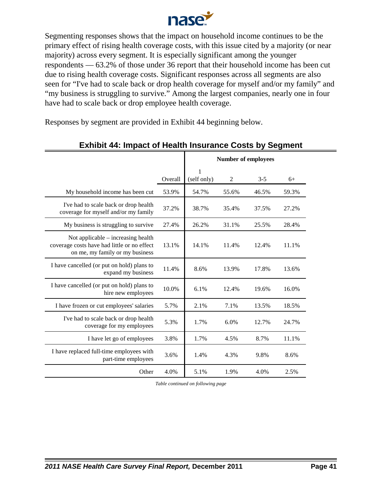

Segmenting responses shows that the impact on household income continues to be the primary effect of rising health coverage costs, with this issue cited by a majority (or near majority) across every segment. It is especially significant among the younger respondents — 63.2% of those under 36 report that their household income has been cut due to rising health coverage costs. Significant responses across all segments are also seen for "I've had to scale back or drop health coverage for myself and/or my family" and "my business is struggling to survive." Among the largest companies, nearly one in four have had to scale back or drop employee health coverage.

Responses by segment are provided in Exhibit 44 beginning below.

|                                                                                                                      |         |                  | <b>Number of employees</b> |         |       |  |  |
|----------------------------------------------------------------------------------------------------------------------|---------|------------------|----------------------------|---------|-------|--|--|
|                                                                                                                      | Overall | 1<br>(self only) | $\mathfrak{2}$             | $3 - 5$ | $6+$  |  |  |
| My household income has been cut                                                                                     | 53.9%   | 54.7%            | 55.6%                      | 46.5%   | 59.3% |  |  |
| I've had to scale back or drop health<br>coverage for myself and/or my family                                        | 37.2%   | 38.7%            | 35.4%                      | 37.5%   | 27.2% |  |  |
| My business is struggling to survive                                                                                 | 27.4%   | 26.2%            | 31.1%                      | 25.5%   | 28.4% |  |  |
| Not applicable – increasing health<br>coverage costs have had little or no effect<br>on me, my family or my business | 13.1%   | 14.1%            | 11.4%                      | 12.4%   | 11.1% |  |  |
| I have cancelled (or put on hold) plans to<br>expand my business                                                     | 11.4%   | 8.6%             | 13.9%                      | 17.8%   | 13.6% |  |  |
| I have cancelled (or put on hold) plans to<br>hire new employees                                                     | 10.0%   | 6.1%             | 12.4%                      | 19.6%   | 16.0% |  |  |
| I have frozen or cut employees' salaries                                                                             | 5.7%    | 2.1%             | 7.1%                       | 13.5%   | 18.5% |  |  |
| I've had to scale back or drop health<br>coverage for my employees                                                   | 5.3%    | 1.7%             | 6.0%                       | 12.7%   | 24.7% |  |  |
| I have let go of employees                                                                                           | 3.8%    | 1.7%             | 4.5%                       | 8.7%    | 11.1% |  |  |
| I have replaced full-time employees with<br>part-time employees                                                      | 3.6%    | 1.4%             | 4.3%                       | 9.8%    | 8.6%  |  |  |
| Other                                                                                                                | 4.0%    | 5.1%             | 1.9%                       | 4.0%    | 2.5%  |  |  |

## **Exhibit 44: Impact of Health Insurance Costs by Segment**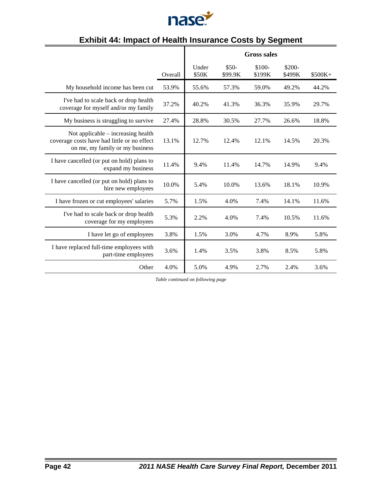

|                                                                                                                      |         | <b>Gross sales</b> |                   |                   |                   |          |  |
|----------------------------------------------------------------------------------------------------------------------|---------|--------------------|-------------------|-------------------|-------------------|----------|--|
|                                                                                                                      | Overall | Under<br>\$50K     | $$50-$<br>\$99.9K | $$100-$<br>\$199K | $$200-$<br>\$499K | $$500K+$ |  |
| My household income has been cut                                                                                     | 53.9%   | 55.6%              | 57.3%             | 59.0%             | 49.2%             | 44.2%    |  |
| I've had to scale back or drop health<br>coverage for myself and/or my family                                        | 37.2%   | 40.2%              | 41.3%             | 36.3%             | 35.9%             | 29.7%    |  |
| My business is struggling to survive                                                                                 | 27.4%   | 28.8%              | 30.5%             | 27.7%             | 26.6%             | 18.8%    |  |
| Not applicable – increasing health<br>coverage costs have had little or no effect<br>on me, my family or my business | 13.1%   | 12.7%              | 12.4%             | 12.1%             | 14.5%             | 20.3%    |  |
| I have cancelled (or put on hold) plans to<br>expand my business                                                     | 11.4%   | 9.4%               | 11.4%             | 14.7%             | 14.9%             | 9.4%     |  |
| I have cancelled (or put on hold) plans to<br>hire new employees                                                     | 10.0%   | 5.4%               | 10.0%             | 13.6%             | 18.1%             | 10.9%    |  |
| I have frozen or cut employees' salaries                                                                             | 5.7%    | 1.5%               | 4.0%              | 7.4%              | 14.1%             | 11.6%    |  |
| I've had to scale back or drop health<br>coverage for my employees                                                   | 5.3%    | 2.2%               | 4.0%              | 7.4%              | 10.5%             | 11.6%    |  |
| I have let go of employees                                                                                           | 3.8%    | 1.5%               | 3.0%              | 4.7%              | 8.9%              | 5.8%     |  |
| I have replaced full-time employees with<br>part-time employees                                                      | 3.6%    | 1.4%               | 3.5%              | 3.8%              | 8.5%              | 5.8%     |  |
| Other                                                                                                                | 4.0%    | 5.0%               | 4.9%              | 2.7%              | 2.4%              | 3.6%     |  |

# **Exhibit 44: Impact of Health Insurance Costs by Segment**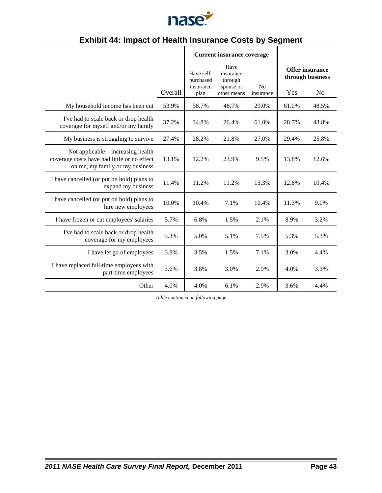

# **Exhibit 44: Impact of Health Insurance Costs by Segment**

|                                                                                                                      |         |                                              | <b>Current insurance coverage</b>                        |                             |       |                                                              |
|----------------------------------------------------------------------------------------------------------------------|---------|----------------------------------------------|----------------------------------------------------------|-----------------------------|-------|--------------------------------------------------------------|
|                                                                                                                      | Overall | Have self-<br>purchased<br>insurance<br>plan | Have<br>insurance<br>through<br>spouse or<br>other means | N <sub>0</sub><br>insurance | Yes   | <b>Offer insurance</b><br>through business<br>N <sub>o</sub> |
| My household income has been cut                                                                                     | 53.9%   | 58.7%                                        | 48.7%                                                    | 29.0%                       | 61.0% | 48.5%                                                        |
| I've had to scale back or drop health<br>coverage for myself and/or my family                                        | 37.2%   | 34.8%                                        | 26.4%                                                    | 61.0%                       | 28.7% | 43.8%                                                        |
| My business is struggling to survive                                                                                 | 27.4%   | 28.2%                                        | 21.8%                                                    | 27.0%                       | 29.4% | 25.8%                                                        |
| Not applicable – increasing health<br>coverage costs have had little or no effect<br>on me, my family or my business | 13.1%   | 12.2%                                        | 23.9%                                                    | 9.5%                        | 13.8% | 12.6%                                                        |
| I have cancelled (or put on hold) plans to<br>expand my business                                                     | 11.4%   | 11.2%                                        | 11.2%                                                    | 13.3%                       | 12.8% | 10.4%                                                        |
| I have cancelled (or put on hold) plans to<br>hire new employees                                                     | 10.0%   | 10.4%                                        | 7.1%                                                     | 10.4%                       | 11.3% | 9.0%                                                         |
| I have frozen or cut employees' salaries                                                                             | 5.7%    | 6.8%                                         | 1.5%                                                     | 2.1%                        | 8.9%  | 3.2%                                                         |
| I've had to scale back or drop health<br>coverage for my employees                                                   | 5.3%    | 5.0%                                         | 5.1%                                                     | 7.5%                        | 5.3%  | 5.3%                                                         |
| I have let go of employees                                                                                           | 3.8%    | 3.5%                                         | 1.5%                                                     | 7.1%                        | 3.0%  | 4.4%                                                         |
| I have replaced full-time employees with<br>part-time employees                                                      | 3.6%    | 3.8%                                         | 3.0%                                                     | 2.9%                        | 4.0%  | 3.3%                                                         |
| Other                                                                                                                | 4.0%    | 4.0%                                         | 6.1%                                                     | 2.9%                        | 3.6%  | 4.4%                                                         |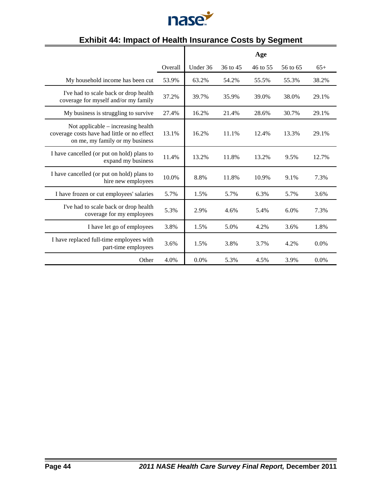

|                                                                                                                        |         |          |          | Age      |          |         |
|------------------------------------------------------------------------------------------------------------------------|---------|----------|----------|----------|----------|---------|
|                                                                                                                        | Overall | Under 36 | 36 to 45 | 46 to 55 | 56 to 65 | $65+$   |
| My household income has been cut                                                                                       | 53.9%   | 63.2%    | 54.2%    | 55.5%    | 55.3%    | 38.2%   |
| I've had to scale back or drop health<br>coverage for myself and/or my family                                          | 37.2%   | 39.7%    | 35.9%    | 39.0%    | 38.0%    | 29.1%   |
| My business is struggling to survive                                                                                   | 27.4%   | 16.2%    | 21.4%    | 28.6%    | 30.7%    | 29.1%   |
| Not applicable $-$ increasing health<br>coverage costs have had little or no effect<br>on me, my family or my business | 13.1%   | 16.2%    | 11.1%    | 12.4%    | 13.3%    | 29.1%   |
| I have cancelled (or put on hold) plans to<br>expand my business                                                       | 11.4%   | 13.2%    | 11.8%    | 13.2%    | 9.5%     | 12.7%   |
| I have cancelled (or put on hold) plans to<br>hire new employees                                                       | 10.0%   | 8.8%     | 11.8%    | 10.9%    | 9.1%     | 7.3%    |
| I have frozen or cut employees' salaries                                                                               | 5.7%    | 1.5%     | 5.7%     | 6.3%     | 5.7%     | 3.6%    |
| I've had to scale back or drop health<br>coverage for my employees                                                     | 5.3%    | 2.9%     | 4.6%     | 5.4%     | 6.0%     | 7.3%    |
| I have let go of employees                                                                                             | 3.8%    | 1.5%     | 5.0%     | 4.2%     | 3.6%     | 1.8%    |
| I have replaced full-time employees with<br>part-time employees                                                        | 3.6%    | 1.5%     | 3.8%     | 3.7%     | 4.2%     | $0.0\%$ |
| Other                                                                                                                  | 4.0%    | 0.0%     | 5.3%     | 4.5%     | 3.9%     | $0.0\%$ |

# **Exhibit 44: Impact of Health Insurance Costs by Segment**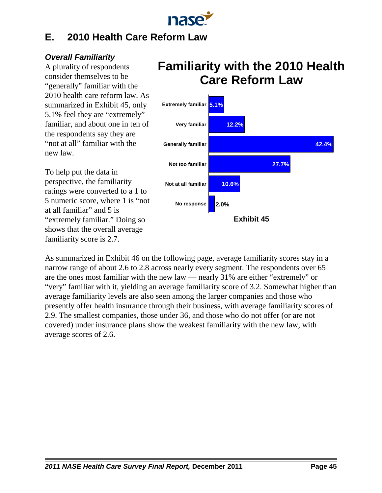

# **E. 2010 Health Care Reform Law**

# *Overall Familiarity*

A plurality of respondents consider themselves to be "generally" familiar with the 2010 health care reform law. As summarized in Exhibit 45, only 5.1% feel they are "extremely" familiar, and about one in ten of the respondents say they are "not at all" familiar with the new law.

To help put the data in perspective, the familiarity ratings were converted to a 1 to 5 numeric score, where 1 is "not at all familiar" and 5 is "extremely familiar." Doing so shows that the overall average familiarity score is 2.7.

# **Familiarity with the 2010 Health Care Reform Law**



As summarized in Exhibit 46 on the following page, average familiarity scores stay in a narrow range of about 2.6 to 2.8 across nearly every segment. The respondents over 65 are the ones most familiar with the new law — nearly 31% are either "extremely" or "very" familiar with it, yielding an average familiarity score of 3.2. Somewhat higher than average familiarity levels are also seen among the larger companies and those who presently offer health insurance through their business, with average familiarity scores of 2.9. The smallest companies, those under 36, and those who do not offer (or are not covered) under insurance plans show the weakest familiarity with the new law, with average scores of 2.6.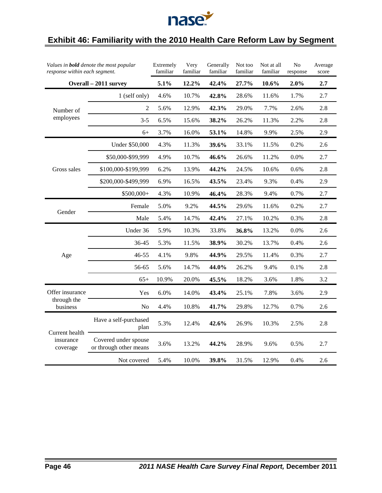

# **Exhibit 46: Familiarity with the 2010 Health Care Reform Law by Segment**

|                         | Values in <b>bold</b> denote the most popular<br>response within each segment. |       | Very<br>familiar | Generally<br>familiar | Not too<br>familiar | Not at all<br>familiar | $\rm No$<br>response | Average<br>score |
|-------------------------|--------------------------------------------------------------------------------|-------|------------------|-----------------------|---------------------|------------------------|----------------------|------------------|
|                         | Overall - 2011 survey                                                          | 5.1%  | 12.2%            | 42.4%                 | 27.7%               | $10.6\%$               | 2.0%                 | 2.7              |
|                         | 1 (self only)                                                                  | 4.6%  | 10.7%            | 42.8%                 | 28.6%               | 11.6%                  | 1.7%                 | 2.7              |
| Number of               | 2                                                                              | 5.6%  | 12.9%            | 42.3%                 | 29.0%               | 7.7%                   | 2.6%                 | 2.8              |
| employees               | $3 - 5$                                                                        | 6.5%  | 15.6%            | 38.2%                 | 26.2%               | 11.3%                  | 2.2%                 | 2.8              |
|                         | $6+$                                                                           | 3.7%  | 16.0%            | 53.1%                 | 14.8%               | 9.9%                   | 2.5%                 | 2.9              |
|                         | Under \$50,000                                                                 | 4.3%  | 11.3%            | 39.6%                 | 33.1%               | 11.5%                  | 0.2%                 | 2.6              |
|                         | \$50,000-\$99,999                                                              | 4.9%  | 10.7%            | 46.6%                 | 26.6%               | 11.2%                  | 0.0%                 | 2.7              |
| Gross sales             | \$100,000-\$199,999                                                            | 6.2%  | 13.9%            | 44.2%                 | 24.5%               | 10.6%                  | 0.6%                 | 2.8              |
|                         | \$200,000-\$499,999                                                            | 6.9%  | 16.5%            | 43.5%                 | 23.4%               | 9.3%                   | 0.4%                 | 2.9              |
|                         | \$500,000+                                                                     | 4.3%  | 10.9%            | 46.4%                 | 28.3%               | 9.4%                   | 0.7%                 | 2.7              |
| Gender                  | Female                                                                         | 5.0%  | 9.2%             | 44.5%                 | 29.6%               | 11.6%                  | 0.2%                 | 2.7              |
|                         | Male                                                                           | 5.4%  | 14.7%            | 42.4%                 | 27.1%               | 10.2%                  | 0.3%                 | 2.8              |
|                         | Under 36                                                                       | 5.9%  | 10.3%            | 33.8%                 | 36.8%               | 13.2%                  | 0.0%                 | 2.6              |
|                         | 36-45                                                                          | 5.3%  | 11.5%            | 38.9%                 | 30.2%               | 13.7%                  | 0.4%                 | 2.6              |
| Age                     | 46-55                                                                          | 4.1%  | 9.8%             | 44.9%                 | 29.5%               | 11.4%                  | 0.3%                 | 2.7              |
|                         | 56-65                                                                          | 5.6%  | 14.7%            | 44.0%                 | 26.2%               | 9.4%                   | 0.1%                 | 2.8              |
|                         | $65+$                                                                          | 10.9% | 20.0%            | 45.5%                 | 18.2%               | 3.6%                   | 1.8%                 | 3.2              |
| Offer insurance         | Yes                                                                            | 6.0%  | 14.0%            | 43.4%                 | 25.1%               | 7.8%                   | 3.6%                 | 2.9              |
| through the<br>business | N <sub>o</sub>                                                                 | 4.4%  | 10.8%            | 41.7%                 | 29.8%               | 12.7%                  | 0.7%                 | 2.6              |
| Current health          | Have a self-purchased<br>plan                                                  | 5.3%  | 12.4%            | 42.6%                 | 26.9%               | 10.3%                  | 2.5%                 | 2.8              |
| insurance<br>coverage   | Covered under spouse<br>or through other means                                 | 3.6%  | 13.2%            | 44.2%                 | 28.9%               | 9.6%                   | 0.5%                 | 2.7              |
|                         | Not covered                                                                    | 5.4%  | 10.0%            | 39.8%                 | 31.5%               | 12.9%                  | 0.4%                 | 2.6              |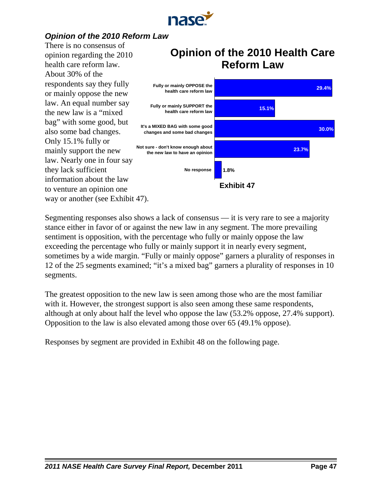

# *Opinion of the 2010 Reform Law*

There is no consensus of opinion regarding the 2010 health care reform law. About 30% of the respondents say they fully or mainly oppose the new law. An equal number say the new law is a "mixed bag" with some good, but also some bad changes. Only 15.1% fully or mainly support the new law. Nearly one in four say they lack sufficient information about the law to venture an opinion one way or another (see Exhibit 47).

# **Opinion of the 2010 Health Care Reform Law**



Segmenting responses also shows a lack of consensus — it is very rare to see a majority stance either in favor of or against the new law in any segment. The more prevailing sentiment is opposition, with the percentage who fully or mainly oppose the law exceeding the percentage who fully or mainly support it in nearly every segment, sometimes by a wide margin. "Fully or mainly oppose" garners a plurality of responses in 12 of the 25 segments examined; "it's a mixed bag" garners a plurality of responses in 10 segments.

The greatest opposition to the new law is seen among those who are the most familiar with it. However, the strongest support is also seen among these same respondents, although at only about half the level who oppose the law (53.2% oppose, 27.4% support). Opposition to the law is also elevated among those over 65 (49.1% oppose).

Responses by segment are provided in Exhibit 48 on the following page.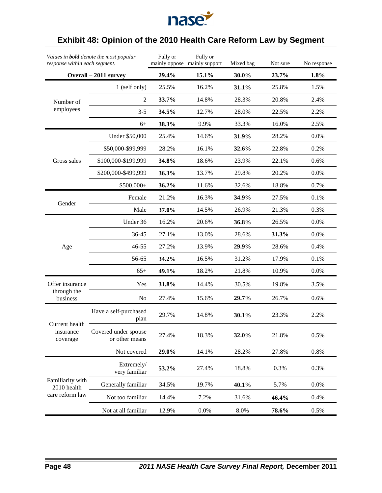

# **Exhibit 48: Opinion of the 2010 Health Care Reform Law by Segment**

| Values in <b>bold</b> denote the most popular<br>response within each segment. |                                        | Fully or | Fully or<br>mainly oppose mainly support | Mixed bag | Not sure | No response |
|--------------------------------------------------------------------------------|----------------------------------------|----------|------------------------------------------|-----------|----------|-------------|
|                                                                                | Overall - 2011 survey                  | 29.4%    | 15.1%                                    | 30.0%     | 23.7%    | 1.8%        |
|                                                                                | 1 (self only)                          | 25.5%    | 16.2%                                    | 31.1%     | 25.8%    | 1.5%        |
| Number of                                                                      | $\overline{2}$                         | 33.7%    | 14.8%                                    | 28.3%     | 20.8%    | 2.4%        |
| employees                                                                      | $3 - 5$                                | 34.5%    | 12.7%                                    | 28.0%     | 22.5%    | 2.2%        |
|                                                                                | $6+$                                   | 38.3%    | 9.9%                                     | 33.3%     | 16.0%    | 2.5%        |
|                                                                                | Under \$50,000                         | 25.4%    | 14.6%                                    | 31.9%     | 28.2%    | 0.0%        |
|                                                                                | \$50,000-\$99,999                      | 28.2%    | 16.1%                                    | 32.6%     | 22.8%    | 0.2%        |
| Gross sales                                                                    | \$100,000-\$199,999                    | 34.8%    | 18.6%                                    | 23.9%     | 22.1%    | 0.6%        |
|                                                                                | \$200,000-\$499,999                    | 36.3%    | 13.7%                                    | 29.8%     | 20.2%    | 0.0%        |
|                                                                                | \$500,000+                             | 36.2%    | 11.6%                                    | 32.6%     | 18.8%    | 0.7%        |
|                                                                                | Female                                 | 21.2%    | 16.3%                                    | 34.9%     | 27.5%    | 0.1%        |
| Gender                                                                         | Male                                   | 37.0%    | 14.5%                                    | 26.9%     | 21.3%    | 0.3%        |
|                                                                                | Under 36                               | 16.2%    | 20.6%                                    | 36.8%     | 26.5%    | 0.0%        |
|                                                                                | 36-45                                  | 27.1%    | 13.0%                                    | 28.6%     | 31.3%    | 0.0%        |
| Age                                                                            | 46-55                                  | 27.2%    | 13.9%                                    | 29.9%     | 28.6%    | 0.4%        |
|                                                                                | 56-65                                  | 34.2%    | 16.5%                                    | 31.2%     | 17.9%    | 0.1%        |
|                                                                                | $65+$                                  | 49.1%    | 18.2%                                    | 21.8%     | 10.9%    | 0.0%        |
| Offer insurance                                                                | Yes                                    | 31.8%    | 14.4%                                    | 30.5%     | 19.8%    | 3.5%        |
| through the<br>business                                                        | N <sub>o</sub>                         | 27.4%    | 15.6%                                    | 29.7%     | 26.7%    | 0.6%        |
|                                                                                | Have a self-purchased<br>plan          | 29.7%    | 14.8%                                    | 30.1%     | 23.3%    | 2.2%        |
| Current health<br>insurance<br>coverage                                        | Covered under spouse<br>or other means | 27.4%    | 18.3%                                    | 32.0%     | 21.8%    | 0.5%        |
|                                                                                | Not covered                            | 29.0%    | 14.1%                                    | 28.2%     | 27.8%    | 0.8%        |
|                                                                                | Extremely/<br>very familiar            | 53.2%    | 27.4%                                    | 18.8%     | 0.3%     | 0.3%        |
| Familiarity with<br>2010 health                                                | Generally familiar                     | 34.5%    | 19.7%                                    | 40.1%     | 5.7%     | 0.0%        |
| care reform law                                                                | Not too familiar                       | 14.4%    | 7.2%                                     | 31.6%     | 46.4%    | 0.4%        |
|                                                                                | Not at all familiar                    | 12.9%    | 0.0%                                     | 8.0%      | 78.6%    | 0.5%        |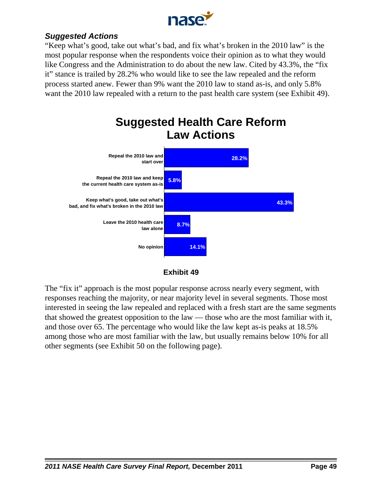

# *Suggested Actions*

"Keep what's good, take out what's bad, and fix what's broken in the 2010 law" is the most popular response when the respondents voice their opinion as to what they would like Congress and the Administration to do about the new law. Cited by 43.3%, the "fix it" stance is trailed by 28.2% who would like to see the law repealed and the reform process started anew. Fewer than 9% want the 2010 law to stand as-is, and only 5.8% want the 2010 law repealed with a return to the past health care system (see Exhibit 49).





The "fix it" approach is the most popular response across nearly every segment, with responses reaching the majority, or near majority level in several segments. Those most interested in seeing the law repealed and replaced with a fresh start are the same segments that showed the greatest opposition to the law — those who are the most familiar with it, and those over 65. The percentage who would like the law kept as-is peaks at 18.5% among those who are most familiar with the law, but usually remains below 10% for all other segments (see Exhibit 50 on the following page).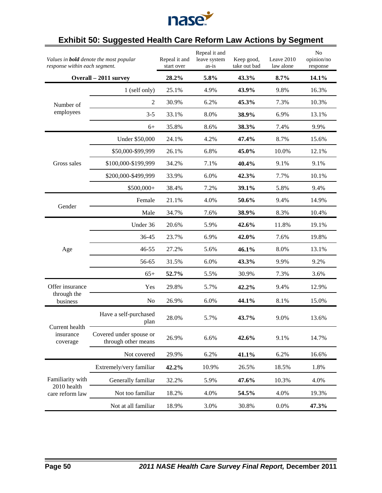

# **Exhibit 50: Suggested Health Care Reform Law Actions by Segment**

| Values in <b>bold</b> denote the most popular<br>response within each segment. |                                                | Repeal it and<br>start over | Repeal it and<br>leave system<br>as-is | Keep good,<br>take out bad | Leave 2010<br>law alone | No<br>opinion/no<br>response |
|--------------------------------------------------------------------------------|------------------------------------------------|-----------------------------|----------------------------------------|----------------------------|-------------------------|------------------------------|
|                                                                                | Overall - 2011 survey                          | 28.2%                       | 5.8%                                   | 43.3%                      | 8.7%                    | 14.1%                        |
|                                                                                | 1 (self only)                                  | 25.1%                       | 4.9%                                   | 43.9%                      | 9.8%                    | 16.3%                        |
| Number of                                                                      | $\overline{2}$                                 | 30.9%                       | 6.2%                                   | 45.3%                      | 7.3%                    | 10.3%                        |
| employees                                                                      | $3 - 5$                                        | 33.1%                       | 8.0%                                   | 38.9%                      | 6.9%                    | 13.1%                        |
|                                                                                | $6+$                                           | 35.8%                       | 8.6%                                   | 38.3%                      | 7.4%                    | 9.9%                         |
|                                                                                | <b>Under \$50,000</b>                          | 24.1%                       | 4.2%                                   | 47.4%                      | 8.7%                    | 15.6%                        |
|                                                                                | \$50,000-\$99,999                              | 26.1%                       | 6.8%                                   | 45.0%                      | 10.0%                   | 12.1%                        |
| Gross sales                                                                    | \$100,000-\$199,999                            | 34.2%                       | 7.1%                                   | 40.4%                      | 9.1%                    | 9.1%                         |
|                                                                                | \$200,000-\$499,999                            | 33.9%                       | 6.0%                                   | 42.3%                      | 7.7%                    | 10.1%                        |
|                                                                                | \$500,000+                                     | 38.4%                       | 7.2%                                   | 39.1%                      | 5.8%                    | 9.4%                         |
|                                                                                | Female                                         | 21.1%                       | 4.0%                                   | 50.6%                      | 9.4%                    | 14.9%                        |
| Gender                                                                         | Male                                           | 34.7%                       | 7.6%                                   | 38.9%                      | 8.3%                    | 10.4%                        |
|                                                                                | Under 36                                       | 20.6%                       | 5.9%                                   | 42.6%                      | 11.8%                   | 19.1%                        |
|                                                                                | 36-45                                          | 23.7%                       | 6.9%                                   | 42.0%                      | 7.6%                    | 19.8%                        |
| Age                                                                            | 46-55                                          | 27.2%                       | 5.6%                                   | 46.1%                      | 8.0%                    | 13.1%                        |
|                                                                                | 56-65                                          | 31.5%                       | 6.0%                                   | 43.3%                      | 9.9%                    | 9.2%                         |
|                                                                                | $65+$                                          | 52.7%                       | 5.5%                                   | 30.9%                      | 7.3%                    | 3.6%                         |
| Offer insurance                                                                | Yes                                            | 29.8%                       | 5.7%                                   | 42.2%                      | 9.4%                    | 12.9%                        |
| through the<br>business                                                        | N <sub>o</sub>                                 | 26.9%                       | 6.0%                                   | 44.1%                      | 8.1%                    | 15.0%                        |
|                                                                                | Have a self-purchased<br>plan                  | 28.0%                       | 5.7%                                   | 43.7%                      | 9.0%                    | 13.6%                        |
| Current health<br>insurance<br>coverage                                        | Covered under spouse or<br>through other means | 26.9%                       | 6.6%                                   | 42.6%                      | 9.1%                    | 14.7%                        |
|                                                                                | Not covered                                    | 29.9%                       | 6.2%                                   | 41.1%                      | 6.2%                    | 16.6%                        |
|                                                                                | Extremely/very familiar                        | 42.2%                       | 10.9%                                  | 26.5%                      | 18.5%                   | 1.8%                         |
| Familiarity with                                                               | Generally familiar                             | 32.2%                       | 5.9%                                   | 47.6%                      | 10.3%                   | 4.0%                         |
| 2010 health<br>care reform law                                                 | Not too familiar                               | 18.2%                       | 4.0%                                   | 54.5%                      | 4.0%                    | 19.3%                        |
|                                                                                | Not at all familiar                            | 18.9%                       | 3.0%                                   | 30.8%                      | 0.0%                    | 47.3%                        |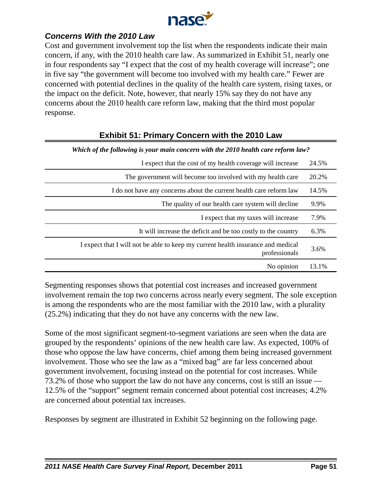

# *Concerns With the 2010 Law*

Cost and government involvement top the list when the respondents indicate their main concern, if any, with the 2010 health care law. As summarized in Exhibit 51, nearly one in four respondents say "I expect that the cost of my health coverage will increase"; one in five say "the government will become too involved with my health care." Fewer are concerned with potential declines in the quality of the health care system, rising taxes, or the impact on the deficit. Note, however, that nearly 15% say they do not have any concerns about the 2010 health care reform law, making that the third most popular response.

| Which of the following is your main concern with the 2010 health care reform law?                 |       |
|---------------------------------------------------------------------------------------------------|-------|
| I expect that the cost of my health coverage will increase                                        | 24.5% |
| The government will become too involved with my health care                                       | 20.2% |
| I do not have any concerns about the current health care reform law                               | 14.5% |
| The quality of our health care system will decline                                                | 9.9%  |
| I expect that my taxes will increase                                                              | 7.9%  |
| It will increase the deficit and be too costly to the country                                     | 6.3%  |
| I expect that I will not be able to keep my current health insurance and medical<br>professionals | 3.6%  |
| No opinion                                                                                        | 13.1% |

# **Exhibit 51: Primary Concern with the 2010 Law**

Segmenting responses shows that potential cost increases and increased government involvement remain the top two concerns across nearly every segment. The sole exception is among the respondents who are the most familiar with the 2010 law, with a plurality (25.2%) indicating that they do not have any concerns with the new law.

Some of the most significant segment-to-segment variations are seen when the data are grouped by the respondents' opinions of the new health care law. As expected, 100% of those who oppose the law have concerns, chief among them being increased government involvement. Those who see the law as a "mixed bag" are far less concerned about government involvement, focusing instead on the potential for cost increases. While 73.2% of those who support the law do not have any concerns, cost is still an issue — 12.5% of the "support" segment remain concerned about potential cost increases; 4.2% are concerned about potential tax increases.

Responses by segment are illustrated in Exhibit 52 beginning on the following page.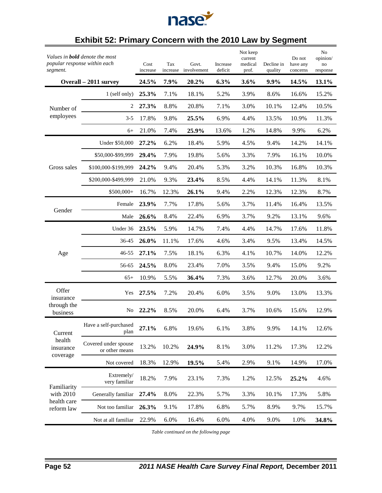

# **Exhibit 52: Primary Concern with the 2010 Law by Segment**

| popular response within each<br>segment. | Values in <b>bold</b> denote the most  | Cost<br>increase | Tax<br>increase | Govt.<br>involvement | Increase<br>deficit | Not keep<br>current<br>medical<br>prof. | Decline in<br>quality | Do not<br>have any<br>concerns | No<br>opinion/<br>no<br>response |
|------------------------------------------|----------------------------------------|------------------|-----------------|----------------------|---------------------|-----------------------------------------|-----------------------|--------------------------------|----------------------------------|
|                                          | Overall - 2011 survey                  | 24.5%            | 7.9%            | 20.2%                | 6.3%                | 3.6%                                    | 9.9%                  | 14.5%                          | 13.1%                            |
|                                          | 1 (self only)                          | 25.3%            | 7.1%            | 18.1%                | 5.2%                | 3.9%                                    | 8.6%                  | 16.6%                          | 15.2%                            |
| Number of                                | 2                                      | 27.3%            | 8.8%            | 20.8%                | 7.1%                | 3.0%                                    | 10.1%                 | 12.4%                          | 10.5%                            |
| employees                                | $3 - 5$                                | 17.8%            | 9.8%            | 25.5%                | 6.9%                | 4.4%                                    | 13.5%                 | 10.9%                          | 11.3%                            |
|                                          | 6+                                     | 21.0%            | 7.4%            | 25.9%                | 13.6%               | 1.2%                                    | 14.8%                 | 9.9%                           | 6.2%                             |
|                                          | Under \$50,000                         | 27.2%            | 6.2%            | 18.4%                | 5.9%                | 4.5%                                    | 9.4%                  | 14.2%                          | 14.1%                            |
|                                          | \$50,000-\$99,999                      | 29.4%            | 7.9%            | 19.8%                | 5.6%                | 3.3%                                    | 7.9%                  | 16.1%                          | 10.0%                            |
| Gross sales                              | \$100,000-\$199,999                    | 24.2%            | 9.4%            | 20.4%                | 5.3%                | 3.2%                                    | 10.3%                 | 16.8%                          | 10.3%                            |
|                                          | \$200,000-\$499,999                    | 21.0%            | 9.3%            | 23.4%                | 8.5%                | 4.4%                                    | 14.1%                 | 11.3%                          | 8.1%                             |
|                                          | \$500,000+                             | 16.7%            | 12.3%           | 26.1%                | 9.4%                | 2.2%                                    | 12.3%                 | 12.3%                          | 8.7%                             |
|                                          | Female                                 | 23.9%            | 7.7%            | 17.8%                | 5.6%                | 3.7%                                    | 11.4%                 | 16.4%                          | 13.5%                            |
| Gender                                   | Male                                   | 26.6%            | 8.4%            | 22.4%                | 6.9%                | 3.7%                                    | 9.2%                  | 13.1%                          | 9.6%                             |
|                                          | Under 36                               | 23.5%            | 5.9%            | 14.7%                | 7.4%                | 4.4%                                    | 14.7%                 | 17.6%                          | 11.8%                            |
|                                          | 36-45                                  | 26.0%            | 11.1%           | 17.6%                | 4.6%                | 3.4%                                    | 9.5%                  | 13.4%                          | 14.5%                            |
| Age                                      | 46-55                                  | 27.1%            | 7.5%            | 18.1%                | 6.3%                | 4.1%                                    | 10.7%                 | 14.0%                          | 12.2%                            |
|                                          | 56-65                                  | 24.5%            | 8.0%            | 23.4%                | 7.0%                | 3.5%                                    | 9.4%                  | 15.0%                          | 9.2%                             |
|                                          | $65+$                                  | 10.9%            | 5.5%            | 36.4%                | 7.3%                | 3.6%                                    | 12.7%                 | 20.0%                          | 3.6%                             |
| Offer<br>insurance                       | Yes                                    | 27.5%            | 7.2%            | 20.4%                | 6.0%                | 3.5%                                    | 9.0%                  | 13.0%                          | 13.3%                            |
| through the<br>business                  | No                                     | 22.2%            | 8.5%            | 20.0%                | 6.4%                | 3.7%                                    | 10.6%                 | 15.6%                          | 12.9%                            |
| Current                                  | Have a self-purchased<br>plan          | 27.1%            | 6.8%            | 19.6%                | 6.1%                | 3.8%                                    | 9.9%                  | 14.1%                          | 12.6%                            |
| health<br>insurance<br>coverage          | Covered under spouse<br>or other means | 13.2%            | 10.2%           | 24.9%                | 8.1%                | 3.0%                                    | 11.2%                 | 17.3%                          | 12.2%                            |
|                                          | Not covered                            | 18.3%            | 12.9%           | 19.5%                | 5.4%                | 2.9%                                    | 9.1%                  | 14.9%                          | 17.0%                            |
| Familiarity                              | Extremely/<br>very familiar            | 18.2%            | 7.9%            | 23.1%                | 7.3%                | 1.2%                                    | 12.5%                 | 25.2%                          | 4.6%                             |
| with 2010                                | Generally familiar                     | 27.4%            | 8.0%            | 22.3%                | 5.7%                | 3.3%                                    | 10.1%                 | 17.3%                          | 5.8%                             |
| health care<br>reform law                | Not too familiar                       | 26.3%            | 9.1%            | 17.8%                | 6.8%                | 5.7%                                    | 8.9%                  | 9.7%                           | 15.7%                            |
|                                          | Not at all familiar                    | 22.9%            | 6.0%            | 16.4%                | 6.0%                | 4.0%                                    | 9.0%                  | 1.0%                           | 34.8%                            |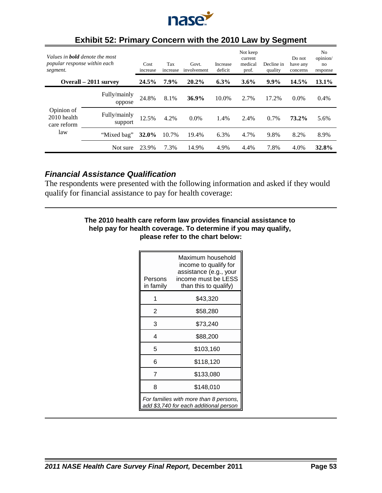

| Values in <b>bold</b> denote the most<br>popular response within each<br>segment. |                         | Cost<br>increase | Tax<br>increase | Govt.<br>involvement | Increase<br>deficit | Not keep<br>current<br>medical<br>prof. | Decline in<br>quality | Do not<br>have any<br>concerns | N <sub>o</sub><br>opinion/<br>no<br>response |
|-----------------------------------------------------------------------------------|-------------------------|------------------|-----------------|----------------------|---------------------|-----------------------------------------|-----------------------|--------------------------------|----------------------------------------------|
|                                                                                   | Overall – 2011 survey   | 24.5%            | 7.9%            | 20.2%                | 6.3%                | 3.6%                                    | $9.9\%$               | 14.5%                          | 13.1%                                        |
|                                                                                   | Fully/mainly<br>oppose  | 24.8%            | 8.1%            | 36.9%                | 10.0%               | 2.7%                                    | 17.2%                 | $0.0\%$                        | 0.4%                                         |
| Opinion of<br>2010 health<br>care reform                                          | Fully/mainly<br>support | 12.5%            | 4.2%            | $0.0\%$              | 1.4%                | 2.4%                                    | $0.7\%$               | 73.2%                          | 5.6%                                         |
| law                                                                               | "Mixed bag"             | <b>32.0%</b>     | 10.7%           | 19.4%                | 6.3%                | 4.7%                                    | 9.8%                  | 8.2%                           | 8.9%                                         |
|                                                                                   | Not sure                | 23.9%            | 7.3%            | 14.9%                | 4.9%                | 4.4%                                    | 7.8%                  | 4.0%                           | 32.8%                                        |

## **Exhibit 52: Primary Concern with the 2010 Law by Segment**

## *Financial Assistance Qualification*

The respondents were presented with the following information and asked if they would qualify for financial assistance to pay for health coverage:

#### **The 2010 health care reform law provides financial assistance to help pay for health coverage. To determine if you may qualify, please refer to the chart below:**

| Persons<br>in family | Maximum household<br>income to qualify for<br>assistance (e.g., your<br>income must be LESS<br>than this to qualify) |
|----------------------|----------------------------------------------------------------------------------------------------------------------|
| 1                    | \$43,320                                                                                                             |
| 2                    | \$58,280                                                                                                             |
| 3                    | \$73,240                                                                                                             |
| 4                    | \$88,200                                                                                                             |
| 5                    | \$103,160                                                                                                            |
| 6                    | \$118,120                                                                                                            |
| 7                    | \$133,080                                                                                                            |
| 8                    | \$148,010                                                                                                            |
|                      | For families with more than 8 persons,<br>add \$3,740 for each additional person                                     |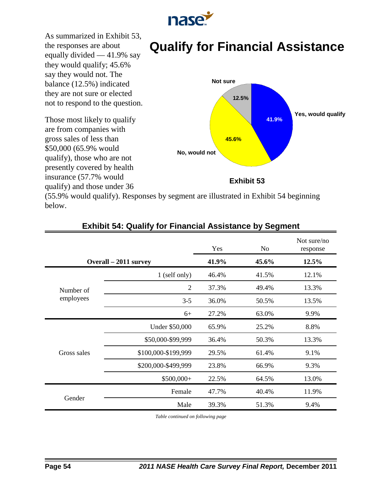

As summarized in Exhibit 53, the responses are about equally divided — 41.9% say they would qualify; 45.6% say they would not. The balance (12.5%) indicated they are not sure or elected not to respond to the question.

Those most likely to qualify are from companies with gross sales of less than \$50,000 (65.9% would qualify), those who are not presently covered by health insurance (57.7% would qualify) and those under 36



**Qualify for Financial Assistance**

(55.9% would qualify). Responses by segment are illustrated in Exhibit 54 beginning below.

|                       |                     | Yes   | No.   | Not sure/no<br>response |
|-----------------------|---------------------|-------|-------|-------------------------|
| Overall – 2011 survey |                     | 41.9% | 45.6% | 12.5%                   |
|                       | 1 (self only)       | 46.4% | 41.5% | 12.1%                   |
| Number of             | $\overline{2}$      | 37.3% | 49.4% | 13.3%                   |
| employees             | $3 - 5$             | 36.0% | 50.5% | 13.5%                   |
|                       | $6+$                | 27.2% | 63.0% | 9.9%                    |
|                       | Under \$50,000      | 65.9% | 25.2% | 8.8%                    |
|                       | \$50,000-\$99,999   | 36.4% | 50.3% | 13.3%                   |
| Gross sales           | \$100,000-\$199,999 | 29.5% | 61.4% | 9.1%                    |
|                       | \$200,000-\$499,999 | 23.8% | 66.9% | 9.3%                    |
|                       | \$500,000+          | 22.5% | 64.5% | 13.0%                   |
|                       | Female              | 47.7% | 40.4% | 11.9%                   |
| Gender                | Male                | 39.3% | 51.3% | 9.4%                    |

## **Exhibit 54: Qualify for Financial Assistance by Segment**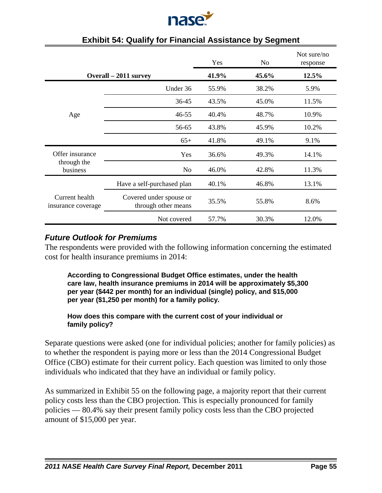

|                                      |                                                | Yes   | No    | Not sure/no<br>response |
|--------------------------------------|------------------------------------------------|-------|-------|-------------------------|
| Overall – 2011 survey                |                                                | 41.9% | 45.6% | 12.5%                   |
|                                      | Under 36                                       | 55.9% | 38.2% | 5.9%                    |
|                                      | 36-45                                          | 43.5% | 45.0% | 11.5%                   |
| Age                                  | 46-55                                          | 40.4% | 48.7% | 10.9%                   |
|                                      | 56-65                                          | 43.8% | 45.9% | 10.2%                   |
|                                      | $65+$                                          | 41.8% | 49.1% | 9.1%                    |
| Offer insurance                      | Yes                                            | 36.6% | 49.3% | 14.1%                   |
| through the<br>business              | N <sub>0</sub>                                 | 46.0% | 42.8% | 11.3%                   |
|                                      | Have a self-purchased plan                     | 40.1% | 46.8% | 13.1%                   |
| Current health<br>insurance coverage | Covered under spouse or<br>through other means | 35.5% | 55.8% | 8.6%                    |
|                                      | Not covered                                    | 57.7% | 30.3% | 12.0%                   |

### **Exhibit 54: Qualify for Financial Assistance by Segment**

## *Future Outlook for Premiums*

The respondents were provided with the following information concerning the estimated cost for health insurance premiums in 2014:

**According to Congressional Budget Office estimates, under the health care law, health insurance premiums in 2014 will be approximately \$5,300 per year (\$442 per month) for an individual (single) policy, and \$15,000 per year (\$1,250 per month) for a family policy.**

#### **How does this compare with the current cost of your individual or family policy?**

Separate questions were asked (one for individual policies; another for family policies) as to whether the respondent is paying more or less than the 2014 Congressional Budget Office (CBO) estimate for their current policy. Each question was limited to only those individuals who indicated that they have an individual or family policy.

As summarized in Exhibit 55 on the following page, a majority report that their current policy costs less than the CBO projection. This is especially pronounced for family policies — 80.4% say their present family policy costs less than the CBO projected amount of \$15,000 per year.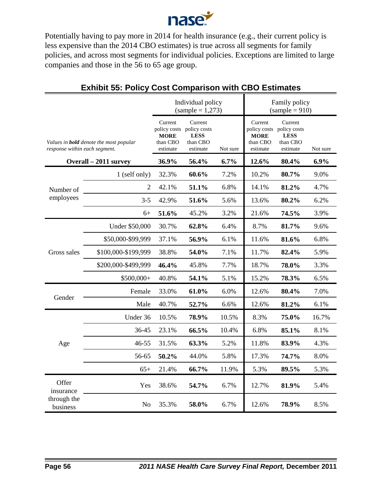

Potentially having to pay more in 2014 for health insurance (e.g., their current policy is less expensive than the 2014 CBO estimates) is true across all segments for family policies, and across most segments for individual policies. Exceptions are limited to large companies and those in the 56 to 65 age group.

|                                                                                |                     | Individual policy<br>$(sample = 1,273)$                        |                                                                |          | Family policy<br>$(sample = 910)$                              |                                                                |          |
|--------------------------------------------------------------------------------|---------------------|----------------------------------------------------------------|----------------------------------------------------------------|----------|----------------------------------------------------------------|----------------------------------------------------------------|----------|
| Values in <b>bold</b> denote the most popular<br>response within each segment. |                     | Current<br>policy costs<br><b>MORE</b><br>than CBO<br>estimate | Current<br>policy costs<br><b>LESS</b><br>than CBO<br>estimate | Not sure | Current<br>policy costs<br><b>MORE</b><br>than CBO<br>estimate | Current<br>policy costs<br><b>LESS</b><br>than CBO<br>estimate | Not sure |
| Overall - 2011 survey                                                          |                     | 36.9%                                                          | 56.4%                                                          | 6.7%     | 12.6%                                                          | 80.4%                                                          | 6.9%     |
|                                                                                | 1 (self only)       | 32.3%                                                          | 60.6%                                                          | 7.2%     | 10.2%                                                          | 80.7%                                                          | 9.0%     |
| Number of                                                                      | 2                   | 42.1%                                                          | 51.1%                                                          | 6.8%     | 14.1%                                                          | 81.2%                                                          | 4.7%     |
| employees                                                                      | $3 - 5$             | 42.9%                                                          | 51.6%                                                          | 5.6%     | 13.6%                                                          | 80.2%                                                          | 6.2%     |
|                                                                                | $6+$                | 51.6%                                                          | 45.2%                                                          | 3.2%     | 21.6%                                                          | 74.5%                                                          | 3.9%     |
| Gross sales                                                                    | Under \$50,000      | 30.7%                                                          | 62.8%                                                          | 6.4%     | 8.7%                                                           | 81.7%                                                          | 9.6%     |
|                                                                                | \$50,000-\$99,999   | 37.1%                                                          | 56.9%                                                          | 6.1%     | 11.6%                                                          | 81.6%                                                          | 6.8%     |
|                                                                                | \$100,000-\$199,999 | 38.8%                                                          | 54.0%                                                          | 7.1%     | 11.7%                                                          | 82.4%                                                          | 5.9%     |
|                                                                                | \$200,000-\$499,999 | 46.4%                                                          | 45.8%                                                          | 7.7%     | 18.7%                                                          | 78.0%                                                          | 3.3%     |
|                                                                                | \$500,000+          | 40.8%                                                          | 54.1%                                                          | 5.1%     | 15.2%                                                          | 78.3%                                                          | 6.5%     |
| Gender                                                                         | Female              | 33.0%                                                          | 61.0%                                                          | 6.0%     | 12.6%                                                          | 80.4%                                                          | 7.0%     |
|                                                                                | Male                | 40.7%                                                          | 52.7%                                                          | 6.6%     | 12.6%                                                          | 81.2%                                                          | 6.1%     |
|                                                                                | Under 36            | 10.5%                                                          | 78.9%                                                          | 10.5%    | 8.3%                                                           | 75.0%                                                          | 16.7%    |
| Age                                                                            | 36-45               | 23.1%                                                          | 66.5%                                                          | 10.4%    | 6.8%                                                           | 85.1%                                                          | 8.1%     |
|                                                                                | 46-55               | 31.5%                                                          | 63.3%                                                          | 5.2%     | 11.8%                                                          | 83.9%                                                          | 4.3%     |
|                                                                                | 56-65               | 50.2%                                                          | 44.0%                                                          | 5.8%     | 17.3%                                                          | 74.7%                                                          | 8.0%     |
|                                                                                | $65+$               | 21.4%                                                          | 66.7%                                                          | 11.9%    | 5.3%                                                           | 89.5%                                                          | 5.3%     |
| Offer<br>insurance                                                             | Yes                 | 38.6%                                                          | 54.7%                                                          | 6.7%     | 12.7%                                                          | 81.9%                                                          | 5.4%     |
| through the<br>business                                                        | N <sub>0</sub>      | 35.3%                                                          | 58.0%                                                          | 6.7%     | 12.6%                                                          | 78.9%                                                          | 8.5%     |

## **Exhibit 55: Policy Cost Comparison with CBO Estimates**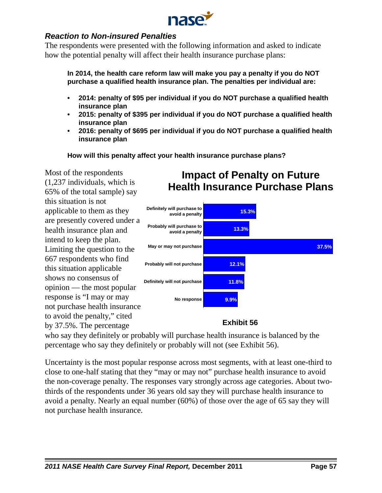

# *Reaction to Non-insured Penalties*

The respondents were presented with the following information and asked to indicate how the potential penalty will affect their health insurance purchase plans:

**In 2014, the health care reform law will make you pay a penalty if you do NOT purchase a qualified health insurance plan. The penalties per individual are:**

- **2014: penalty of \$95 per individual if you do NOT purchase a qualified health insurance plan**
- **2015: penalty of \$395 per individual if you do NOT purchase a qualified health insurance plan**
- **2016: penalty of \$695 per individual if you do NOT purchase a qualified health insurance plan**

**How will this penalty affect your health insurance purchase plans?**

Most of the respondents (1,237 individuals, which is 65% of the total sample) say this situation is not applicable to them as they are presently covered under a health insurance plan and intend to keep the plan. Limiting the question to the 667 respondents who find this situation applicable shows no consensus of opinion — the most popular response is "I may or may not purchase health insurance to avoid the penalty," cited by 37.5%. The percentage



**Impact of Penalty on Future Health Insurance Purchase Plans**

# **Exhibit 56**

who say they definitely or probably will purchase health insurance is balanced by the percentage who say they definitely or probably will not (see Exhibit 56).

Uncertainty is the most popular response across most segments, with at least one-third to close to one-half stating that they "may or may not" purchase health insurance to avoid the non-coverage penalty. The responses vary strongly across age categories. About twothirds of the respondents under 36 years old say they will purchase health insurance to avoid a penalty. Nearly an equal number (60%) of those over the age of 65 say they will not purchase health insurance.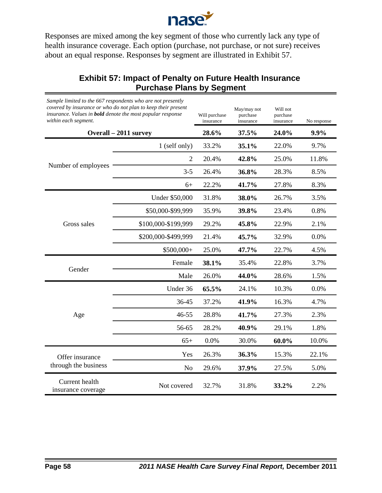

Responses are mixed among the key segment of those who currently lack any type of health insurance coverage. Each option (purchase, not purchase, or not sure) receives about an equal response. Responses by segment are illustrated in Exhibit 57.

# **Exhibit 57: Impact of Penalty on Future Health Insurance Purchase Plans by Segment**

| Sample limited to the 667 respondents who are not presently<br>covered by insurance or who do not plan to keep their present<br>insurance. Values in <b>bold</b> denote the most popular response<br>within each segment.<br>Overall - 2011 survey |                     | Will purchase<br>insurance | May/may not<br>purchase<br>insurance | Will not<br>purchase<br>insurance | No response |
|----------------------------------------------------------------------------------------------------------------------------------------------------------------------------------------------------------------------------------------------------|---------------------|----------------------------|--------------------------------------|-----------------------------------|-------------|
|                                                                                                                                                                                                                                                    |                     | 28.6%                      | 37.5%                                | 24.0%                             | 9.9%        |
| Number of employees                                                                                                                                                                                                                                | 1 (self only)       | 33.2%                      | 35.1%                                | 22.0%                             | 9.7%        |
|                                                                                                                                                                                                                                                    | $\overline{2}$      | 20.4%                      | 42.8%                                | 25.0%                             | 11.8%       |
|                                                                                                                                                                                                                                                    | $3 - 5$             | 26.4%                      | 36.8%                                | 28.3%                             | 8.5%        |
|                                                                                                                                                                                                                                                    | $6+$                | 22.2%                      | 41.7%                                | 27.8%                             | 8.3%        |
| Gross sales                                                                                                                                                                                                                                        | Under \$50,000      | 31.8%                      | 38.0%                                | 26.7%                             | 3.5%        |
|                                                                                                                                                                                                                                                    | \$50,000-\$99,999   | 35.9%                      | 39.8%                                | 23.4%                             | 0.8%        |
|                                                                                                                                                                                                                                                    | \$100,000-\$199,999 | 29.2%                      | 45.8%                                | 22.9%                             | 2.1%        |
|                                                                                                                                                                                                                                                    | \$200,000-\$499,999 | 21.4%                      | 45.7%                                | 32.9%                             | 0.0%        |
|                                                                                                                                                                                                                                                    | $$500,000+$         | 25.0%                      | 47.7%                                | 22.7%                             | 4.5%        |
|                                                                                                                                                                                                                                                    | Female              | 38.1%                      | 35.4%                                | 22.8%                             | 3.7%        |
| Gender                                                                                                                                                                                                                                             | Male                | 26.0%                      | 44.0%                                | 28.6%                             | 1.5%        |
| Age                                                                                                                                                                                                                                                | Under 36            | 65.5%                      | 24.1%                                | 10.3%                             | 0.0%        |
|                                                                                                                                                                                                                                                    | 36-45               | 37.2%                      | 41.9%                                | 16.3%                             | 4.7%        |
|                                                                                                                                                                                                                                                    | 46-55               | 28.8%                      | 41.7%                                | 27.3%                             | 2.3%        |
|                                                                                                                                                                                                                                                    | 56-65               | 28.2%                      | 40.9%                                | 29.1%                             | 1.8%        |
|                                                                                                                                                                                                                                                    | $65+$               | 0.0%                       | 30.0%                                | 60.0%                             | 10.0%       |
| Offer insurance<br>through the business                                                                                                                                                                                                            | Yes                 | 26.3%                      | 36.3%                                | 15.3%                             | 22.1%       |
|                                                                                                                                                                                                                                                    | No                  | 29.6%                      | 37.9%                                | 27.5%                             | 5.0%        |
| Current health<br>insurance coverage                                                                                                                                                                                                               | Not covered         | 32.7%                      | 31.8%                                | 33.2%                             | 2.2%        |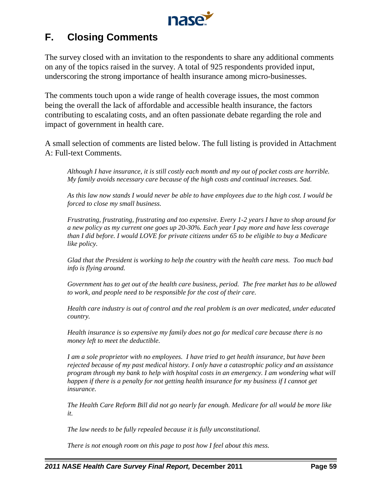

# **F. Closing Comments**

The survey closed with an invitation to the respondents to share any additional comments on any of the topics raised in the survey. A total of 925 respondents provided input, underscoring the strong importance of health insurance among micro-businesses.

The comments touch upon a wide range of health coverage issues, the most common being the overall the lack of affordable and accessible health insurance, the factors contributing to escalating costs, and an often passionate debate regarding the role and impact of government in health care.

A small selection of comments are listed below. The full listing is provided in Attachment A: Full-text Comments.

*Although I have insurance, it is still costly each month and my out of pocket costs are horrible. My family avoids necessary care because of the high costs and continual increases. Sad.*

*As this law now stands I would never be able to have employees due to the high cost. I would be forced to close my small business.*

*Frustrating, frustrating, frustrating and too expensive. Every 1-2 years I have to shop around for a new policy as my current one goes up 20-30%. Each year I pay more and have less coverage than I did before. I would LOVE for private citizens under 65 to be eligible to buy a Medicare like policy.*

*Glad that the President is working to help the country with the health care mess. Too much bad info is flying around.*

*Government has to get out of the health care business, period. The free market has to be allowed to work, and people need to be responsible for the cost of their care.*

*Health care industry is out of control and the real problem is an over medicated, under educated country.*

*Health insurance is so expensive my family does not go for medical care because there is no money left to meet the deductible.*

*I am a sole proprietor with no employees. I have tried to get health insurance, but have been rejected because of my past medical history. I only have a catastrophic policy and an assistance program through my bank to help with hospital costs in an emergency. I am wondering what will happen if there is a penalty for not getting health insurance for my business if I cannot get insurance.*

*The Health Care Reform Bill did not go nearly far enough. Medicare for all would be more like it.*

*The law needs to be fully repealed because it is fully unconstitutional.*

*There is not enough room on this page to post how I feel about this mess.*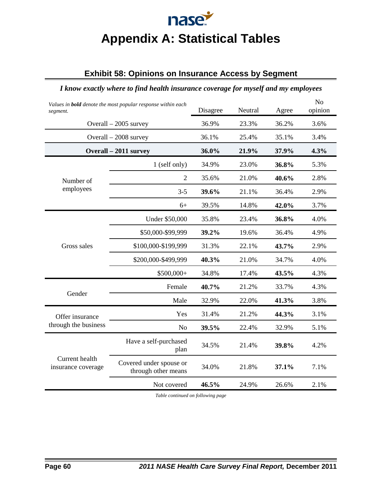# nase **Appendix A: Statistical Tables**

# **Exhibit 58: Opinions on Insurance Access by Segment**

### *I know exactly where to find health insurance coverage for myself and my employees*

| Values in <b>bold</b> denote the most popular response within each<br>segment. |                                                | Disagree | Neutral | Agree | N <sub>o</sub><br>opinion |
|--------------------------------------------------------------------------------|------------------------------------------------|----------|---------|-------|---------------------------|
| Overall $-2005$ survey                                                         |                                                | 36.9%    | 23.3%   | 36.2% | 3.6%                      |
| Overall - 2008 survey                                                          |                                                | 36.1%    | 25.4%   | 35.1% | 3.4%                      |
| Overall - 2011 survey                                                          |                                                | 36.0%    | 21.9%   | 37.9% | 4.3%                      |
|                                                                                | 1 (self only)                                  | 34.9%    | 23.0%   | 36.8% | 5.3%                      |
| Number of                                                                      | $\overline{2}$                                 | 35.6%    | 21.0%   | 40.6% | 2.8%                      |
| employees                                                                      | $3 - 5$                                        | 39.6%    | 21.1%   | 36.4% | 2.9%                      |
|                                                                                | $6+$                                           | 39.5%    | 14.8%   | 42.0% | 3.7%                      |
|                                                                                | Under \$50,000                                 | 35.8%    | 23.4%   | 36.8% | 4.0%                      |
|                                                                                | \$50,000-\$99,999                              | 39.2%    | 19.6%   | 36.4% | 4.9%                      |
| Gross sales                                                                    | \$100,000-\$199,999                            | 31.3%    | 22.1%   | 43.7% | 2.9%                      |
|                                                                                | \$200,000-\$499,999                            | 40.3%    | 21.0%   | 34.7% | 4.0%                      |
|                                                                                | \$500,000+                                     | 34.8%    | 17.4%   | 43.5% | 4.3%                      |
|                                                                                | Female                                         | 40.7%    | 21.2%   | 33.7% | 4.3%                      |
| Gender                                                                         | Male                                           | 32.9%    | 22.0%   | 41.3% | 3.8%                      |
| Offer insurance<br>through the business                                        | Yes                                            | 31.4%    | 21.2%   | 44.3% | 3.1%                      |
|                                                                                | N <sub>o</sub>                                 | 39.5%    | 22.4%   | 32.9% | 5.1%                      |
| Current health<br>insurance coverage                                           | Have a self-purchased<br>plan                  | 34.5%    | 21.4%   | 39.8% | 4.2%                      |
|                                                                                | Covered under spouse or<br>through other means | 34.0%    | 21.8%   | 37.1% | 7.1%                      |
|                                                                                | Not covered                                    | 46.5%    | 24.9%   | 26.6% | 2.1%                      |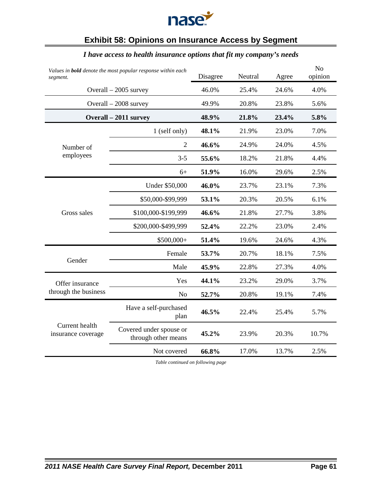

## **Exhibit 58: Opinions on Insurance Access by Segment**

### *Values in bold denote the most popular response within each segment.* Disagree Neutral Agree No opinion Overall – 2005 survey 46.0% 25.4% 24.6% 4.0% Overall – 2008 survey 49.9% 20.8% 23.8% 5.6% **Overall – 2011 survey 48.9% 21.8% 23.4% 5.8%** Number of employees 1 (self only) **48.1%** 21.9% 23.0% 7.0% 2 **46.6%** 24.9% 24.0% 4.5% 3-5 **55.6%** 18.2% 21.8% 4.4% 6+ **51.9%** 16.0% 29.6% 2.5% Gross sales Under \$50,000 **46.0%** 23.7% 23.1% 7.3% \$50,000-\$99,999 **53.1%** 20.3% 20.5% 6.1% \$100,000-\$199,999 **46.6%** 21.8% 27.7% 3.8% \$200,000-\$499,999 **52.4%** 22.2% 23.0% 2.4% \$500,000+ **51.4%** 19.6% 24.6% 4.3% Gender Female **53.7%** 20.7% 18.1% 7.5% Male **45.9%** 22.8% 27.3% 4.0% Offer insurance through the business Yes **44.1%** 23.2% 29.0% 3.7% No **52.7%** 20.8% 19.1% 7.4% Current health insurance coverage Have a self-purchased plan **46.5%** 22.4% 25.4% 5.7% Covered under spouse or through other means **45.2%** 23.9% 20.3% 10.7% Not covered **66.8%** 17.0% 13.7% 2.5%

#### *I have access to health insurance options that fit my company's needs*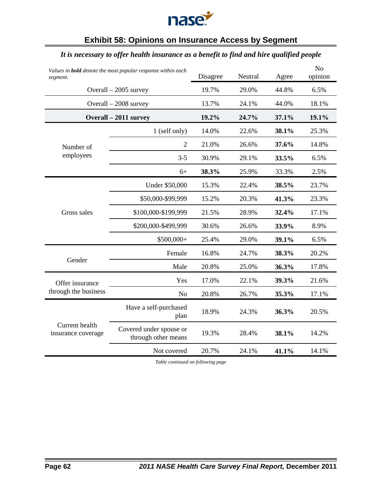

## **Exhibit 58: Opinions on Insurance Access by Segment**

## *It is necessary to offer health insurance as a benefit to find and hire qualified people*

| Values in <b>bold</b> denote the most popular response within each<br>segment. | Disagree                                       | Neutral | Agree | N <sub>o</sub><br>opinion |       |
|--------------------------------------------------------------------------------|------------------------------------------------|---------|-------|---------------------------|-------|
|                                                                                | Overall $-2005$ survey                         | 19.7%   | 29.0% | 44.8%                     | 6.5%  |
|                                                                                | Overall $-2008$ survey                         | 13.7%   | 24.1% | 44.0%                     | 18.1% |
|                                                                                | Overall - 2011 survey                          | 19.2%   | 24.7% | 37.1%                     | 19.1% |
|                                                                                | 1 (self only)                                  | 14.0%   | 22.6% | 38.1%                     | 25.3% |
| Number of                                                                      | $\overline{2}$                                 | 21.0%   | 26.6% | 37.6%                     | 14.8% |
| employees                                                                      | $3 - 5$                                        | 30.9%   | 29.1% | 33.5%                     | 6.5%  |
|                                                                                | $6+$                                           | 38.3%   | 25.9% | 33.3%                     | 2.5%  |
|                                                                                | <b>Under \$50,000</b>                          | 15.3%   | 22.4% | 38.5%                     | 23.7% |
|                                                                                | \$50,000-\$99,999                              | 15.2%   | 20.3% | 41.3%                     | 23.3% |
| Gross sales                                                                    | \$100,000-\$199,999                            | 21.5%   | 28.9% | 32.4%                     | 17.1% |
|                                                                                | \$200,000-\$499,999                            | 30.6%   | 26.6% | 33.9%                     | 8.9%  |
|                                                                                | $$500,000+$                                    | 25.4%   | 29.0% | 39.1%                     | 6.5%  |
|                                                                                | Female                                         | 16.8%   | 24.7% | 38.3%                     | 20.2% |
| Gender                                                                         | Male                                           | 20.8%   | 25.0% | 36.3%                     | 17.8% |
| Offer insurance                                                                | Yes                                            | 17.0%   | 22.1% | 39.3%                     | 21.6% |
| through the business                                                           | N <sub>o</sub>                                 | 20.8%   | 26.7% | 35.3%                     | 17.1% |
|                                                                                | Have a self-purchased<br>plan                  | 18.9%   | 24.3% | 36.3%                     | 20.5% |
| Current health<br>insurance coverage                                           | Covered under spouse or<br>through other means | 19.3%   | 28.4% | 38.1%                     | 14.2% |
|                                                                                | Not covered                                    | 20.7%   | 24.1% | 41.1%                     | 14.1% |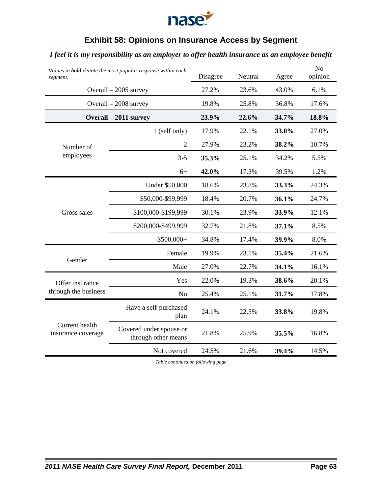

## **Exhibit 58: Opinions on Insurance Access by Segment**

## *I feel it is my responsibility as an employer to offer health insurance as an employee benefit*

| Values in <b>bold</b> denote the most popular response within each<br>segment. |                                                | Disagree | Neutral | Agree | N <sub>o</sub><br>opinion |
|--------------------------------------------------------------------------------|------------------------------------------------|----------|---------|-------|---------------------------|
|                                                                                | Overall $-2005$ survey                         | 27.2%    | 23.6%   | 43.0% | 6.1%                      |
|                                                                                | Overall $-2008$ survey                         | 19.8%    | 25.8%   | 36.8% | 17.6%                     |
|                                                                                | Overall - 2011 survey                          | 23.9%    | 22.6%   | 34.7% | 18.8%                     |
|                                                                                | 1 (self only)                                  | 17.9%    | 22.1%   | 33.0% | 27.0%                     |
| Number of                                                                      | $\overline{2}$                                 | 27.9%    | 23.2%   | 38.2% | 10.7%                     |
| employees                                                                      | $3 - 5$                                        | 35.3%    | 25.1%   | 34.2% | 5.5%                      |
|                                                                                | $6+$                                           | 42.0%    | 17.3%   | 39.5% | 1.2%                      |
|                                                                                | <b>Under \$50,000</b>                          | 18.6%    | 23.8%   | 33.3% | 24.3%                     |
|                                                                                | \$50,000-\$99,999                              | 18.4%    | 20.7%   | 36.1% | 24.7%                     |
| Gross sales                                                                    | \$100,000-\$199,999                            | 30.1%    | 23.9%   | 33.9% | 12.1%                     |
|                                                                                | \$200,000-\$499,999                            | 32.7%    | 21.8%   | 37.1% | 8.5%                      |
|                                                                                | $$500,000+$                                    | 34.8%    | 17.4%   | 39.9% | 8.0%                      |
|                                                                                | Female                                         | 19.9%    | 23.1%   | 35.4% | 21.6%                     |
| Gender                                                                         | Male                                           | 27.0%    | 22.7%   | 34.1% | 16.1%                     |
| Offer insurance                                                                | Yes                                            | 22.0%    | 19.3%   | 38.6% | 20.1%                     |
| through the business                                                           | N <sub>o</sub>                                 | 25.4%    | 25.1%   | 31.7% | 17.8%                     |
|                                                                                | Have a self-purchased<br>plan                  | 24.1%    | 22.3%   | 33.8% | 19.8%                     |
| Current health<br>insurance coverage                                           | Covered under spouse or<br>through other means | 21.8%    | 25.9%   | 35.5% | 16.8%                     |
|                                                                                | Not covered                                    | 24.5%    | 21.6%   | 39.4% | 14.5%                     |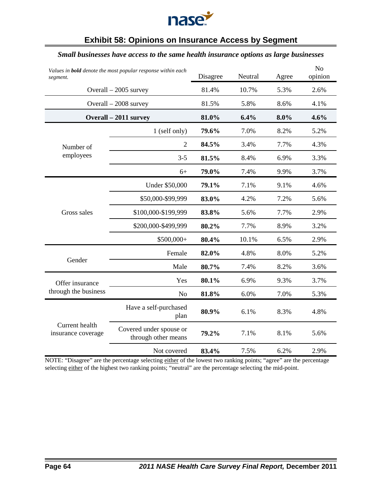

# **Exhibit 58: Opinions on Insurance Access by Segment**

#### *Small businesses have access to the same health insurance options as large businesses*

| Values in <b>bold</b> denote the most popular response within each<br>segment. | Disagree                                       | Neutral | Agree | N <sub>o</sub><br>opinion |      |
|--------------------------------------------------------------------------------|------------------------------------------------|---------|-------|---------------------------|------|
|                                                                                | Overall $-2005$ survey                         | 81.4%   | 10.7% | 5.3%                      | 2.6% |
|                                                                                | Overall $-2008$ survey                         | 81.5%   | 5.8%  | 8.6%                      | 4.1% |
|                                                                                | Overall - 2011 survey                          | 81.0%   | 6.4%  | 8.0%                      | 4.6% |
|                                                                                | 1 (self only)                                  | 79.6%   | 7.0%  | 8.2%                      | 5.2% |
| Number of                                                                      | $\overline{2}$                                 | 84.5%   | 3.4%  | 7.7%                      | 4.3% |
| employees                                                                      | $3 - 5$                                        | 81.5%   | 8.4%  | 6.9%                      | 3.3% |
|                                                                                | $6+$                                           | 79.0%   | 7.4%  | 9.9%                      | 3.7% |
|                                                                                | Under \$50,000                                 | 79.1%   | 7.1%  | 9.1%                      | 4.6% |
|                                                                                | \$50,000-\$99,999                              | 83.0%   | 4.2%  | 7.2%                      | 5.6% |
| Gross sales                                                                    | \$100,000-\$199,999                            | 83.8%   | 5.6%  | 7.7%                      | 2.9% |
|                                                                                | \$200,000-\$499,999                            | 80.2%   | 7.7%  | 8.9%                      | 3.2% |
|                                                                                | \$500,000+                                     | 80.4%   | 10.1% | 6.5%                      | 2.9% |
|                                                                                | Female                                         | 82.0%   | 4.8%  | 8.0%                      | 5.2% |
| Gender                                                                         | Male                                           | 80.7%   | 7.4%  | 8.2%                      | 3.6% |
| Offer insurance                                                                | Yes                                            | 80.1%   | 6.9%  | 9.3%                      | 3.7% |
| through the business                                                           | N <sub>o</sub>                                 | 81.8%   | 6.0%  | 7.0%                      | 5.3% |
|                                                                                | Have a self-purchased<br>plan                  | 80.9%   | 6.1%  | 8.3%                      | 4.8% |
| Current health<br>insurance coverage                                           | Covered under spouse or<br>through other means | 79.2%   | 7.1%  | 8.1%                      | 5.6% |
|                                                                                | Not covered                                    | 83.4%   | 7.5%  | 6.2%                      | 2.9% |

NOTE: "Disagree" are the percentage selecting either of the lowest two ranking points; "agree" are the percentage selecting either of the highest two ranking points; "neutral" are the percentage selecting the mid-point.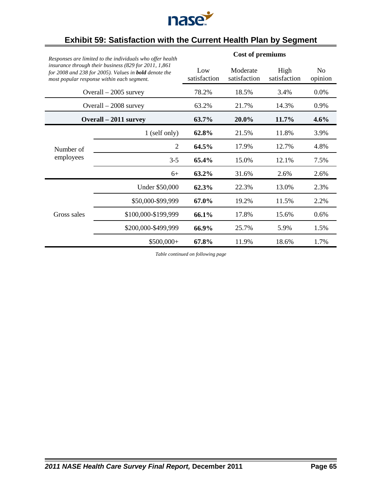

| Responses are limited to the individuals who offer health<br>insurance through their business (829 for 2011, 1,861<br>for 2008 and 238 for 2005). Values in <b>bold</b> denote the<br>most popular response within each segment. |                        | <b>Cost of premiums</b> |                          |                      |                           |  |  |
|----------------------------------------------------------------------------------------------------------------------------------------------------------------------------------------------------------------------------------|------------------------|-------------------------|--------------------------|----------------------|---------------------------|--|--|
|                                                                                                                                                                                                                                  |                        | Low<br>satisfaction     | Moderate<br>satisfaction | High<br>satisfaction | N <sub>0</sub><br>opinion |  |  |
|                                                                                                                                                                                                                                  | Overall $-2005$ survey | 78.2%                   | 18.5%                    | 3.4%                 | 0.0%                      |  |  |
|                                                                                                                                                                                                                                  | Overall $-2008$ survey | 63.2%                   | 21.7%                    | 14.3%                | 0.9%                      |  |  |
|                                                                                                                                                                                                                                  | Overall – 2011 survey  | 63.7%                   | $20.0\%$                 | 11.7%                | $4.6\%$                   |  |  |
|                                                                                                                                                                                                                                  | 1 (self only)          | 62.8%                   | 21.5%                    | 11.8%                | 3.9%                      |  |  |
| Number of                                                                                                                                                                                                                        | 2                      | 64.5%                   | 17.9%                    | 12.7%                | 4.8%                      |  |  |
| employees                                                                                                                                                                                                                        | $3 - 5$                | 65.4%                   | 15.0%                    | 12.1%                | 7.5%                      |  |  |
|                                                                                                                                                                                                                                  | $6+$                   | 63.2%                   | 31.6%                    | 2.6%                 | 2.6%                      |  |  |
|                                                                                                                                                                                                                                  | Under \$50,000         | 62.3%                   | 22.3%                    | 13.0%                | 2.3%                      |  |  |
|                                                                                                                                                                                                                                  | \$50,000-\$99,999      | 67.0%                   | 19.2%                    | 11.5%                | 2.2%                      |  |  |
| Gross sales                                                                                                                                                                                                                      | \$100,000-\$199,999    | 66.1%                   | 17.8%                    | 15.6%                | 0.6%                      |  |  |
|                                                                                                                                                                                                                                  | \$200,000-\$499,999    | 66.9%                   | 25.7%                    | 5.9%                 | 1.5%                      |  |  |
|                                                                                                                                                                                                                                  | $$500,000+$            | 67.8%                   | 11.9%                    | 18.6%                | 1.7%                      |  |  |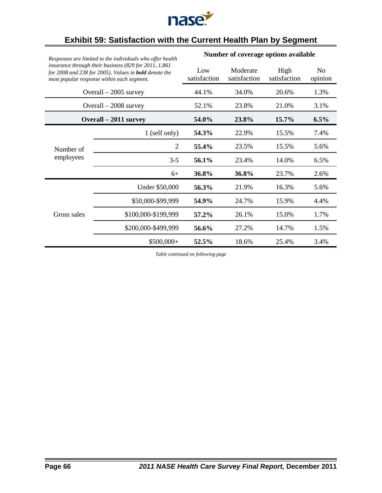

| Responses are limited to the individuals who offer health |                                                                                                                                                                     | Number of coverage options available |                          |                      |                           |  |  |
|-----------------------------------------------------------|---------------------------------------------------------------------------------------------------------------------------------------------------------------------|--------------------------------------|--------------------------|----------------------|---------------------------|--|--|
|                                                           | insurance through their business (829 for 2011, 1,861<br>for 2008 and 238 for 2005). Values in <b>bold</b> denote the<br>most popular response within each segment. | Low<br>satisfaction                  | Moderate<br>satisfaction | High<br>satisfaction | N <sub>0</sub><br>opinion |  |  |
|                                                           | Overall $-2005$ survey                                                                                                                                              | 44.1%                                | 34.0%                    | 20.6%                | 1.3%                      |  |  |
|                                                           | Overall $-2008$ survey                                                                                                                                              | 52.1%                                | 23.8%                    | 21.0%                | 3.1%                      |  |  |
|                                                           | Overall – 2011 survey                                                                                                                                               | 54.0%                                | 23.8%                    | 15.7%                | 6.5%                      |  |  |
|                                                           | 1 (self only)                                                                                                                                                       | 54.3%                                | 22.9%                    | 15.5%                | 7.4%                      |  |  |
| Number of                                                 | 2                                                                                                                                                                   | 55.4%                                | 23.5%                    | 15.5%                | 5.6%                      |  |  |
| employees                                                 | $3-5$                                                                                                                                                               | 56.1%                                | 23.4%                    | 14.0%                | 6.5%                      |  |  |
|                                                           | $6+$                                                                                                                                                                | 36.8%                                | 36.8%                    | 23.7%                | 2.6%                      |  |  |
|                                                           | Under \$50,000                                                                                                                                                      | 56.3%                                | 21.9%                    | 16.3%                | 5.6%                      |  |  |
|                                                           | \$50,000-\$99,999                                                                                                                                                   | 54.9%                                | 24.7%                    | 15.9%                | 4.4%                      |  |  |
| Gross sales                                               | \$100,000-\$199,999                                                                                                                                                 | 57.2%                                | 26.1%                    | 15.0%                | 1.7%                      |  |  |
|                                                           | \$200,000-\$499,999                                                                                                                                                 | 56.6%                                | 27.2%                    | 14.7%                | 1.5%                      |  |  |
|                                                           | \$500,000+                                                                                                                                                          | 52.5%                                | 18.6%                    | 25.4%                | 3.4%                      |  |  |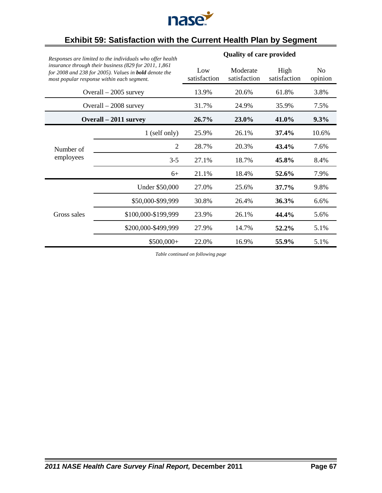

| Responses are limited to the individuals who offer health |                                                                                                                                                                      | <b>Quality of care provided</b> |                          |                      |                           |  |  |
|-----------------------------------------------------------|----------------------------------------------------------------------------------------------------------------------------------------------------------------------|---------------------------------|--------------------------|----------------------|---------------------------|--|--|
|                                                           | insurance through their business (829 for 2011, 1,861)<br>for 2008 and 238 for 2005). Values in <b>bold</b> denote the<br>most popular response within each segment. | Low<br>satisfaction             | Moderate<br>satisfaction | High<br>satisfaction | N <sub>0</sub><br>opinion |  |  |
|                                                           | Overall $-2005$ survey                                                                                                                                               | 13.9%                           | 20.6%                    | 61.8%                | 3.8%                      |  |  |
|                                                           | Overall $-2008$ survey                                                                                                                                               | 31.7%                           | 24.9%                    | 35.9%                | 7.5%                      |  |  |
|                                                           | Overall – 2011 survey                                                                                                                                                | 26.7%                           | 23.0%                    | 41.0%                | 9.3%                      |  |  |
|                                                           | 1 (self only)                                                                                                                                                        | 25.9%                           | 26.1%                    | $37.4\%$             | 10.6%                     |  |  |
| Number of                                                 | $\overline{2}$                                                                                                                                                       | 28.7%                           | 20.3%                    | 43.4%                | 7.6%                      |  |  |
| employees                                                 | $3 - 5$                                                                                                                                                              | 27.1%                           | 18.7%                    | 45.8%                | 8.4%                      |  |  |
|                                                           | $6+$                                                                                                                                                                 | 21.1%                           | 18.4%                    | 52.6%                | 7.9%                      |  |  |
|                                                           | Under \$50,000                                                                                                                                                       | 27.0%                           | 25.6%                    | $37.7\%$             | 9.8%                      |  |  |
|                                                           | \$50,000-\$99,999                                                                                                                                                    | 30.8%                           | 26.4%                    | 36.3%                | 6.6%                      |  |  |
| Gross sales                                               | \$100,000-\$199,999                                                                                                                                                  | 23.9%                           | 26.1%                    | 44.4%                | 5.6%                      |  |  |
|                                                           | \$200,000-\$499,999                                                                                                                                                  | 27.9%                           | 14.7%                    | 52.2%                | 5.1%                      |  |  |
|                                                           | $$500,000+$                                                                                                                                                          | 22.0%                           | 16.9%                    | 55.9%                | 5.1%                      |  |  |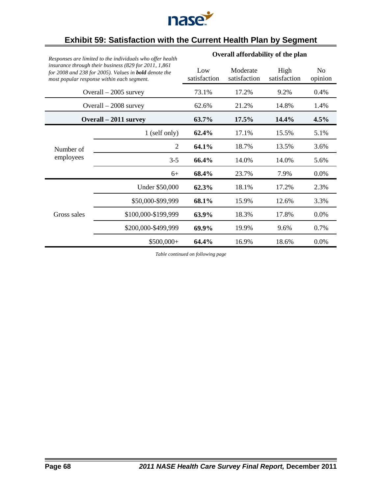

| Responses are limited to the individuals who offer health<br>insurance through their business (829 for 2011, 1,861)<br>for 2008 and 238 for 2005). Values in <b>bold</b> denote the<br>most popular response within each segment. |                        | Overall affordability of the plan |                          |                      |                           |  |  |
|-----------------------------------------------------------------------------------------------------------------------------------------------------------------------------------------------------------------------------------|------------------------|-----------------------------------|--------------------------|----------------------|---------------------------|--|--|
|                                                                                                                                                                                                                                   |                        | Low<br>satisfaction               | Moderate<br>satisfaction | High<br>satisfaction | N <sub>0</sub><br>opinion |  |  |
|                                                                                                                                                                                                                                   | Overall $-2005$ survey | 73.1%                             | 17.2%                    | 9.2%                 | 0.4%                      |  |  |
|                                                                                                                                                                                                                                   | Overall - 2008 survey  | 62.6%                             | 21.2%                    | 14.8%                | 1.4%                      |  |  |
|                                                                                                                                                                                                                                   | Overall – 2011 survey  | 63.7%                             | 17.5%                    | 14.4%                | 4.5%                      |  |  |
|                                                                                                                                                                                                                                   | 1 (self only)          | 62.4%                             | 17.1%                    | 15.5%                | 5.1%                      |  |  |
| Number of                                                                                                                                                                                                                         | $\overline{2}$         | 64.1%                             | 18.7%                    | 13.5%                | 3.6%                      |  |  |
| employees                                                                                                                                                                                                                         | $3 - 5$                | 66.4%                             | 14.0%                    | 14.0%                | 5.6%                      |  |  |
|                                                                                                                                                                                                                                   | $6+$                   | 68.4%                             | 23.7%                    | 7.9%                 | 0.0%                      |  |  |
|                                                                                                                                                                                                                                   | Under \$50,000         | 62.3%                             | 18.1%                    | 17.2%                | 2.3%                      |  |  |
|                                                                                                                                                                                                                                   | \$50,000-\$99,999      | 68.1%                             | 15.9%                    | 12.6%                | 3.3%                      |  |  |
| Gross sales                                                                                                                                                                                                                       | \$100,000-\$199,999    | 63.9%                             | 18.3%                    | 17.8%                | 0.0%                      |  |  |
|                                                                                                                                                                                                                                   | \$200,000-\$499,999    | 69.9%                             | 19.9%                    | 9.6%                 | 0.7%                      |  |  |
|                                                                                                                                                                                                                                   | \$500,000+             | 64.4%                             | 16.9%                    | 18.6%                | 0.0%                      |  |  |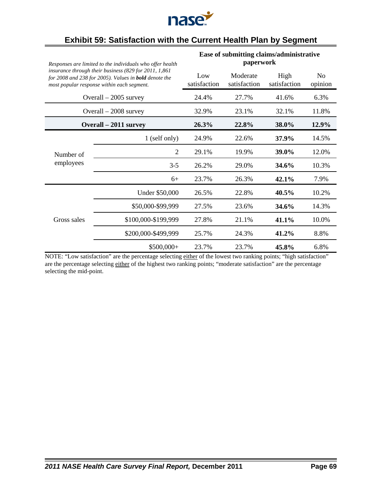

|                                                                                                                                                                                                                                   |                        | Ease of submitting claims/administrative |                          |                      |                           |  |  |
|-----------------------------------------------------------------------------------------------------------------------------------------------------------------------------------------------------------------------------------|------------------------|------------------------------------------|--------------------------|----------------------|---------------------------|--|--|
| Responses are limited to the individuals who offer health<br>insurance through their business (829 for 2011, 1,861)<br>for 2008 and 238 for 2005). Values in <b>bold</b> denote the<br>most popular response within each segment. |                        | paperwork                                |                          |                      |                           |  |  |
|                                                                                                                                                                                                                                   |                        | Low<br>satisfaction                      | Moderate<br>satisfaction | High<br>satisfaction | N <sub>0</sub><br>opinion |  |  |
|                                                                                                                                                                                                                                   | Overall $-2005$ survey | 24.4%                                    | 27.7%                    | 41.6%                | 6.3%                      |  |  |
|                                                                                                                                                                                                                                   | Overall $-2008$ survey | 32.9%                                    | 23.1%                    | 32.1%                | 11.8%                     |  |  |
|                                                                                                                                                                                                                                   | Overall – 2011 survey  | 26.3%                                    | 22.8%                    | 38.0%                | 12.9%                     |  |  |
|                                                                                                                                                                                                                                   | 1 (self only)          | 24.9%                                    | 22.6%                    | 37.9%                | 14.5%                     |  |  |
| Number of                                                                                                                                                                                                                         | $\overline{2}$         | 29.1%                                    | 19.9%                    | 39.0%                | 12.0%                     |  |  |
| employees                                                                                                                                                                                                                         | $3 - 5$                | 26.2%                                    | 29.0%                    | 34.6%                | 10.3%                     |  |  |
|                                                                                                                                                                                                                                   | $6+$                   | 23.7%                                    | 26.3%                    | 42.1%                | 7.9%                      |  |  |
|                                                                                                                                                                                                                                   | Under \$50,000         | 26.5%                                    | 22.8%                    | 40.5%                | 10.2%                     |  |  |
|                                                                                                                                                                                                                                   | \$50,000-\$99,999      | 27.5%                                    | 23.6%                    | 34.6%                | 14.3%                     |  |  |
| Gross sales                                                                                                                                                                                                                       | \$100,000-\$199,999    | 27.8%                                    | 21.1%                    | 41.1%                | 10.0%                     |  |  |
|                                                                                                                                                                                                                                   | \$200,000-\$499,999    | 25.7%                                    | 24.3%                    | 41.2%                | 8.8%                      |  |  |
|                                                                                                                                                                                                                                   | \$500,000+             | 23.7%                                    | 23.7%                    | 45.8%                | 6.8%                      |  |  |

NOTE: "Low satisfaction" are the percentage selecting either of the lowest two ranking points; "high satisfaction" are the percentage selecting either of the highest two ranking points; "moderate satisfaction" are the percentage selecting the mid-point.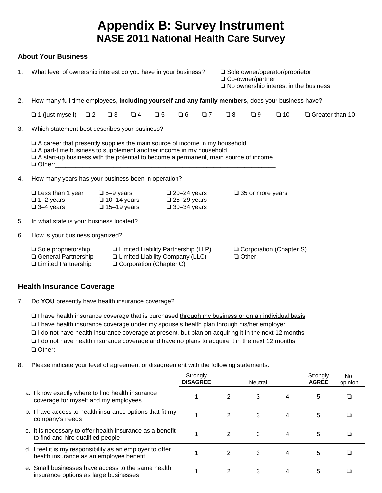# **Appendix B: Survey Instrument NASE 2011 National Health Care Survey**

#### **About Your Business**

| 1. |                                                                                                                                                                                                                                                        | What level of ownership interest do you have in your business? |                                                                                                            |                                                                         | □ Co-owner/partner |             | □ Sole owner/operator/proprietor | $\square$ No ownership interest in the business |                                |
|----|--------------------------------------------------------------------------------------------------------------------------------------------------------------------------------------------------------------------------------------------------------|----------------------------------------------------------------|------------------------------------------------------------------------------------------------------------|-------------------------------------------------------------------------|--------------------|-------------|----------------------------------|-------------------------------------------------|--------------------------------|
| 2. | How many full-time employees, including yourself and any family members, does your business have?                                                                                                                                                      |                                                                |                                                                                                            |                                                                         |                    |             |                                  |                                                 |                                |
|    | $\Box$ 1 (just myself) $\Box$ 2                                                                                                                                                                                                                        | $\Box$ 3<br>$\Box$ 4                                           | $\Box$ 5                                                                                                   | $\Box$ 6                                                                | $\Box$ 7           | $\square$ 8 | $\Box$ 9                         | $\square$ 10                                    | $\Box$ Greater than 10         |
| 3. | Which statement best describes your business?                                                                                                                                                                                                          |                                                                |                                                                                                            |                                                                         |                    |             |                                  |                                                 |                                |
|    | $\Box$ A career that presently supplies the main source of income in my household<br>$\Box$ A part-time business to supplement another income in my household<br>□ A start-up business with the potential to become a permanent, main source of income |                                                                |                                                                                                            |                                                                         |                    |             |                                  |                                                 |                                |
| 4. | How many years has your business been in operation?                                                                                                                                                                                                    |                                                                |                                                                                                            |                                                                         |                    |             |                                  |                                                 |                                |
|    | $\Box$ Less than 1 year $\Box$ 5-9 years<br>$\Box$ 1-2 years<br>$\Box$ 3-4 years                                                                                                                                                                       | $\square$ 10-14 years<br>$\Box$ 15-19 years                    |                                                                                                            | $\square$ 20-24 years<br>$\square$ 25-29 years<br>$\square$ 30-34 years |                    |             | $\square$ 35 or more years       |                                                 |                                |
| 5. |                                                                                                                                                                                                                                                        |                                                                |                                                                                                            |                                                                         |                    |             |                                  |                                                 |                                |
| 6. | How is your business organized?                                                                                                                                                                                                                        |                                                                |                                                                                                            |                                                                         |                    |             |                                  |                                                 |                                |
|    | $\Box$ Sole proprietorship<br>□ General Partnership<br>□ Limited Partnership                                                                                                                                                                           |                                                                | □ Limited Liability Partnership (LLP)<br><b>Limited Liability Company (LLC)</b><br>Corporation (Chapter C) |                                                                         |                    |             |                                  | Corporation (Chapter S)                         | □ Other: _____________________ |

### **Health Insurance Coverage**

7. Do **YOU** presently have health insurance coverage?

□ I have health insurance coverage that is purchased through my business or on an individual basis

□ I have health insurance coverage under my spouse's health plan through his/her employer

□ I do not have health insurance coverage at present, but plan on acquiring it in the next 12 months

 $\Box$  I do not have health insurance coverage and have no plans to acquire it in the next 12 months

□ Other:

8. Please indicate your level of agreement or disagreement with the following statements:

|                                                                                                      | Strongly<br><b>DISAGREE</b> |   | Neutral |   | Strongly<br><b>AGREE</b> | No.<br>opinion |
|------------------------------------------------------------------------------------------------------|-----------------------------|---|---------|---|--------------------------|----------------|
| a. I know exactly where to find health insurance<br>coverage for myself and my employees             |                             | 2 | 3       | 4 | 5                        |                |
| b. I have access to health insurance options that fit my<br>company's needs                          |                             | 2 | 3       | 4 | 5                        |                |
| c. It is necessary to offer health insurance as a benefit<br>to find and hire qualified people       |                             | 2 | 3       | 4 | 5                        |                |
| d. I feel it is my responsibility as an employer to offer<br>health insurance as an employee benefit |                             | 2 | 3       | 4 | 5                        |                |
| e. Small businesses have access to the same health<br>insurance options as large businesses          |                             |   | 3       | 4 | 5                        |                |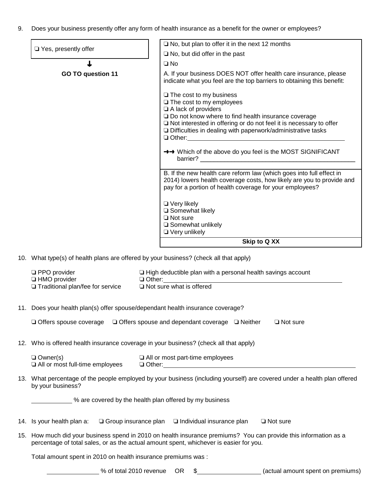9. Does your business presently offer any form of health insurance as a benefit for the owner or employees?

| □ Yes, presently offer                                                                | $\Box$ No, but plan to offer it in the next 12 months                                                                                                                                                                                                                                                            |
|---------------------------------------------------------------------------------------|------------------------------------------------------------------------------------------------------------------------------------------------------------------------------------------------------------------------------------------------------------------------------------------------------------------|
|                                                                                       | $\Box$ No, but did offer in the past                                                                                                                                                                                                                                                                             |
| ┻                                                                                     | $\square$ No                                                                                                                                                                                                                                                                                                     |
| <b>GO TO question 11</b>                                                              | A. If your business DOES NOT offer health care insurance, please<br>indicate what you feel are the top barriers to obtaining this benefit:                                                                                                                                                                       |
|                                                                                       | $\Box$ The cost to my business<br>$\Box$ The cost to my employees<br>A lack of providers<br>□ Do not know where to find health insurance coverage<br>□ Not interested in offering or do not feel it is necessary to offer<br>Difficulties in dealing with paperwork/administrative tasks<br>$\Box$ Other: $\Box$ |
|                                                                                       | →→ Which of the above do you feel is the MOST SIGNIFICANT<br>barrier? <b>Example 2018</b>                                                                                                                                                                                                                        |
|                                                                                       | B. If the new health care reform law (which goes into full effect in<br>2014) lowers health coverage costs, how likely are you to provide and<br>pay for a portion of health coverage for your employees?                                                                                                        |
|                                                                                       | $\Box$ Very likely<br>Somewhat likely<br>$\Box$ Not sure<br>□ Somewhat unlikely<br>Very unlikely                                                                                                                                                                                                                 |
|                                                                                       |                                                                                                                                                                                                                                                                                                                  |
|                                                                                       | Skip to Q XX                                                                                                                                                                                                                                                                                                     |
| 10. What type(s) of health plans are offered by your business? (check all that apply) |                                                                                                                                                                                                                                                                                                                  |
| <b>D</b> PPO provider<br><b>Li</b> HMO provider<br>□ Traditional plan/fee for service | $\Box$ High deductible plan with a personal health savings account<br>$\Box$ Other:<br>$\Box$ Not sure what is offered                                                                                                                                                                                           |
| 11. Does your health plan(s) offer spouse/dependant health insurance coverage?        |                                                                                                                                                                                                                                                                                                                  |
|                                                                                       | $\Box$ Offers spouse coverage $\Box$ Offers spouse and dependant coverage $\Box$ Neither<br>$\Box$ Not sure                                                                                                                                                                                                      |
|                                                                                       | 12. Who is offered health insurance coverage in your business? (check all that apply)                                                                                                                                                                                                                            |
| $\Box$ Owner(s)<br>All or most full-time employees                                    | $\Box$ All or most part-time employees<br>$\Box$ Other: $\Box$                                                                                                                                                                                                                                                   |
| by your business?                                                                     | 13. What percentage of the people employed by your business (including yourself) are covered under a health plan offered                                                                                                                                                                                         |
| % are covered by the health plan offered by my business                               |                                                                                                                                                                                                                                                                                                                  |

15. How much did your business spend in 2010 on health insurance premiums? You can provide this information as a percentage of total sales, or as the actual amount spent, whichever is easier for you.

Total amount spent in 2010 on health insurance premiums was :

% of total 2010 revenue OR \$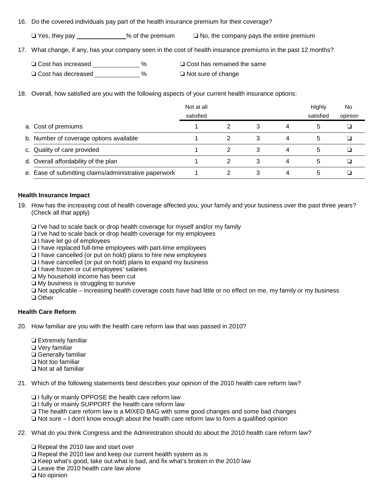#### 16. Do the covered individuals pay part of the health insurance premium for their coverage?

 $\Box$  Yes, they pay  $\Box$  Yes, they pay  $\Box$  Yes, they pay

17. What change, if any, has your company seen in the cost of health insurance premiums in the past 12 months?

| $\Box$ Cost has increased |      | □ Cost has remained the same |
|---------------------------|------|------------------------------|
| $\Box$ Cost has decreased | $\%$ | $\Box$ Not sure of change    |

18. Overall, how satisfied are you with the following aspects of your current health insurance options:

|                                                       | Not at all |   |   |   | Highly    | No.     |
|-------------------------------------------------------|------------|---|---|---|-----------|---------|
|                                                       | satisfied  |   |   |   | satisfied | opinion |
| a. Cost of premiums                                   |            |   | З | 4 | 5         |         |
| b. Number of coverage options available               |            | 2 | 3 | 4 | 5         |         |
| c. Quality of care provided                           |            |   | 3 | 4 | 5         |         |
| d. Overall affordability of the plan                  |            |   | 3 | 4 | 5         |         |
| e. Ease of submitting claims/administrative paperwork |            |   | 3 | 4 | 5         |         |

#### **Health Insurance Impact**

- 19. How has the increasing cost of health coverage affected you, your family and your business over the past three years? (Check all that apply)
	- $\Box$  I've had to scale back or drop health coverage for myself and/or my family
	- $\Box$  I've had to scale back or drop health coverage for my employees
	- $\Box$  I have let go of employees
	- $\Box$  I have replaced full-time employees with part-time employees
	- $\Box$  I have cancelled (or put on hold) plans to hire new employees
	- $\Box$  I have cancelled (or put on hold) plans to expand my business
	- I have frozen or cut employees' salaries
	- $\Box$  My household income has been cut
	- $\Box$  My business is struggling to survive

 $\Box$  Not applicable – increasing health coverage costs have had little or no effect on me, my family or my business □ Other

#### **Health Care Reform**

- 20. How familiar are you with the health care reform law that was passed in 2010?
	- $\Box$  Extremely familiar  $\Box$  Very familiar □ Generally familiar  $\Box$  Not too familiar  $\Box$  Not at all familiar

21. Which of the following statements best describes your opinion of the 2010 health care reform law?

- $\Box$  I fully or mainly OPPOSE the health care reform law
- $\Box$  I fully or mainly SUPPORT the health care reform law
- $\Box$  The health care reform law is a MIXED BAG with some good changes and some bad changes
- $\Box$  Not sure I don't know enough about the health care reform law to form a qualified opinion
- 22. What do you think Congress and the Administration should do about the 2010 health care reform law?
	- $\Box$  Repeal the 2010 law and start over
	- $\Box$  Repeal the 2010 law and keep our current health system as is
	- $\Box$  Keep what's good, take out what is bad, and fix what's broken in the 2010 law
	- $\Box$  Leave the 2010 health care law alone

 $\Box$  No opinion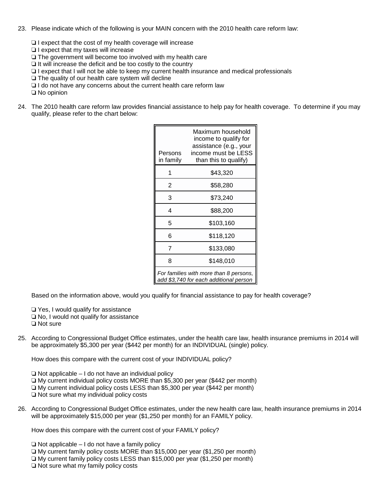- 23. Please indicate which of the following is your MAIN concern with the 2010 health care reform law:
	- $\Box$  I expect that the cost of my health coverage will increase

 $\Box$  I expect that my taxes will increase

- $\Box$  The government will become too involved with my health care
- $\Box$  It will increase the deficit and be too costly to the country
- $\Box$  I expect that I will not be able to keep my current health insurance and medical professionals
- $\Box$  The quality of our health care system will decline
- $\Box$  I do not have any concerns about the current health care reform law

 $\Box$  No opinion

24. The 2010 health care reform law provides financial assistance to help pay for health coverage. To determine if you may qualify, please refer to the chart below:

| Persons<br>in family                                                             | Maximum household<br>income to qualify for<br>assistance (e.g., your<br>income must be LESS<br>than this to qualify) |  |  |  |  |
|----------------------------------------------------------------------------------|----------------------------------------------------------------------------------------------------------------------|--|--|--|--|
| 1                                                                                | \$43,320                                                                                                             |  |  |  |  |
| 2                                                                                | \$58,280                                                                                                             |  |  |  |  |
| 3                                                                                | \$73,240                                                                                                             |  |  |  |  |
| 4                                                                                | \$88,200                                                                                                             |  |  |  |  |
| 5                                                                                | \$103,160                                                                                                            |  |  |  |  |
| 6                                                                                | \$118,120                                                                                                            |  |  |  |  |
| 7                                                                                | \$133,080                                                                                                            |  |  |  |  |
| 8                                                                                | \$148,010                                                                                                            |  |  |  |  |
| For families with more than 8 persons,<br>add \$3,740 for each additional person |                                                                                                                      |  |  |  |  |

Based on the information above, would you qualify for financial assistance to pay for health coverage?

 $\Box$  Yes, I would qualify for assistance

- $\Box$  No, I would not qualify for assistance
- □ Not sure
- 25. According to Congressional Budget Office estimates, under the health care law, health insurance premiums in 2014 will be approximately \$5,300 per year (\$442 per month) for an INDIVIDUAL (single) policy.

How does this compare with the current cost of your INDIVIDUAL policy?

 $\Box$  Not applicable – I do not have an individual policy  $\Box$  My current individual policy costs MORE than \$5,300 per year (\$442 per month)  $\Box$  My current individual policy costs LESS than \$5,300 per year (\$442 per month)  $\Box$  Not sure what my individual policy costs

26. According to Congressional Budget Office estimates, under the new health care law, health insurance premiums in 2014 will be approximately \$15,000 per year (\$1,250 per month) for an FAMILY policy.

How does this compare with the current cost of your FAMILY policy?

 $\Box$  Not applicable – I do not have a family policy  $\Box$  My current family policy costs MORE than \$15,000 per year (\$1,250 per month) □ My current family policy costs LESS than \$15,000 per year (\$1,250 per month)  $\Box$  Not sure what my family policy costs